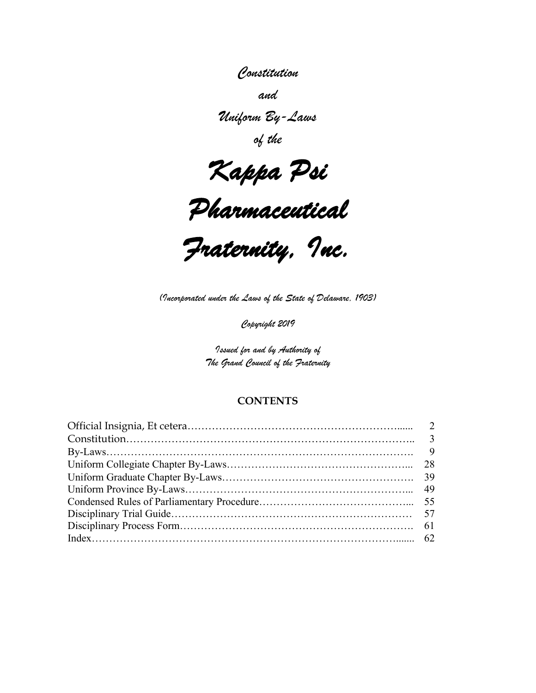# *Constitution*

*and*

*Uniform By-Laws*

*of the*

*Kappa Psi* 



*Fraternity, Inc.* 

*(Incorporated under the Laws of the State of Delaware, 1903)*

*Copyright 2019*

*Issued for and by Authority of The Grand Council of the Fraternity*

#### **CONTENTS**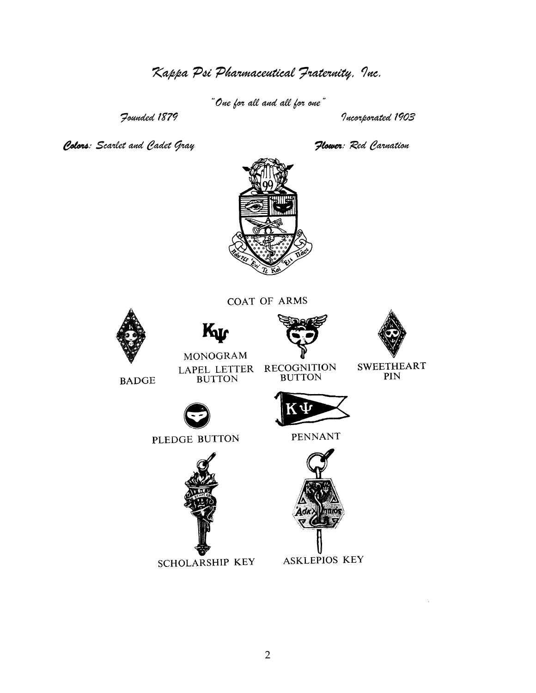*Kappa Psi Pharmaceutical Fraternity, Inc.*

*"One for all and all for one"*

*Founded 1879 Incorporated 1903*

*Colors: Scarlet and Cadet Gray Flower: Red Carnation*



COAT OF ARMS









**BADGE** 

LAPEL LETTER BUTTON

RECOGNITION<br>BUTTON

 $\begin{array}{ll} \text{SWEETHEART} \\ \text{PIN} \end{array}$ 



PLEDGE BUTTON



**SCHOLARSHIP KEY** 

PENNANT



**ASKLEPIOS KEY**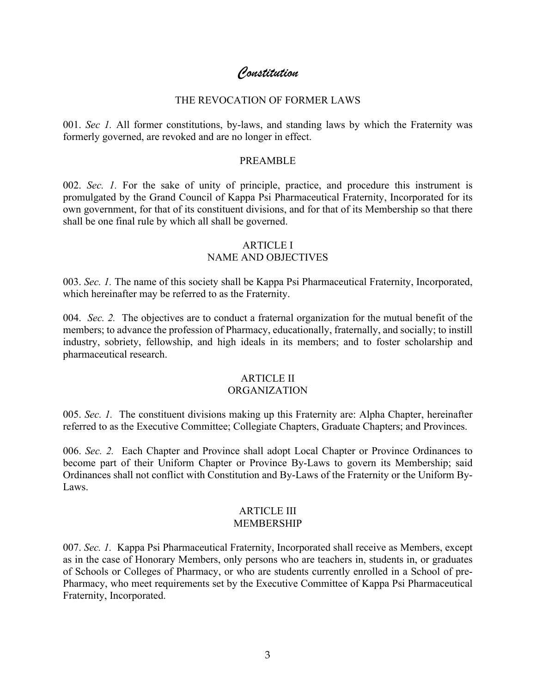# *Constitution*

#### THE REVOCATION OF FORMER LAWS

001. *Sec 1.* All former constitutions, by-laws, and standing laws by which the Fraternity was formerly governed, are revoked and are no longer in effect.

#### PREAMBLE

002. *Sec. 1.* For the sake of unity of principle, practice, and procedure this instrument is promulgated by the Grand Council of Kappa Psi Pharmaceutical Fraternity, Incorporated for its own government, for that of its constituent divisions, and for that of its Membership so that there shall be one final rule by which all shall be governed.

#### ARTICLE I NAME AND OBJECTIVES

003. *Sec. 1.* The name of this society shall be Kappa Psi Pharmaceutical Fraternity, Incorporated, which hereinafter may be referred to as the Fraternity.

004. *Sec. 2.* The objectives are to conduct a fraternal organization for the mutual benefit of the members; to advance the profession of Pharmacy, educationally, fraternally, and socially; to instill industry, sobriety, fellowship, and high ideals in its members; and to foster scholarship and pharmaceutical research.

### ARTICLE II

#### ORGANIZATION

005. *Sec. 1.* The constituent divisions making up this Fraternity are: Alpha Chapter, hereinafter referred to as the Executive Committee; Collegiate Chapters, Graduate Chapters; and Provinces.

006. *Sec. 2.* Each Chapter and Province shall adopt Local Chapter or Province Ordinances to become part of their Uniform Chapter or Province By-Laws to govern its Membership; said Ordinances shall not conflict with Constitution and By-Laws of the Fraternity or the Uniform By-Laws.

#### ARTICLE III MEMBERSHIP

007. *Sec. 1.* Kappa Psi Pharmaceutical Fraternity, Incorporated shall receive as Members, except as in the case of Honorary Members, only persons who are teachers in, students in, or graduates of Schools or Colleges of Pharmacy, or who are students currently enrolled in a School of pre-Pharmacy, who meet requirements set by the Executive Committee of Kappa Psi Pharmaceutical Fraternity, Incorporated.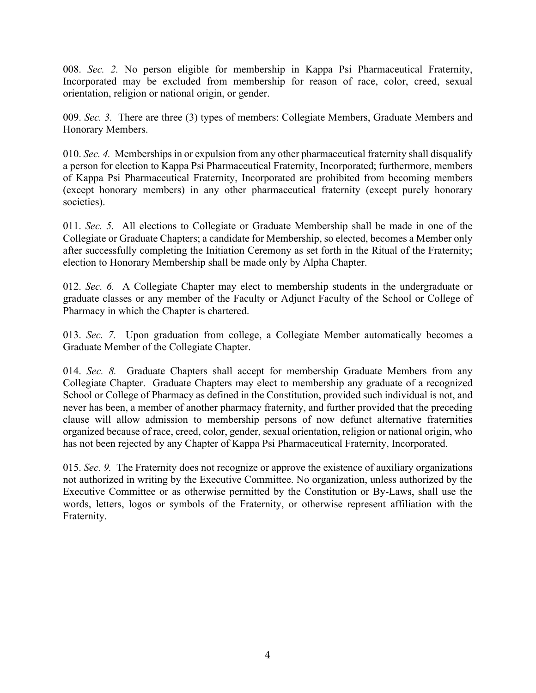008. *Sec. 2.* No person eligible for membership in Kappa Psi Pharmaceutical Fraternity, Incorporated may be excluded from membership for reason of race, color, creed, sexual orientation, religion or national origin, or gender.

009. *Sec. 3.* There are three (3) types of members: Collegiate Members, Graduate Members and Honorary Members.

010. *Sec. 4.* Memberships in or expulsion from any other pharmaceutical fraternity shall disqualify a person for election to Kappa Psi Pharmaceutical Fraternity, Incorporated; furthermore, members of Kappa Psi Pharmaceutical Fraternity, Incorporated are prohibited from becoming members (except honorary members) in any other pharmaceutical fraternity (except purely honorary societies).

011. *Sec. 5.* All elections to Collegiate or Graduate Membership shall be made in one of the Collegiate or Graduate Chapters; a candidate for Membership, so elected, becomes a Member only after successfully completing the Initiation Ceremony as set forth in the Ritual of the Fraternity; election to Honorary Membership shall be made only by Alpha Chapter.

012. *Sec. 6.* A Collegiate Chapter may elect to membership students in the undergraduate or graduate classes or any member of the Faculty or Adjunct Faculty of the School or College of Pharmacy in which the Chapter is chartered.

013. *Sec. 7.* Upon graduation from college, a Collegiate Member automatically becomes a Graduate Member of the Collegiate Chapter.

014. *Sec. 8.* Graduate Chapters shall accept for membership Graduate Members from any Collegiate Chapter. Graduate Chapters may elect to membership any graduate of a recognized School or College of Pharmacy as defined in the Constitution, provided such individual is not, and never has been, a member of another pharmacy fraternity, and further provided that the preceding clause will allow admission to membership persons of now defunct alternative fraternities organized because of race, creed, color, gender, sexual orientation, religion or national origin, who has not been rejected by any Chapter of Kappa Psi Pharmaceutical Fraternity, Incorporated.

015. *Sec. 9.* The Fraternity does not recognize or approve the existence of auxiliary organizations not authorized in writing by the Executive Committee. No organization, unless authorized by the Executive Committee or as otherwise permitted by the Constitution or By-Laws, shall use the words, letters, logos or symbols of the Fraternity, or otherwise represent affiliation with the Fraternity.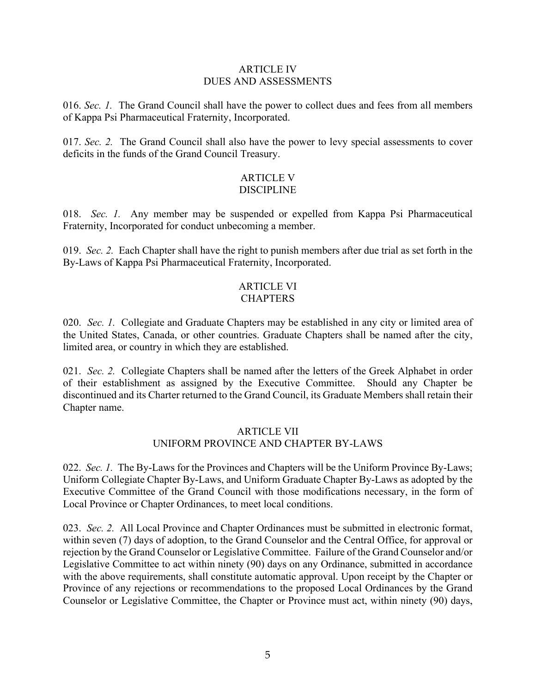#### ARTICLE IV DUES AND ASSESSMENTS

016. *Sec. 1.* The Grand Council shall have the power to collect dues and fees from all members of Kappa Psi Pharmaceutical Fraternity, Incorporated.

017. *Sec. 2.* The Grand Council shall also have the power to levy special assessments to cover deficits in the funds of the Grand Council Treasury.

#### ARTICLE V DISCIPLINE

018. *Sec. 1.* Any member may be suspended or expelled from Kappa Psi Pharmaceutical Fraternity, Incorporated for conduct unbecoming a member.

019. *Sec. 2.* Each Chapter shall have the right to punish members after due trial as set forth in the By-Laws of Kappa Psi Pharmaceutical Fraternity, Incorporated.

#### ARTICLE VI CHAPTERS

020. *Sec. 1.* Collegiate and Graduate Chapters may be established in any city or limited area of the United States, Canada, or other countries. Graduate Chapters shall be named after the city, limited area, or country in which they are established.

021. *Sec. 2.* Collegiate Chapters shall be named after the letters of the Greek Alphabet in order of their establishment as assigned by the Executive Committee. Should any Chapter be discontinued and its Charter returned to the Grand Council, its Graduate Members shall retain their Chapter name.

#### ARTICLE VII UNIFORM PROVINCE AND CHAPTER BY-LAWS

022. *Sec. 1.* The By-Laws for the Provinces and Chapters will be the Uniform Province By-Laws; Uniform Collegiate Chapter By-Laws, and Uniform Graduate Chapter By-Laws as adopted by the Executive Committee of the Grand Council with those modifications necessary, in the form of Local Province or Chapter Ordinances, to meet local conditions.

023. *Sec. 2.* All Local Province and Chapter Ordinances must be submitted in electronic format, within seven (7) days of adoption, to the Grand Counselor and the Central Office, for approval or rejection by the Grand Counselor or Legislative Committee. Failure of the Grand Counselor and/or Legislative Committee to act within ninety (90) days on any Ordinance, submitted in accordance with the above requirements, shall constitute automatic approval. Upon receipt by the Chapter or Province of any rejections or recommendations to the proposed Local Ordinances by the Grand Counselor or Legislative Committee, the Chapter or Province must act, within ninety (90) days,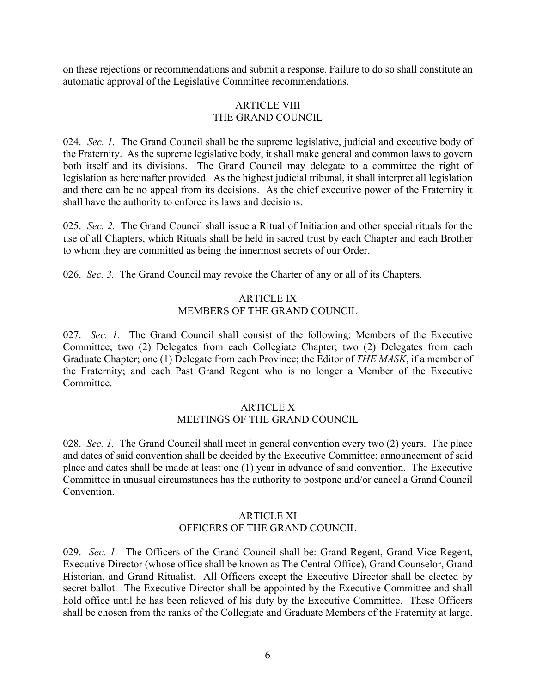on these rejections or recommendations and submit a response. Failure to do so shall constitute an automatic approval of the Legislative Committee recommendations.

#### ARTICLE VIII THE GRAND COUNCIL

024. *Sec. 1.* The Grand Council shall be the supreme legislative, judicial and executive body of the Fraternity. As the supreme legislative body, it shall make general and common laws to govern both itself and its divisions. The Grand Council may delegate to a committee the right of legislation as hereinafter provided. As the highest judicial tribunal, it shall interpret all legislation and there can be no appeal from its decisions. As the chief executive power of the Fraternity it shall have the authority to enforce its laws and decisions.

025. *Sec. 2.* The Grand Council shall issue a Ritual of Initiation and other special rituals for the use of all Chapters, which Rituals shall be held in sacred trust by each Chapter and each Brother to whom they are committed as being the innermost secrets of our Order.

026. *Sec. 3.* The Grand Council may revoke the Charter of any or all of its Chapters.

### ARTICLE IX MEMBERS OF THE GRAND COUNCIL

027. *Sec. 1.* The Grand Council shall consist of the following: Members of the Executive Committee; two (2) Delegates from each Collegiate Chapter; two (2) Delegates from each Graduate Chapter; one (1) Delegate from each Province; the Editor of *THE MASK*, if a member of the Fraternity; and each Past Grand Regent who is no longer a Member of the Executive **Committee** 

# ARTICLE X

# MEETINGS OF THE GRAND COUNCIL

028. *Sec. 1.* The Grand Council shall meet in general convention every two (2) years. The place and dates of said convention shall be decided by the Executive Committee; announcement of said place and dates shall be made at least one (1) year in advance of said convention. The Executive Committee in unusual circumstances has the authority to postpone and/or cancel a Grand Council Convention.

#### ARTICLE XI OFFICERS OF THE GRAND COUNCIL

029. *Sec. 1.* The Officers of the Grand Council shall be: Grand Regent, Grand Vice Regent, Executive Director (whose office shall be known as The Central Office), Grand Counselor, Grand Historian, and Grand Ritualist. All Officers except the Executive Director shall be elected by secret ballot. The Executive Director shall be appointed by the Executive Committee and shall hold office until he has been relieved of his duty by the Executive Committee. These Officers shall be chosen from the ranks of the Collegiate and Graduate Members of the Fraternity at large.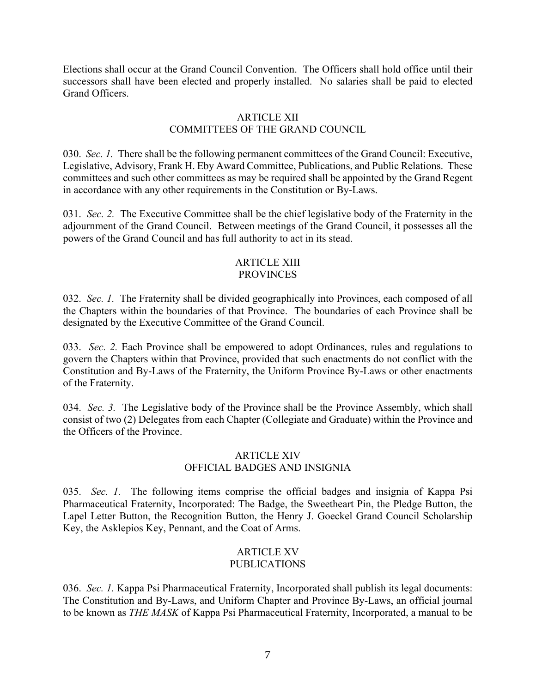Elections shall occur at the Grand Council Convention. The Officers shall hold office until their successors shall have been elected and properly installed. No salaries shall be paid to elected Grand Officers.

#### ARTICLE XII

# COMMITTEES OF THE GRAND COUNCIL

030. *Sec. 1.* There shall be the following permanent committees of the Grand Council: Executive, Legislative, Advisory, Frank H. Eby Award Committee, Publications, and Public Relations. These committees and such other committees as may be required shall be appointed by the Grand Regent in accordance with any other requirements in the Constitution or By-Laws.

031. *Sec. 2.* The Executive Committee shall be the chief legislative body of the Fraternity in the adjournment of the Grand Council. Between meetings of the Grand Council, it possesses all the powers of the Grand Council and has full authority to act in its stead.

#### ARTICLE XIII **PROVINCES**

032. *Sec. 1.* The Fraternity shall be divided geographically into Provinces, each composed of all the Chapters within the boundaries of that Province. The boundaries of each Province shall be designated by the Executive Committee of the Grand Council.

033. *Sec. 2.* Each Province shall be empowered to adopt Ordinances, rules and regulations to govern the Chapters within that Province, provided that such enactments do not conflict with the Constitution and By-Laws of the Fraternity, the Uniform Province By-Laws or other enactments of the Fraternity.

034. *Sec. 3.* The Legislative body of the Province shall be the Province Assembly, which shall consist of two (2) Delegates from each Chapter (Collegiate and Graduate) within the Province and the Officers of the Province.

### ARTICLE XIV OFFICIAL BADGES AND INSIGNIA

035. *Sec. 1.* The following items comprise the official badges and insignia of Kappa Psi Pharmaceutical Fraternity, Incorporated: The Badge, the Sweetheart Pin, the Pledge Button, the Lapel Letter Button, the Recognition Button, the Henry J. Goeckel Grand Council Scholarship Key, the Asklepios Key, Pennant, and the Coat of Arms.

#### ARTICLE XV PUBLICATIONS

036. *Sec. 1.* Kappa Psi Pharmaceutical Fraternity, Incorporated shall publish its legal documents: The Constitution and By-Laws, and Uniform Chapter and Province By-Laws, an official journal to be known as *THE MASK* of Kappa Psi Pharmaceutical Fraternity, Incorporated, a manual to be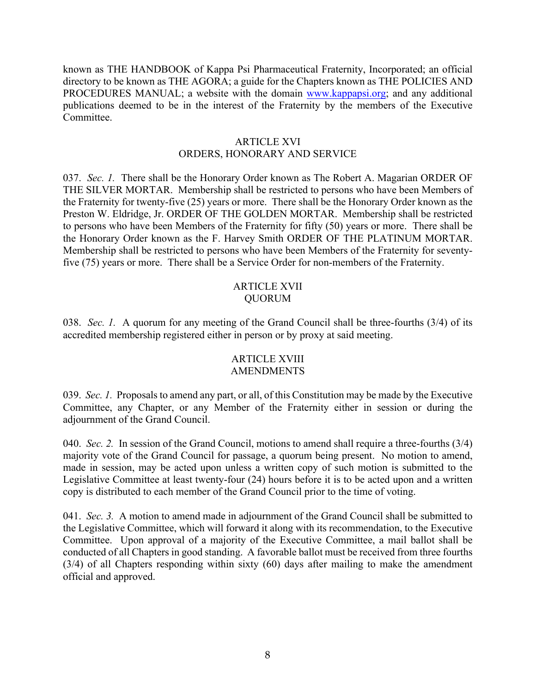known as THE HANDBOOK of Kappa Psi Pharmaceutical Fraternity, Incorporated; an official directory to be known as THE AGORA; a guide for the Chapters known as THE POLICIES AND PROCEDURES MANUAL; a website with the domain www.kappapsi.org; and any additional publications deemed to be in the interest of the Fraternity by the members of the Executive **Committee** 

#### ARTICLE XVI ORDERS, HONORARY AND SERVICE

037. *Sec. 1.* There shall be the Honorary Order known as The Robert A. Magarian ORDER OF THE SILVER MORTAR. Membership shall be restricted to persons who have been Members of the Fraternity for twenty-five (25) years or more. There shall be the Honorary Order known as the Preston W. Eldridge, Jr. ORDER OF THE GOLDEN MORTAR. Membership shall be restricted to persons who have been Members of the Fraternity for fifty (50) years or more. There shall be the Honorary Order known as the F. Harvey Smith ORDER OF THE PLATINUM MORTAR. Membership shall be restricted to persons who have been Members of the Fraternity for seventyfive (75) years or more. There shall be a Service Order for non-members of the Fraternity.

#### ARTICLE XVII QUORUM

038. *Sec. 1.* A quorum for any meeting of the Grand Council shall be three-fourths (3/4) of its accredited membership registered either in person or by proxy at said meeting.

#### ARTICLE XVIII AMENDMENTS

039. *Sec. 1.* Proposals to amend any part, or all, of this Constitution may be made by the Executive Committee, any Chapter, or any Member of the Fraternity either in session or during the adjournment of the Grand Council.

040. *Sec. 2.* In session of the Grand Council, motions to amend shall require a three-fourths (3/4) majority vote of the Grand Council for passage, a quorum being present. No motion to amend, made in session, may be acted upon unless a written copy of such motion is submitted to the Legislative Committee at least twenty-four (24) hours before it is to be acted upon and a written copy is distributed to each member of the Grand Council prior to the time of voting.

041. *Sec. 3.* A motion to amend made in adjournment of the Grand Council shall be submitted to the Legislative Committee, which will forward it along with its recommendation, to the Executive Committee. Upon approval of a majority of the Executive Committee, a mail ballot shall be conducted of all Chapters in good standing. A favorable ballot must be received from three fourths (3/4) of all Chapters responding within sixty (60) days after mailing to make the amendment official and approved.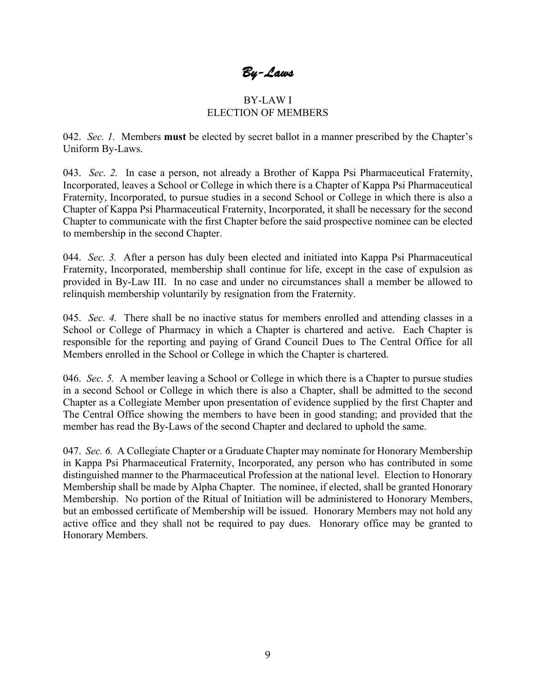*By-Laws* 

#### BY-LAW I ELECTION OF MEMBERS

042. *Sec. 1.* Members **must** be elected by secret ballot in a manner prescribed by the Chapter's Uniform By-Laws.

043. *Sec. 2.* In case a person, not already a Brother of Kappa Psi Pharmaceutical Fraternity, Incorporated, leaves a School or College in which there is a Chapter of Kappa Psi Pharmaceutical Fraternity, Incorporated, to pursue studies in a second School or College in which there is also a Chapter of Kappa Psi Pharmaceutical Fraternity, Incorporated, it shall be necessary for the second Chapter to communicate with the first Chapter before the said prospective nominee can be elected to membership in the second Chapter.

044. *Sec. 3.* After a person has duly been elected and initiated into Kappa Psi Pharmaceutical Fraternity, Incorporated, membership shall continue for life, except in the case of expulsion as provided in By-Law III. In no case and under no circumstances shall a member be allowed to relinquish membership voluntarily by resignation from the Fraternity.

045. *Sec. 4.* There shall be no inactive status for members enrolled and attending classes in a School or College of Pharmacy in which a Chapter is chartered and active. Each Chapter is responsible for the reporting and paying of Grand Council Dues to The Central Office for all Members enrolled in the School or College in which the Chapter is chartered.

046. *Sec. 5.* A member leaving a School or College in which there is a Chapter to pursue studies in a second School or College in which there is also a Chapter, shall be admitted to the second Chapter as a Collegiate Member upon presentation of evidence supplied by the first Chapter and The Central Office showing the members to have been in good standing; and provided that the member has read the By-Laws of the second Chapter and declared to uphold the same.

047. *Sec. 6.* A Collegiate Chapter or a Graduate Chapter may nominate for Honorary Membership in Kappa Psi Pharmaceutical Fraternity, Incorporated, any person who has contributed in some distinguished manner to the Pharmaceutical Profession at the national level. Election to Honorary Membership shall be made by Alpha Chapter. The nominee, if elected, shall be granted Honorary Membership. No portion of the Ritual of Initiation will be administered to Honorary Members, but an embossed certificate of Membership will be issued. Honorary Members may not hold any active office and they shall not be required to pay dues. Honorary office may be granted to Honorary Members.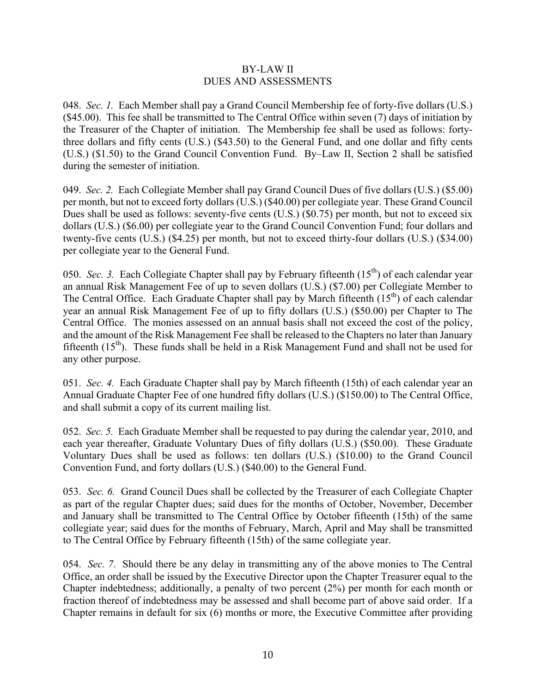#### BY-LAW II DUES AND ASSESSMENTS

048. *Sec. 1.* Each Member shall pay a Grand Council Membership fee of forty-five dollars (U.S.) (\$45.00). This fee shall be transmitted to The Central Office within seven (7) days of initiation by the Treasurer of the Chapter of initiation. The Membership fee shall be used as follows: fortythree dollars and fifty cents (U.S.) (\$43.50) to the General Fund, and one dollar and fifty cents (U.S.) (\$1.50) to the Grand Council Convention Fund. By–Law II, Section 2 shall be satisfied during the semester of initiation.

049. *Sec. 2.* Each Collegiate Member shall pay Grand Council Dues of five dollars (U.S.) (\$5.00) per month, but not to exceed forty dollars (U.S.) (\$40.00) per collegiate year. These Grand Council Dues shall be used as follows: seventy-five cents (U.S.) (\$0.75) per month, but not to exceed six dollars (U.S.) (\$6.00) per collegiate year to the Grand Council Convention Fund; four dollars and twenty-five cents (U.S.) (\$4.25) per month, but not to exceed thirty-four dollars (U.S.) (\$34.00) per collegiate year to the General Fund.

050. *Sec.* 3. Each Collegiate Chapter shall pay by February fifteenth (15<sup>th</sup>) of each calendar year an annual Risk Management Fee of up to seven dollars (U.S.) (\$7.00) per Collegiate Member to The Central Office. Each Graduate Chapter shall pay by March fifteenth  $(15<sup>th</sup>)$  of each calendar year an annual Risk Management Fee of up to fifty dollars (U.S.) (\$50.00) per Chapter to The Central Office. The monies assessed on an annual basis shall not exceed the cost of the policy, and the amount of the Risk Management Fee shall be released to the Chapters no later than January fifteenth  $(15<sup>th</sup>)$ . These funds shall be held in a Risk Management Fund and shall not be used for any other purpose.

051. *Sec. 4.* Each Graduate Chapter shall pay by March fifteenth (15th) of each calendar year an Annual Graduate Chapter Fee of one hundred fifty dollars (U.S.) (\$150.00) to The Central Office, and shall submit a copy of its current mailing list.

052. *Sec. 5.* Each Graduate Member shall be requested to pay during the calendar year, 2010, and each year thereafter, Graduate Voluntary Dues of fifty dollars (U.S.) (\$50.00). These Graduate Voluntary Dues shall be used as follows: ten dollars (U.S.) (\$10.00) to the Grand Council Convention Fund, and forty dollars (U.S.) (\$40.00) to the General Fund.

053. *Sec. 6.* Grand Council Dues shall be collected by the Treasurer of each Collegiate Chapter as part of the regular Chapter dues; said dues for the months of October, November, December and January shall be transmitted to The Central Office by October fifteenth (15th) of the same collegiate year; said dues for the months of February, March, April and May shall be transmitted to The Central Office by February fifteenth (15th) of the same collegiate year.

054. *Sec. 7.* Should there be any delay in transmitting any of the above monies to The Central Office, an order shall be issued by the Executive Director upon the Chapter Treasurer equal to the Chapter indebtedness; additionally, a penalty of two percent (2%) per month for each month or fraction thereof of indebtedness may be assessed and shall become part of above said order. If a Chapter remains in default for six (6) months or more, the Executive Committee after providing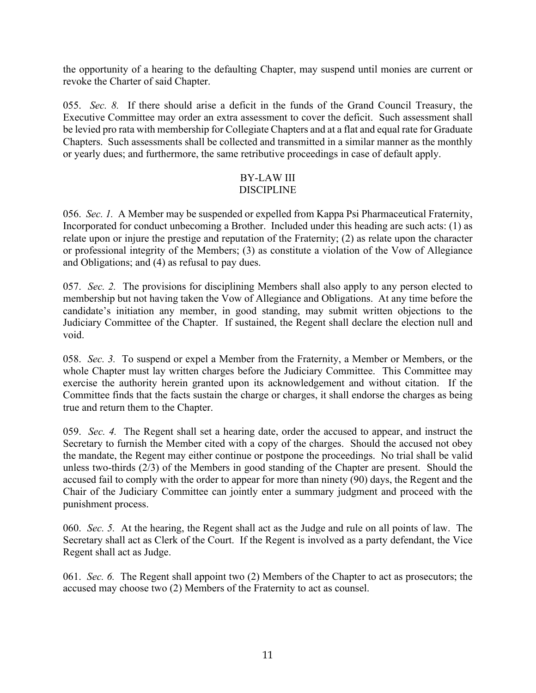the opportunity of a hearing to the defaulting Chapter, may suspend until monies are current or revoke the Charter of said Chapter.

055. *Sec. 8.* If there should arise a deficit in the funds of the Grand Council Treasury, the Executive Committee may order an extra assessment to cover the deficit. Such assessment shall be levied pro rata with membership for Collegiate Chapters and at a flat and equal rate for Graduate Chapters. Such assessments shall be collected and transmitted in a similar manner as the monthly or yearly dues; and furthermore, the same retributive proceedings in case of default apply.

#### BY-LAW III DISCIPLINE

056. *Sec. 1.* A Member may be suspended or expelled from Kappa Psi Pharmaceutical Fraternity, Incorporated for conduct unbecoming a Brother. Included under this heading are such acts: (1) as relate upon or injure the prestige and reputation of the Fraternity; (2) as relate upon the character or professional integrity of the Members; (3) as constitute a violation of the Vow of Allegiance and Obligations; and (4) as refusal to pay dues.

057. *Sec. 2.* The provisions for disciplining Members shall also apply to any person elected to membership but not having taken the Vow of Allegiance and Obligations. At any time before the candidate's initiation any member, in good standing, may submit written objections to the Judiciary Committee of the Chapter. If sustained, the Regent shall declare the election null and void.

058. *Sec. 3.* To suspend or expel a Member from the Fraternity, a Member or Members, or the whole Chapter must lay written charges before the Judiciary Committee. This Committee may exercise the authority herein granted upon its acknowledgement and without citation. If the Committee finds that the facts sustain the charge or charges, it shall endorse the charges as being true and return them to the Chapter.

059. *Sec. 4.* The Regent shall set a hearing date, order the accused to appear, and instruct the Secretary to furnish the Member cited with a copy of the charges. Should the accused not obey the mandate, the Regent may either continue or postpone the proceedings. No trial shall be valid unless two-thirds (2/3) of the Members in good standing of the Chapter are present. Should the accused fail to comply with the order to appear for more than ninety (90) days, the Regent and the Chair of the Judiciary Committee can jointly enter a summary judgment and proceed with the punishment process.

060. *Sec. 5.* At the hearing, the Regent shall act as the Judge and rule on all points of law. The Secretary shall act as Clerk of the Court. If the Regent is involved as a party defendant, the Vice Regent shall act as Judge.

061. *Sec. 6.* The Regent shall appoint two (2) Members of the Chapter to act as prosecutors; the accused may choose two (2) Members of the Fraternity to act as counsel.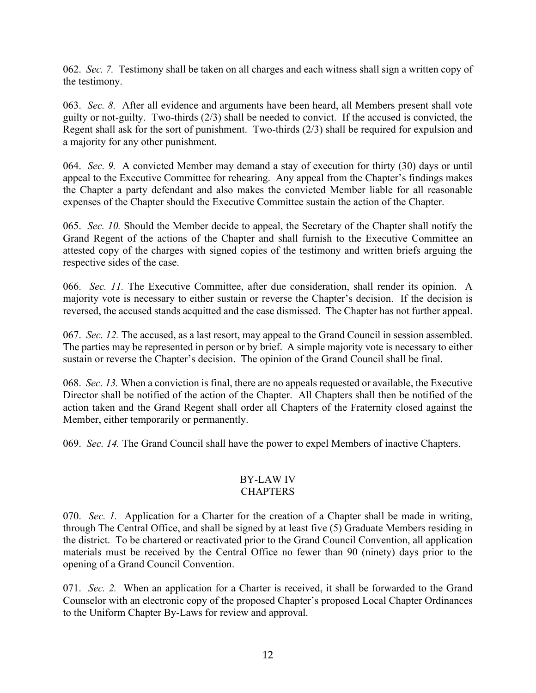062. *Sec. 7.* Testimony shall be taken on all charges and each witness shall sign a written copy of the testimony.

063. *Sec. 8.* After all evidence and arguments have been heard, all Members present shall vote guilty or not-guilty. Two-thirds (2/3) shall be needed to convict. If the accused is convicted, the Regent shall ask for the sort of punishment. Two-thirds (2/3) shall be required for expulsion and a majority for any other punishment.

064. *Sec. 9.* A convicted Member may demand a stay of execution for thirty (30) days or until appeal to the Executive Committee for rehearing. Any appeal from the Chapter's findings makes the Chapter a party defendant and also makes the convicted Member liable for all reasonable expenses of the Chapter should the Executive Committee sustain the action of the Chapter.

065. *Sec. 10.* Should the Member decide to appeal, the Secretary of the Chapter shall notify the Grand Regent of the actions of the Chapter and shall furnish to the Executive Committee an attested copy of the charges with signed copies of the testimony and written briefs arguing the respective sides of the case.

066. *Sec. 11*. The Executive Committee, after due consideration, shall render its opinion. A majority vote is necessary to either sustain or reverse the Chapter's decision. If the decision is reversed, the accused stands acquitted and the case dismissed. The Chapter has not further appeal.

067. *Sec. 12.* The accused, as a last resort, may appeal to the Grand Council in session assembled. The parties may be represented in person or by brief. A simple majority vote is necessary to either sustain or reverse the Chapter's decision. The opinion of the Grand Council shall be final.

068. *Sec. 13.* When a conviction is final, there are no appeals requested or available, the Executive Director shall be notified of the action of the Chapter. All Chapters shall then be notified of the action taken and the Grand Regent shall order all Chapters of the Fraternity closed against the Member, either temporarily or permanently.

069. *Sec. 14.* The Grand Council shall have the power to expel Members of inactive Chapters.

### BY-LAW IV **CHAPTERS**

070. *Sec. 1.* Application for a Charter for the creation of a Chapter shall be made in writing, through The Central Office, and shall be signed by at least five (5) Graduate Members residing in the district. To be chartered or reactivated prior to the Grand Council Convention, all application materials must be received by the Central Office no fewer than 90 (ninety) days prior to the opening of a Grand Council Convention.

071. *Sec. 2.* When an application for a Charter is received, it shall be forwarded to the Grand Counselor with an electronic copy of the proposed Chapter's proposed Local Chapter Ordinances to the Uniform Chapter By-Laws for review and approval.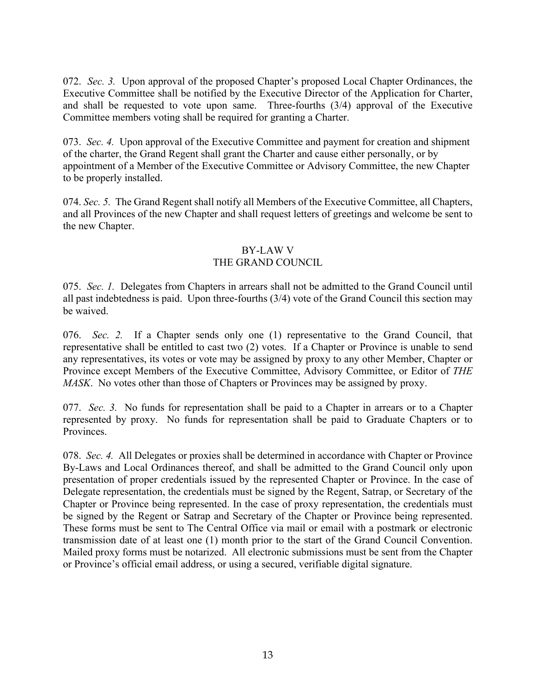072. *Sec. 3.* Upon approval of the proposed Chapter's proposed Local Chapter Ordinances, the Executive Committee shall be notified by the Executive Director of the Application for Charter, and shall be requested to vote upon same. Three-fourths (3/4) approval of the Executive Committee members voting shall be required for granting a Charter.

073. *Sec. 4.* Upon approval of the Executive Committee and payment for creation and shipment of the charter, the Grand Regent shall grant the Charter and cause either personally, or by appointment of a Member of the Executive Committee or Advisory Committee, the new Chapter to be properly installed.

074. *Sec. 5.* The Grand Regent shall notify all Members of the Executive Committee, all Chapters, and all Provinces of the new Chapter and shall request letters of greetings and welcome be sent to the new Chapter.

# BY-LAW V

## THE GRAND COUNCIL

075. *Sec. 1.* Delegates from Chapters in arrears shall not be admitted to the Grand Council until all past indebtedness is paid. Upon three-fourths (3/4) vote of the Grand Council this section may be waived.

076. *Sec. 2.* If a Chapter sends only one (1) representative to the Grand Council, that representative shall be entitled to cast two (2) votes. If a Chapter or Province is unable to send any representatives, its votes or vote may be assigned by proxy to any other Member, Chapter or Province except Members of the Executive Committee, Advisory Committee, or Editor of *THE MASK*. No votes other than those of Chapters or Provinces may be assigned by proxy.

077. *Sec. 3.* No funds for representation shall be paid to a Chapter in arrears or to a Chapter represented by proxy. No funds for representation shall be paid to Graduate Chapters or to Provinces.

078. *Sec. 4.* All Delegates or proxies shall be determined in accordance with Chapter or Province By-Laws and Local Ordinances thereof, and shall be admitted to the Grand Council only upon presentation of proper credentials issued by the represented Chapter or Province. In the case of Delegate representation, the credentials must be signed by the Regent, Satrap, or Secretary of the Chapter or Province being represented. In the case of proxy representation, the credentials must be signed by the Regent or Satrap and Secretary of the Chapter or Province being represented. These forms must be sent to The Central Office via mail or email with a postmark or electronic transmission date of at least one (1) month prior to the start of the Grand Council Convention. Mailed proxy forms must be notarized. All electronic submissions must be sent from the Chapter or Province's official email address, or using a secured, verifiable digital signature.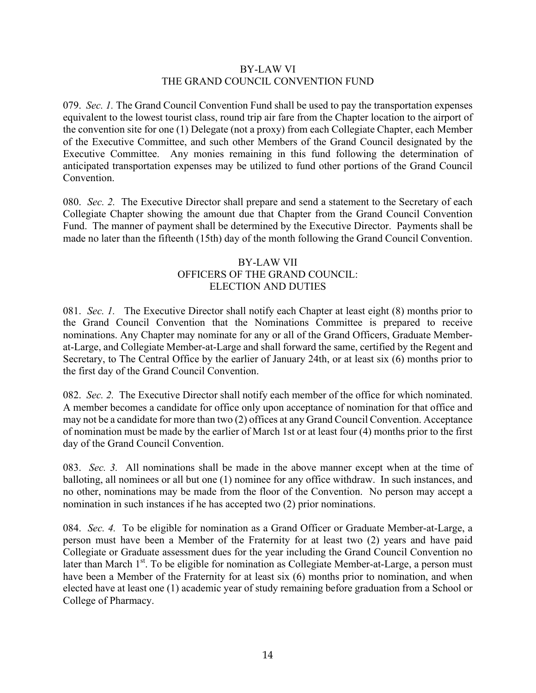#### BY-LAW VI THE GRAND COUNCIL CONVENTION FUND

079. *Sec. 1.* The Grand Council Convention Fund shall be used to pay the transportation expenses equivalent to the lowest tourist class, round trip air fare from the Chapter location to the airport of the convention site for one (1) Delegate (not a proxy) from each Collegiate Chapter, each Member of the Executive Committee, and such other Members of the Grand Council designated by the Executive Committee. Any monies remaining in this fund following the determination of anticipated transportation expenses may be utilized to fund other portions of the Grand Council Convention.

080. *Sec. 2.* The Executive Director shall prepare and send a statement to the Secretary of each Collegiate Chapter showing the amount due that Chapter from the Grand Council Convention Fund. The manner of payment shall be determined by the Executive Director. Payments shall be made no later than the fifteenth (15th) day of the month following the Grand Council Convention.

### BY-LAW VII OFFICERS OF THE GRAND COUNCIL: ELECTION AND DUTIES

081. *Sec. 1.* The Executive Director shall notify each Chapter at least eight (8) months prior to the Grand Council Convention that the Nominations Committee is prepared to receive nominations. Any Chapter may nominate for any or all of the Grand Officers, Graduate Memberat-Large, and Collegiate Member-at-Large and shall forward the same, certified by the Regent and Secretary, to The Central Office by the earlier of January 24th, or at least six (6) months prior to the first day of the Grand Council Convention.

082. *Sec. 2.* The Executive Director shall notify each member of the office for which nominated. A member becomes a candidate for office only upon acceptance of nomination for that office and may not be a candidate for more than two (2) offices at any Grand Council Convention. Acceptance of nomination must be made by the earlier of March 1st or at least four (4) months prior to the first day of the Grand Council Convention.

083. *Sec. 3.* All nominations shall be made in the above manner except when at the time of balloting, all nominees or all but one (1) nominee for any office withdraw. In such instances, and no other, nominations may be made from the floor of the Convention. No person may accept a nomination in such instances if he has accepted two (2) prior nominations.

084. *Sec. 4.* To be eligible for nomination as a Grand Officer or Graduate Member-at-Large, a person must have been a Member of the Fraternity for at least two (2) years and have paid Collegiate or Graduate assessment dues for the year including the Grand Council Convention no later than March 1<sup>st</sup>. To be eligible for nomination as Collegiate Member-at-Large, a person must have been a Member of the Fraternity for at least six (6) months prior to nomination, and when elected have at least one (1) academic year of study remaining before graduation from a School or College of Pharmacy.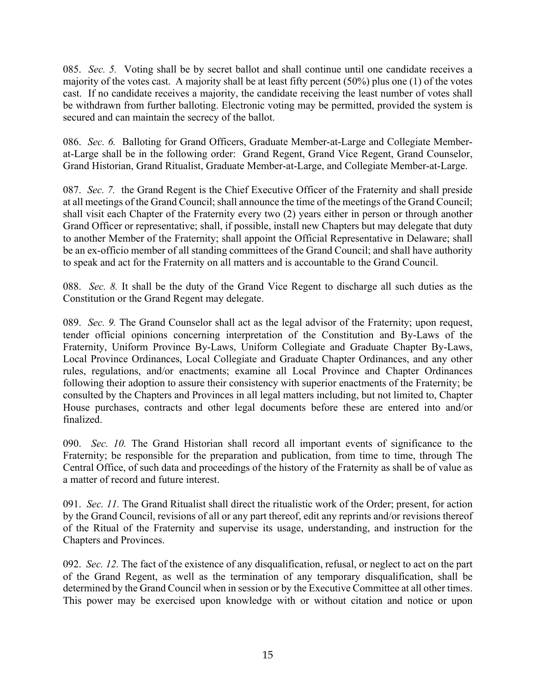085. *Sec. 5.* Voting shall be by secret ballot and shall continue until one candidate receives a majority of the votes cast. A majority shall be at least fifty percent (50%) plus one (1) of the votes cast. If no candidate receives a majority, the candidate receiving the least number of votes shall be withdrawn from further balloting. Electronic voting may be permitted, provided the system is secured and can maintain the secrecy of the ballot.

086. *Sec. 6.* Balloting for Grand Officers, Graduate Member-at-Large and Collegiate Memberat-Large shall be in the following order: Grand Regent, Grand Vice Regent, Grand Counselor, Grand Historian, Grand Ritualist, Graduate Member-at-Large, and Collegiate Member-at-Large.

087. *Sec. 7.* the Grand Regent is the Chief Executive Officer of the Fraternity and shall preside at all meetings of the Grand Council; shall announce the time of the meetings of the Grand Council; shall visit each Chapter of the Fraternity every two (2) years either in person or through another Grand Officer or representative; shall, if possible, install new Chapters but may delegate that duty to another Member of the Fraternity; shall appoint the Official Representative in Delaware; shall be an ex-officio member of all standing committees of the Grand Council; and shall have authority to speak and act for the Fraternity on all matters and is accountable to the Grand Council.

088. *Sec. 8.* It shall be the duty of the Grand Vice Regent to discharge all such duties as the Constitution or the Grand Regent may delegate.

089. *Sec. 9.* The Grand Counselor shall act as the legal advisor of the Fraternity; upon request, tender official opinions concerning interpretation of the Constitution and By-Laws of the Fraternity, Uniform Province By-Laws, Uniform Collegiate and Graduate Chapter By-Laws, Local Province Ordinances, Local Collegiate and Graduate Chapter Ordinances, and any other rules, regulations, and/or enactments; examine all Local Province and Chapter Ordinances following their adoption to assure their consistency with superior enactments of the Fraternity; be consulted by the Chapters and Provinces in all legal matters including, but not limited to, Chapter House purchases, contracts and other legal documents before these are entered into and/or finalized.

090. *Sec. 10.* The Grand Historian shall record all important events of significance to the Fraternity; be responsible for the preparation and publication, from time to time, through The Central Office, of such data and proceedings of the history of the Fraternity as shall be of value as a matter of record and future interest.

091. *Sec. 11.* The Grand Ritualist shall direct the ritualistic work of the Order; present, for action by the Grand Council, revisions of all or any part thereof, edit any reprints and/or revisions thereof of the Ritual of the Fraternity and supervise its usage, understanding, and instruction for the Chapters and Provinces.

092. *Sec. 12.* The fact of the existence of any disqualification, refusal, or neglect to act on the part of the Grand Regent, as well as the termination of any temporary disqualification, shall be determined by the Grand Council when in session or by the Executive Committee at all other times. This power may be exercised upon knowledge with or without citation and notice or upon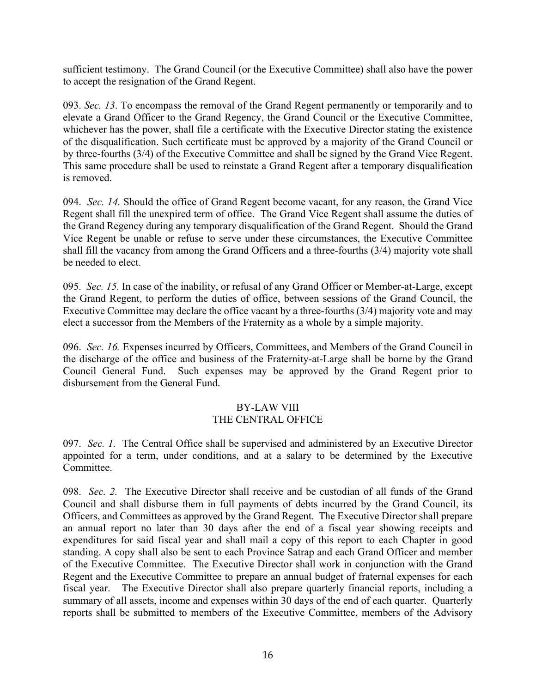sufficient testimony. The Grand Council (or the Executive Committee) shall also have the power to accept the resignation of the Grand Regent.

093. *Sec. 13*. To encompass the removal of the Grand Regent permanently or temporarily and to elevate a Grand Officer to the Grand Regency, the Grand Council or the Executive Committee, whichever has the power, shall file a certificate with the Executive Director stating the existence of the disqualification. Such certificate must be approved by a majority of the Grand Council or by three-fourths (3/4) of the Executive Committee and shall be signed by the Grand Vice Regent. This same procedure shall be used to reinstate a Grand Regent after a temporary disqualification is removed.

094. *Sec. 14.* Should the office of Grand Regent become vacant, for any reason, the Grand Vice Regent shall fill the unexpired term of office. The Grand Vice Regent shall assume the duties of the Grand Regency during any temporary disqualification of the Grand Regent. Should the Grand Vice Regent be unable or refuse to serve under these circumstances, the Executive Committee shall fill the vacancy from among the Grand Officers and a three-fourths (3/4) majority vote shall be needed to elect.

095. *Sec. 15.* In case of the inability, or refusal of any Grand Officer or Member-at-Large, except the Grand Regent, to perform the duties of office, between sessions of the Grand Council, the Executive Committee may declare the office vacant by a three-fourths (3/4) majority vote and may elect a successor from the Members of the Fraternity as a whole by a simple majority.

096. *Sec. 16.* Expenses incurred by Officers, Committees, and Members of the Grand Council in the discharge of the office and business of the Fraternity-at-Large shall be borne by the Grand Council General Fund. Such expenses may be approved by the Grand Regent prior to disbursement from the General Fund.

# BY-LAW VIII

# THE CENTRAL OFFICE

097. *Sec. 1.* The Central Office shall be supervised and administered by an Executive Director appointed for a term, under conditions, and at a salary to be determined by the Executive Committee.

098. *Sec. 2.* The Executive Director shall receive and be custodian of all funds of the Grand Council and shall disburse them in full payments of debts incurred by the Grand Council, its Officers, and Committees as approved by the Grand Regent. The Executive Director shall prepare an annual report no later than 30 days after the end of a fiscal year showing receipts and expenditures for said fiscal year and shall mail a copy of this report to each Chapter in good standing. A copy shall also be sent to each Province Satrap and each Grand Officer and member of the Executive Committee. The Executive Director shall work in conjunction with the Grand Regent and the Executive Committee to prepare an annual budget of fraternal expenses for each fiscal year. The Executive Director shall also prepare quarterly financial reports, including a summary of all assets, income and expenses within 30 days of the end of each quarter. Quarterly reports shall be submitted to members of the Executive Committee, members of the Advisory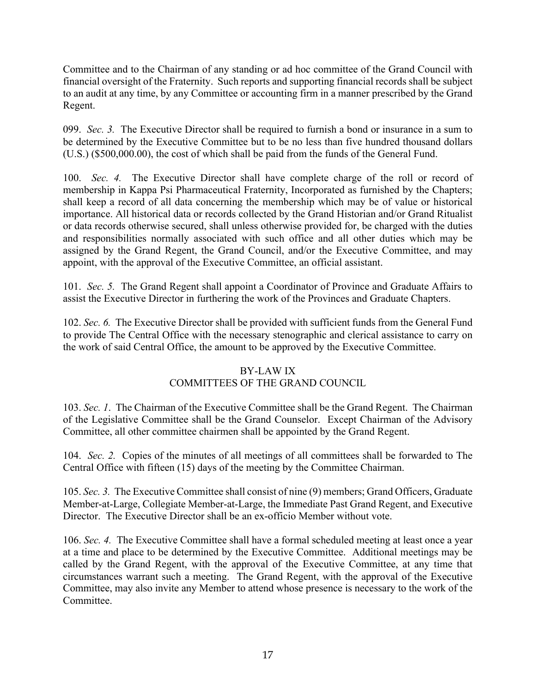Committee and to the Chairman of any standing or ad hoc committee of the Grand Council with financial oversight of the Fraternity. Such reports and supporting financial records shall be subject to an audit at any time, by any Committee or accounting firm in a manner prescribed by the Grand Regent.

099. *Sec. 3.* The Executive Director shall be required to furnish a bond or insurance in a sum to be determined by the Executive Committee but to be no less than five hundred thousand dollars (U.S.) (\$500,000.00), the cost of which shall be paid from the funds of the General Fund.

100. *Sec. 4.* The Executive Director shall have complete charge of the roll or record of membership in Kappa Psi Pharmaceutical Fraternity, Incorporated as furnished by the Chapters; shall keep a record of all data concerning the membership which may be of value or historical importance. All historical data or records collected by the Grand Historian and/or Grand Ritualist or data records otherwise secured, shall unless otherwise provided for, be charged with the duties and responsibilities normally associated with such office and all other duties which may be assigned by the Grand Regent, the Grand Council, and/or the Executive Committee, and may appoint, with the approval of the Executive Committee, an official assistant.

101. *Sec. 5.* The Grand Regent shall appoint a Coordinator of Province and Graduate Affairs to assist the Executive Director in furthering the work of the Provinces and Graduate Chapters.

102. *Sec. 6.* The Executive Director shall be provided with sufficient funds from the General Fund to provide The Central Office with the necessary stenographic and clerical assistance to carry on the work of said Central Office, the amount to be approved by the Executive Committee.

### BY-LAW IX

# COMMITTEES OF THE GRAND COUNCIL

103. *Sec. 1*. The Chairman of the Executive Committee shall be the Grand Regent. The Chairman of the Legislative Committee shall be the Grand Counselor. Except Chairman of the Advisory Committee, all other committee chairmen shall be appointed by the Grand Regent.

104. *Sec. 2.* Copies of the minutes of all meetings of all committees shall be forwarded to The Central Office with fifteen (15) days of the meeting by the Committee Chairman.

105. *Sec. 3.* The Executive Committee shall consist of nine (9) members; Grand Officers, Graduate Member-at-Large, Collegiate Member-at-Large, the Immediate Past Grand Regent, and Executive Director. The Executive Director shall be an ex-officio Member without vote.

106. *Sec. 4.* The Executive Committee shall have a formal scheduled meeting at least once a year at a time and place to be determined by the Executive Committee. Additional meetings may be called by the Grand Regent, with the approval of the Executive Committee, at any time that circumstances warrant such a meeting. The Grand Regent, with the approval of the Executive Committee, may also invite any Member to attend whose presence is necessary to the work of the **Committee**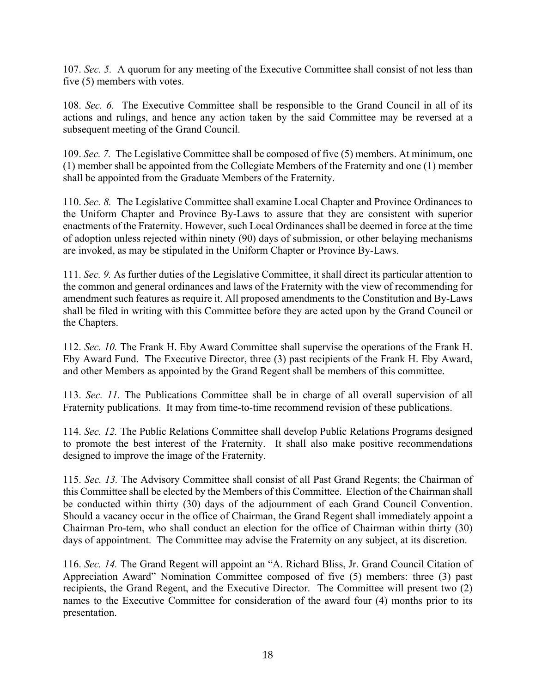107. *Sec. 5.* A quorum for any meeting of the Executive Committee shall consist of not less than five (5) members with votes.

108. *Sec. 6.* The Executive Committee shall be responsible to the Grand Council in all of its actions and rulings, and hence any action taken by the said Committee may be reversed at a subsequent meeting of the Grand Council.

109. *Sec. 7.* The Legislative Committee shall be composed of five (5) members. At minimum, one (1) member shall be appointed from the Collegiate Members of the Fraternity and one (1) member shall be appointed from the Graduate Members of the Fraternity.

110. *Sec. 8.* The Legislative Committee shall examine Local Chapter and Province Ordinances to the Uniform Chapter and Province By-Laws to assure that they are consistent with superior enactments of the Fraternity. However, such Local Ordinances shall be deemed in force at the time of adoption unless rejected within ninety (90) days of submission, or other belaying mechanisms are invoked, as may be stipulated in the Uniform Chapter or Province By-Laws.

111. *Sec. 9.* As further duties of the Legislative Committee, it shall direct its particular attention to the common and general ordinances and laws of the Fraternity with the view of recommending for amendment such features as require it. All proposed amendments to the Constitution and By-Laws shall be filed in writing with this Committee before they are acted upon by the Grand Council or the Chapters.

112. *Sec. 10.* The Frank H. Eby Award Committee shall supervise the operations of the Frank H. Eby Award Fund. The Executive Director, three (3) past recipients of the Frank H. Eby Award, and other Members as appointed by the Grand Regent shall be members of this committee.

113. *Sec. 11.* The Publications Committee shall be in charge of all overall supervision of all Fraternity publications. It may from time-to-time recommend revision of these publications.

114. *Sec. 12.* The Public Relations Committee shall develop Public Relations Programs designed to promote the best interest of the Fraternity. It shall also make positive recommendations designed to improve the image of the Fraternity.

115. *Sec. 13.* The Advisory Committee shall consist of all Past Grand Regents; the Chairman of this Committee shall be elected by the Members of this Committee. Election of the Chairman shall be conducted within thirty (30) days of the adjournment of each Grand Council Convention. Should a vacancy occur in the office of Chairman, the Grand Regent shall immediately appoint a Chairman Pro-tem, who shall conduct an election for the office of Chairman within thirty (30) days of appointment. The Committee may advise the Fraternity on any subject, at its discretion.

116. *Sec. 14.* The Grand Regent will appoint an "A. Richard Bliss, Jr. Grand Council Citation of Appreciation Award" Nomination Committee composed of five (5) members: three (3) past recipients, the Grand Regent, and the Executive Director. The Committee will present two (2) names to the Executive Committee for consideration of the award four (4) months prior to its presentation.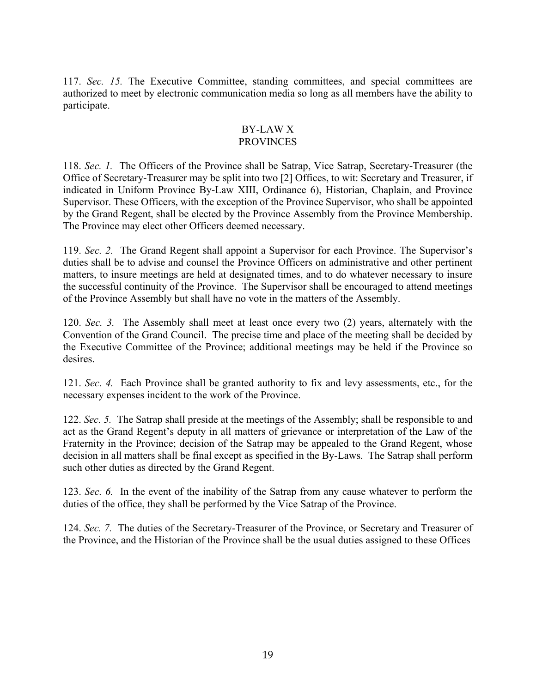117. *Sec. 15.* The Executive Committee, standing committees, and special committees are authorized to meet by electronic communication media so long as all members have the ability to participate.

#### BY-LAW X PROVINCES

118. *Sec. 1.* The Officers of the Province shall be Satrap, Vice Satrap, Secretary-Treasurer (the Office of Secretary-Treasurer may be split into two [2] Offices, to wit: Secretary and Treasurer, if indicated in Uniform Province By-Law XIII, Ordinance 6), Historian, Chaplain, and Province Supervisor. These Officers, with the exception of the Province Supervisor, who shall be appointed by the Grand Regent, shall be elected by the Province Assembly from the Province Membership. The Province may elect other Officers deemed necessary.

119. *Sec. 2.* The Grand Regent shall appoint a Supervisor for each Province. The Supervisor's duties shall be to advise and counsel the Province Officers on administrative and other pertinent matters, to insure meetings are held at designated times, and to do whatever necessary to insure the successful continuity of the Province. The Supervisor shall be encouraged to attend meetings of the Province Assembly but shall have no vote in the matters of the Assembly.

120. *Sec. 3.* The Assembly shall meet at least once every two (2) years, alternately with the Convention of the Grand Council. The precise time and place of the meeting shall be decided by the Executive Committee of the Province; additional meetings may be held if the Province so desires.

121. *Sec. 4.* Each Province shall be granted authority to fix and levy assessments, etc., for the necessary expenses incident to the work of the Province.

122. *Sec. 5.* The Satrap shall preside at the meetings of the Assembly; shall be responsible to and act as the Grand Regent's deputy in all matters of grievance or interpretation of the Law of the Fraternity in the Province; decision of the Satrap may be appealed to the Grand Regent, whose decision in all matters shall be final except as specified in the By-Laws. The Satrap shall perform such other duties as directed by the Grand Regent.

123. *Sec. 6.* In the event of the inability of the Satrap from any cause whatever to perform the duties of the office, they shall be performed by the Vice Satrap of the Province.

124. *Sec. 7.* The duties of the Secretary-Treasurer of the Province, or Secretary and Treasurer of the Province, and the Historian of the Province shall be the usual duties assigned to these Offices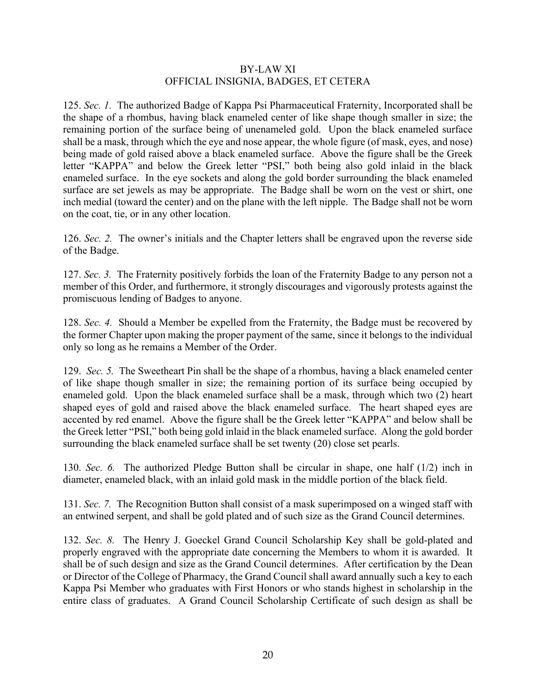#### BY-LAW XI OFFICIAL INSIGNIA, BADGES, ET CETERA

125. *Sec. 1.* The authorized Badge of Kappa Psi Pharmaceutical Fraternity, Incorporated shall be the shape of a rhombus, having black enameled center of like shape though smaller in size; the remaining portion of the surface being of unenameled gold. Upon the black enameled surface shall be a mask, through which the eye and nose appear, the whole figure (of mask, eyes, and nose) being made of gold raised above a black enameled surface. Above the figure shall be the Greek letter "KAPPA" and below the Greek letter "PSI," both being also gold inlaid in the black enameled surface. In the eye sockets and along the gold border surrounding the black enameled surface are set jewels as may be appropriate. The Badge shall be worn on the vest or shirt, one inch medial (toward the center) and on the plane with the left nipple. The Badge shall not be worn on the coat, tie, or in any other location.

126. *Sec. 2.* The owner's initials and the Chapter letters shall be engraved upon the reverse side of the Badge.

127. *Sec. 3.* The Fraternity positively forbids the loan of the Fraternity Badge to any person not a member of this Order, and furthermore, it strongly discourages and vigorously protests against the promiscuous lending of Badges to anyone.

128. *Sec. 4.* Should a Member be expelled from the Fraternity, the Badge must be recovered by the former Chapter upon making the proper payment of the same, since it belongs to the individual only so long as he remains a Member of the Order.

129. *Sec. 5.* The Sweetheart Pin shall be the shape of a rhombus, having a black enameled center of like shape though smaller in size; the remaining portion of its surface being occupied by enameled gold. Upon the black enameled surface shall be a mask, through which two (2) heart shaped eyes of gold and raised above the black enameled surface. The heart shaped eyes are accented by red enamel. Above the figure shall be the Greek letter "KAPPA" and below shall be the Greek letter "PSI," both being gold inlaid in the black enameled surface. Along the gold border surrounding the black enameled surface shall be set twenty (20) close set pearls.

130. *Sec. 6.* The authorized Pledge Button shall be circular in shape, one half (1/2) inch in diameter, enameled black, with an inlaid gold mask in the middle portion of the black field.

131. *Sec. 7.* The Recognition Button shall consist of a mask superimposed on a winged staff with an entwined serpent, and shall be gold plated and of such size as the Grand Council determines.

132. *Sec. 8.* The Henry J. Goeckel Grand Council Scholarship Key shall be gold-plated and properly engraved with the appropriate date concerning the Members to whom it is awarded. It shall be of such design and size as the Grand Council determines. After certification by the Dean or Director of the College of Pharmacy, the Grand Council shall award annually such a key to each Kappa Psi Member who graduates with First Honors or who stands highest in scholarship in the entire class of graduates. A Grand Council Scholarship Certificate of such design as shall be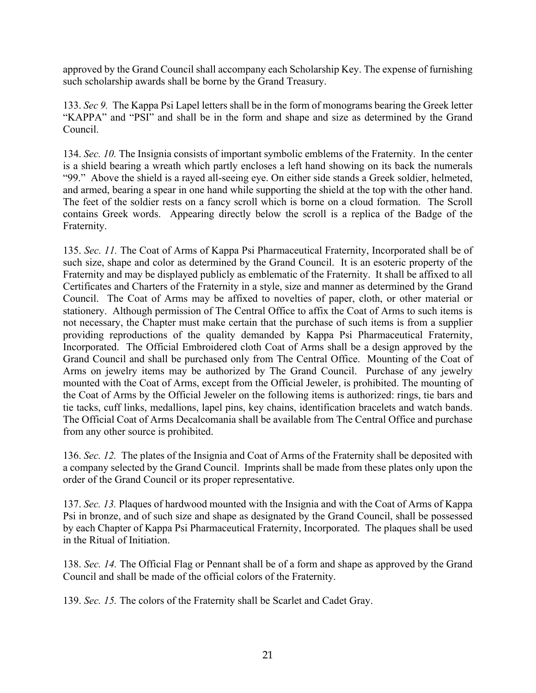approved by the Grand Council shall accompany each Scholarship Key. The expense of furnishing such scholarship awards shall be borne by the Grand Treasury.

133. *Sec 9.* The Kappa Psi Lapel letters shall be in the form of monograms bearing the Greek letter "KAPPA" and "PSI" and shall be in the form and shape and size as determined by the Grand Council.

134. *Sec. 10.* The Insignia consists of important symbolic emblems of the Fraternity. In the center is a shield bearing a wreath which partly encloses a left hand showing on its back the numerals "99." Above the shield is a rayed all-seeing eye. On either side stands a Greek soldier, helmeted, and armed, bearing a spear in one hand while supporting the shield at the top with the other hand. The feet of the soldier rests on a fancy scroll which is borne on a cloud formation. The Scroll contains Greek words. Appearing directly below the scroll is a replica of the Badge of the Fraternity.

135. *Sec. 11.* The Coat of Arms of Kappa Psi Pharmaceutical Fraternity, Incorporated shall be of such size, shape and color as determined by the Grand Council. It is an esoteric property of the Fraternity and may be displayed publicly as emblematic of the Fraternity. It shall be affixed to all Certificates and Charters of the Fraternity in a style, size and manner as determined by the Grand Council. The Coat of Arms may be affixed to novelties of paper, cloth, or other material or stationery. Although permission of The Central Office to affix the Coat of Arms to such items is not necessary, the Chapter must make certain that the purchase of such items is from a supplier providing reproductions of the quality demanded by Kappa Psi Pharmaceutical Fraternity, Incorporated. The Official Embroidered cloth Coat of Arms shall be a design approved by the Grand Council and shall be purchased only from The Central Office. Mounting of the Coat of Arms on jewelry items may be authorized by The Grand Council. Purchase of any jewelry mounted with the Coat of Arms, except from the Official Jeweler, is prohibited. The mounting of the Coat of Arms by the Official Jeweler on the following items is authorized: rings, tie bars and tie tacks, cuff links, medallions, lapel pins, key chains, identification bracelets and watch bands. The Official Coat of Arms Decalcomania shall be available from The Central Office and purchase from any other source is prohibited.

136. *Sec. 12.* The plates of the Insignia and Coat of Arms of the Fraternity shall be deposited with a company selected by the Grand Council. Imprints shall be made from these plates only upon the order of the Grand Council or its proper representative.

137. *Sec. 13.* Plaques of hardwood mounted with the Insignia and with the Coat of Arms of Kappa Psi in bronze, and of such size and shape as designated by the Grand Council, shall be possessed by each Chapter of Kappa Psi Pharmaceutical Fraternity, Incorporated. The plaques shall be used in the Ritual of Initiation.

138. *Sec. 14.* The Official Flag or Pennant shall be of a form and shape as approved by the Grand Council and shall be made of the official colors of the Fraternity.

139. *Sec. 15.* The colors of the Fraternity shall be Scarlet and Cadet Gray.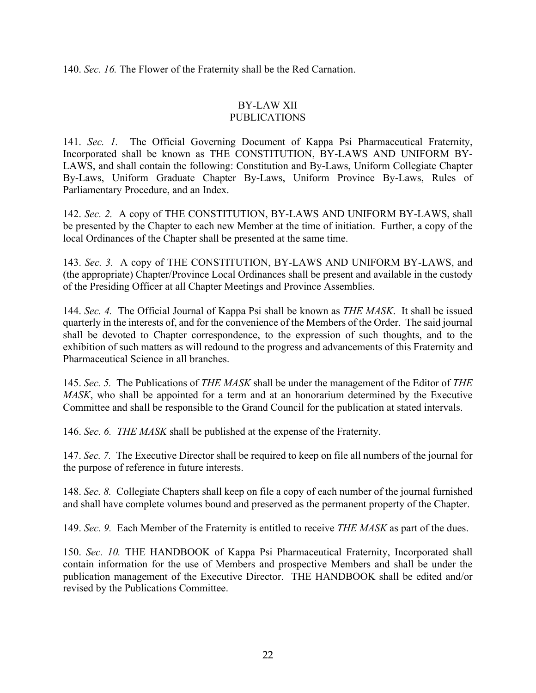140. *Sec. 16.* The Flower of the Fraternity shall be the Red Carnation.

#### BY-LAW XII PUBLICATIONS

141. *Sec. 1.* The Official Governing Document of Kappa Psi Pharmaceutical Fraternity, Incorporated shall be known as THE CONSTITUTION, BY-LAWS AND UNIFORM BY-LAWS, and shall contain the following: Constitution and By-Laws, Uniform Collegiate Chapter By-Laws, Uniform Graduate Chapter By-Laws, Uniform Province By-Laws, Rules of Parliamentary Procedure, and an Index.

142. *Sec. 2.* A copy of THE CONSTITUTION, BY-LAWS AND UNIFORM BY-LAWS, shall be presented by the Chapter to each new Member at the time of initiation. Further, a copy of the local Ordinances of the Chapter shall be presented at the same time.

143. *Sec. 3.* A copy of THE CONSTITUTION, BY-LAWS AND UNIFORM BY-LAWS, and (the appropriate) Chapter/Province Local Ordinances shall be present and available in the custody of the Presiding Officer at all Chapter Meetings and Province Assemblies.

144. *Sec. 4.* The Official Journal of Kappa Psi shall be known as *THE MASK*. It shall be issued quarterly in the interests of, and for the convenience of the Members of the Order. The said journal shall be devoted to Chapter correspondence, to the expression of such thoughts, and to the exhibition of such matters as will redound to the progress and advancements of this Fraternity and Pharmaceutical Science in all branches.

145. *Sec. 5.* The Publications of *THE MASK* shall be under the management of the Editor of *THE MASK*, who shall be appointed for a term and at an honorarium determined by the Executive Committee and shall be responsible to the Grand Council for the publication at stated intervals.

146. *Sec. 6. THE MASK* shall be published at the expense of the Fraternity.

147. *Sec. 7.* The Executive Director shall be required to keep on file all numbers of the journal for the purpose of reference in future interests.

148. *Sec. 8.* Collegiate Chapters shall keep on file a copy of each number of the journal furnished and shall have complete volumes bound and preserved as the permanent property of the Chapter.

149. *Sec. 9.* Each Member of the Fraternity is entitled to receive *THE MASK* as part of the dues.

150. *Sec. 10.* THE HANDBOOK of Kappa Psi Pharmaceutical Fraternity, Incorporated shall contain information for the use of Members and prospective Members and shall be under the publication management of the Executive Director. THE HANDBOOK shall be edited and/or revised by the Publications Committee.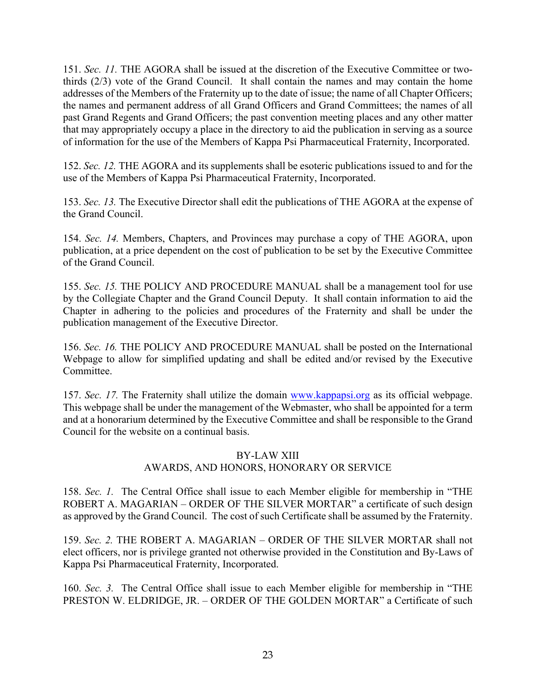151. *Sec. 11.* THE AGORA shall be issued at the discretion of the Executive Committee or twothirds (2/3) vote of the Grand Council. It shall contain the names and may contain the home addresses of the Members of the Fraternity up to the date of issue; the name of all Chapter Officers; the names and permanent address of all Grand Officers and Grand Committees; the names of all past Grand Regents and Grand Officers; the past convention meeting places and any other matter that may appropriately occupy a place in the directory to aid the publication in serving as a source of information for the use of the Members of Kappa Psi Pharmaceutical Fraternity, Incorporated.

152. *Sec. 12.* THE AGORA and its supplements shall be esoteric publications issued to and for the use of the Members of Kappa Psi Pharmaceutical Fraternity, Incorporated.

153. *Sec. 13.* The Executive Director shall edit the publications of THE AGORA at the expense of the Grand Council.

154. *Sec. 14.* Members, Chapters, and Provinces may purchase a copy of THE AGORA, upon publication, at a price dependent on the cost of publication to be set by the Executive Committee of the Grand Council.

155. *Sec. 15.* THE POLICY AND PROCEDURE MANUAL shall be a management tool for use by the Collegiate Chapter and the Grand Council Deputy. It shall contain information to aid the Chapter in adhering to the policies and procedures of the Fraternity and shall be under the publication management of the Executive Director.

156. *Sec. 16.* THE POLICY AND PROCEDURE MANUAL shall be posted on the International Webpage to allow for simplified updating and shall be edited and/or revised by the Executive Committee.

157. *Sec. 17.* The Fraternity shall utilize the domain www.kappapsi.org as its official webpage. This webpage shall be under the management of the Webmaster, who shall be appointed for a term and at a honorarium determined by the Executive Committee and shall be responsible to the Grand Council for the website on a continual basis.

### BY-LAW XIII AWARDS, AND HONORS, HONORARY OR SERVICE

158. *Sec. 1.* The Central Office shall issue to each Member eligible for membership in "THE ROBERT A. MAGARIAN – ORDER OF THE SILVER MORTAR" a certificate of such design as approved by the Grand Council. The cost of such Certificate shall be assumed by the Fraternity.

159. *Sec. 2.* THE ROBERT A. MAGARIAN – ORDER OF THE SILVER MORTAR shall not elect officers, nor is privilege granted not otherwise provided in the Constitution and By-Laws of Kappa Psi Pharmaceutical Fraternity, Incorporated.

160. *Sec. 3.* The Central Office shall issue to each Member eligible for membership in "THE PRESTON W. ELDRIDGE, JR. – ORDER OF THE GOLDEN MORTAR" a Certificate of such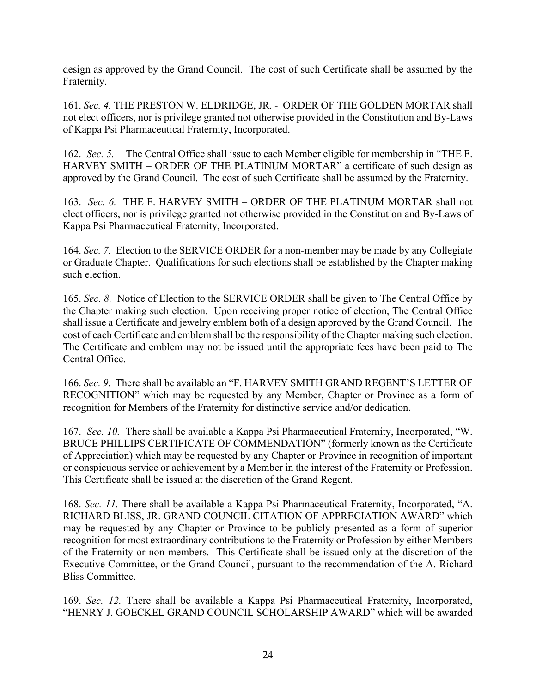design as approved by the Grand Council. The cost of such Certificate shall be assumed by the Fraternity.

161. *Sec. 4.* THE PRESTON W. ELDRIDGE, JR. - ORDER OF THE GOLDEN MORTAR shall not elect officers, nor is privilege granted not otherwise provided in the Constitution and By-Laws of Kappa Psi Pharmaceutical Fraternity, Incorporated.

162. *Sec. 5.* The Central Office shall issue to each Member eligible for membership in "THE F. HARVEY SMITH – ORDER OF THE PLATINUM MORTAR" a certificate of such design as approved by the Grand Council. The cost of such Certificate shall be assumed by the Fraternity.

163. *Sec. 6.* THE F. HARVEY SMITH – ORDER OF THE PLATINUM MORTAR shall not elect officers, nor is privilege granted not otherwise provided in the Constitution and By-Laws of Kappa Psi Pharmaceutical Fraternity, Incorporated.

164. *Sec. 7.* Election to the SERVICE ORDER for a non-member may be made by any Collegiate or Graduate Chapter. Qualifications for such elections shall be established by the Chapter making such election.

165. *Sec. 8.* Notice of Election to the SERVICE ORDER shall be given to The Central Office by the Chapter making such election. Upon receiving proper notice of election, The Central Office shall issue a Certificate and jewelry emblem both of a design approved by the Grand Council. The cost of each Certificate and emblem shall be the responsibility of the Chapter making such election. The Certificate and emblem may not be issued until the appropriate fees have been paid to The Central Office.

166. *Sec. 9.* There shall be available an "F. HARVEY SMITH GRAND REGENT'S LETTER OF RECOGNITION" which may be requested by any Member, Chapter or Province as a form of recognition for Members of the Fraternity for distinctive service and/or dedication.

167. *Sec. 10.* There shall be available a Kappa Psi Pharmaceutical Fraternity, Incorporated, "W. BRUCE PHILLIPS CERTIFICATE OF COMMENDATION" (formerly known as the Certificate of Appreciation) which may be requested by any Chapter or Province in recognition of important or conspicuous service or achievement by a Member in the interest of the Fraternity or Profession. This Certificate shall be issued at the discretion of the Grand Regent.

168. *Sec. 11.* There shall be available a Kappa Psi Pharmaceutical Fraternity, Incorporated, "A. RICHARD BLISS, JR. GRAND COUNCIL CITATION OF APPRECIATION AWARD" which may be requested by any Chapter or Province to be publicly presented as a form of superior recognition for most extraordinary contributions to the Fraternity or Profession by either Members of the Fraternity or non-members. This Certificate shall be issued only at the discretion of the Executive Committee, or the Grand Council, pursuant to the recommendation of the A. Richard Bliss Committee.

169. *Sec. 12.* There shall be available a Kappa Psi Pharmaceutical Fraternity, Incorporated, "HENRY J. GOECKEL GRAND COUNCIL SCHOLARSHIP AWARD" which will be awarded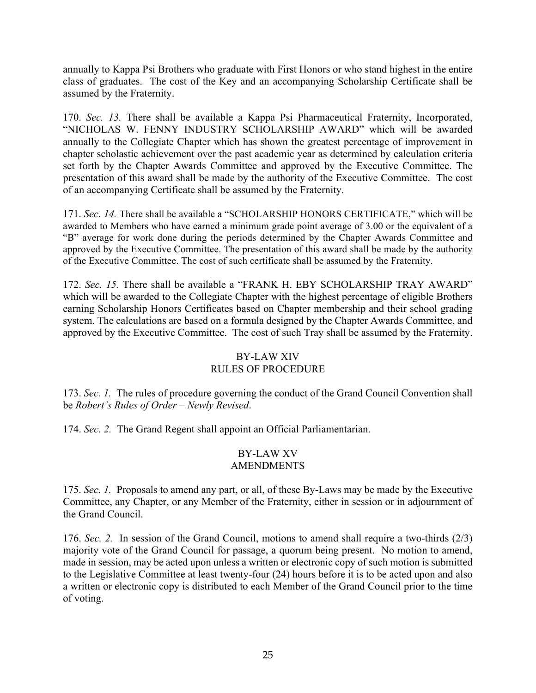annually to Kappa Psi Brothers who graduate with First Honors or who stand highest in the entire class of graduates. The cost of the Key and an accompanying Scholarship Certificate shall be assumed by the Fraternity.

170. *Sec. 13.* There shall be available a Kappa Psi Pharmaceutical Fraternity, Incorporated, "NICHOLAS W. FENNY INDUSTRY SCHOLARSHIP AWARD" which will be awarded annually to the Collegiate Chapter which has shown the greatest percentage of improvement in chapter scholastic achievement over the past academic year as determined by calculation criteria set forth by the Chapter Awards Committee and approved by the Executive Committee. The presentation of this award shall be made by the authority of the Executive Committee. The cost of an accompanying Certificate shall be assumed by the Fraternity.

171. *Sec. 14.* There shall be available a "SCHOLARSHIP HONORS CERTIFICATE," which will be awarded to Members who have earned a minimum grade point average of 3.00 or the equivalent of a "B" average for work done during the periods determined by the Chapter Awards Committee and approved by the Executive Committee. The presentation of this award shall be made by the authority of the Executive Committee. The cost of such certificate shall be assumed by the Fraternity.

172. *Sec. 15.* There shall be available a "FRANK H. EBY SCHOLARSHIP TRAY AWARD" which will be awarded to the Collegiate Chapter with the highest percentage of eligible Brothers earning Scholarship Honors Certificates based on Chapter membership and their school grading system. The calculations are based on a formula designed by the Chapter Awards Committee, and approved by the Executive Committee. The cost of such Tray shall be assumed by the Fraternity.

### BY-LAW XIV

# RULES OF PROCEDURE

173. *Sec. 1.* The rules of procedure governing the conduct of the Grand Council Convention shall be *Robert's Rules of Order – Newly Revised*.

174. *Sec. 2.* The Grand Regent shall appoint an Official Parliamentarian.

#### BY-LAW XV AMENDMENTS

175. *Sec. 1.* Proposals to amend any part, or all, of these By-Laws may be made by the Executive Committee, any Chapter, or any Member of the Fraternity, either in session or in adjournment of the Grand Council.

176. *Sec. 2.* In session of the Grand Council, motions to amend shall require a two-thirds (2/3) majority vote of the Grand Council for passage, a quorum being present. No motion to amend, made in session, may be acted upon unless a written or electronic copy of such motion is submitted to the Legislative Committee at least twenty-four (24) hours before it is to be acted upon and also a written or electronic copy is distributed to each Member of the Grand Council prior to the time of voting.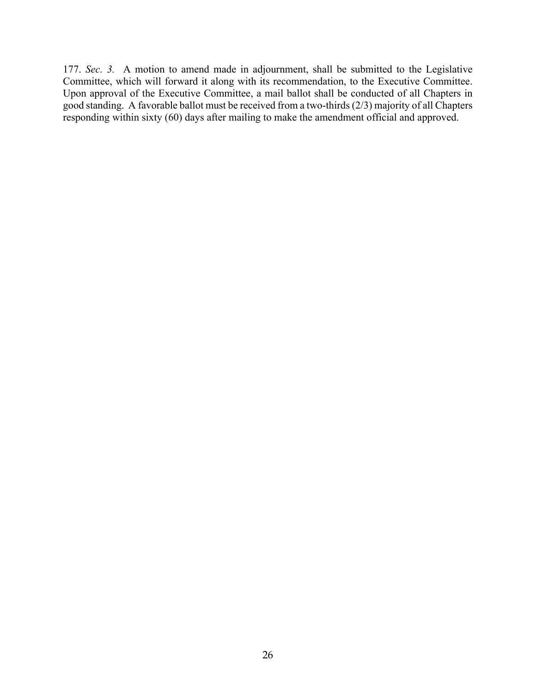177. *Sec. 3.* A motion to amend made in adjournment, shall be submitted to the Legislative Committee, which will forward it along with its recommendation, to the Executive Committee. Upon approval of the Executive Committee, a mail ballot shall be conducted of all Chapters in good standing. A favorable ballot must be received from a two-thirds (2/3) majority of all Chapters responding within sixty (60) days after mailing to make the amendment official and approved.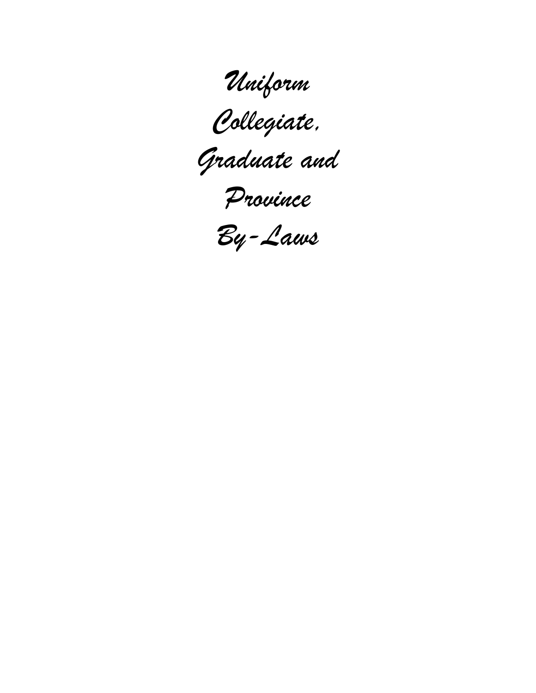*Uniform* 





*Province* 

*By-Laws*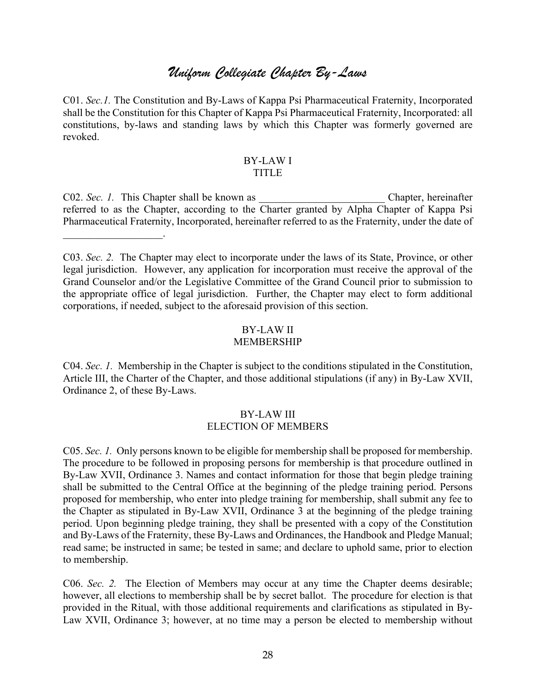# *Uniform Collegiate Chapter By-Laws*

C01. *Sec.1.* The Constitution and By-Laws of Kappa Psi Pharmaceutical Fraternity, Incorporated shall be the Constitution for this Chapter of Kappa Psi Pharmaceutical Fraternity, Incorporated: all constitutions, by-laws and standing laws by which this Chapter was formerly governed are revoked.

#### BY-LAW I TITLE

C02. *Sec. 1*. This Chapter shall be known as <br>Chapter, hereinafter referred to as the Chapter, according to the Charter granted by Alpha Chapter of Kappa Psi Pharmaceutical Fraternity, Incorporated, hereinafter referred to as the Fraternity, under the date of

 $\mathcal{L}_\text{max}$  , where  $\mathcal{L}_\text{max}$ 

C03. *Sec. 2.* The Chapter may elect to incorporate under the laws of its State, Province, or other legal jurisdiction. However, any application for incorporation must receive the approval of the Grand Counselor and/or the Legislative Committee of the Grand Council prior to submission to the appropriate office of legal jurisdiction. Further, the Chapter may elect to form additional corporations, if needed, subject to the aforesaid provision of this section.

# BY-LAW II

### MEMBERSHIP

C04. *Sec. 1.* Membership in the Chapter is subject to the conditions stipulated in the Constitution, Article III, the Charter of the Chapter, and those additional stipulations (if any) in By-Law XVII, Ordinance 2, of these By-Laws.

#### BY-LAW III ELECTION OF MEMBERS

C05. *Sec. 1.* Only persons known to be eligible for membership shall be proposed for membership. The procedure to be followed in proposing persons for membership is that procedure outlined in By-Law XVII, Ordinance 3. Names and contact information for those that begin pledge training shall be submitted to the Central Office at the beginning of the pledge training period. Persons proposed for membership, who enter into pledge training for membership, shall submit any fee to the Chapter as stipulated in By-Law XVII, Ordinance 3 at the beginning of the pledge training period. Upon beginning pledge training, they shall be presented with a copy of the Constitution and By-Laws of the Fraternity, these By-Laws and Ordinances, the Handbook and Pledge Manual; read same; be instructed in same; be tested in same; and declare to uphold same, prior to election to membership.

C06. *Sec. 2.* The Election of Members may occur at any time the Chapter deems desirable; however, all elections to membership shall be by secret ballot. The procedure for election is that provided in the Ritual, with those additional requirements and clarifications as stipulated in By-Law XVII, Ordinance 3; however, at no time may a person be elected to membership without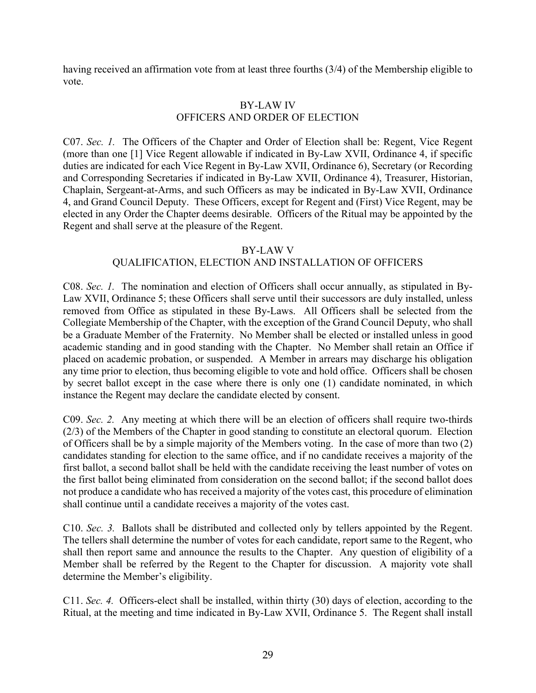having received an affirmation vote from at least three fourths (3/4) of the Membership eligible to vote.

#### BY-LAW IV OFFICERS AND ORDER OF ELECTION

C07. *Sec. 1.* The Officers of the Chapter and Order of Election shall be: Regent, Vice Regent (more than one [1] Vice Regent allowable if indicated in By-Law XVII, Ordinance 4, if specific duties are indicated for each Vice Regent in By-Law XVII, Ordinance 6), Secretary (or Recording and Corresponding Secretaries if indicated in By-Law XVII, Ordinance 4), Treasurer, Historian, Chaplain, Sergeant-at-Arms, and such Officers as may be indicated in By-Law XVII, Ordinance 4, and Grand Council Deputy. These Officers, except for Regent and (First) Vice Regent, may be elected in any Order the Chapter deems desirable. Officers of the Ritual may be appointed by the Regent and shall serve at the pleasure of the Regent.

#### BY-LAW V

#### QUALIFICATION, ELECTION AND INSTALLATION OF OFFICERS

C08. *Sec. 1.* The nomination and election of Officers shall occur annually, as stipulated in By-Law XVII, Ordinance 5; these Officers shall serve until their successors are duly installed, unless removed from Office as stipulated in these By-Laws. All Officers shall be selected from the Collegiate Membership of the Chapter, with the exception of the Grand Council Deputy, who shall be a Graduate Member of the Fraternity. No Member shall be elected or installed unless in good academic standing and in good standing with the Chapter. No Member shall retain an Office if placed on academic probation, or suspended. A Member in arrears may discharge his obligation any time prior to election, thus becoming eligible to vote and hold office. Officers shall be chosen by secret ballot except in the case where there is only one (1) candidate nominated, in which instance the Regent may declare the candidate elected by consent.

C09. *Sec. 2.* Any meeting at which there will be an election of officers shall require two-thirds (2/3) of the Members of the Chapter in good standing to constitute an electoral quorum. Election of Officers shall be by a simple majority of the Members voting. In the case of more than two (2) candidates standing for election to the same office, and if no candidate receives a majority of the first ballot, a second ballot shall be held with the candidate receiving the least number of votes on the first ballot being eliminated from consideration on the second ballot; if the second ballot does not produce a candidate who has received a majority of the votes cast, this procedure of elimination shall continue until a candidate receives a majority of the votes cast.

C10. *Sec. 3.* Ballots shall be distributed and collected only by tellers appointed by the Regent. The tellers shall determine the number of votes for each candidate, report same to the Regent, who shall then report same and announce the results to the Chapter. Any question of eligibility of a Member shall be referred by the Regent to the Chapter for discussion. A majority vote shall determine the Member's eligibility.

C11. *Sec. 4.* Officers-elect shall be installed, within thirty (30) days of election, according to the Ritual, at the meeting and time indicated in By-Law XVII, Ordinance 5. The Regent shall install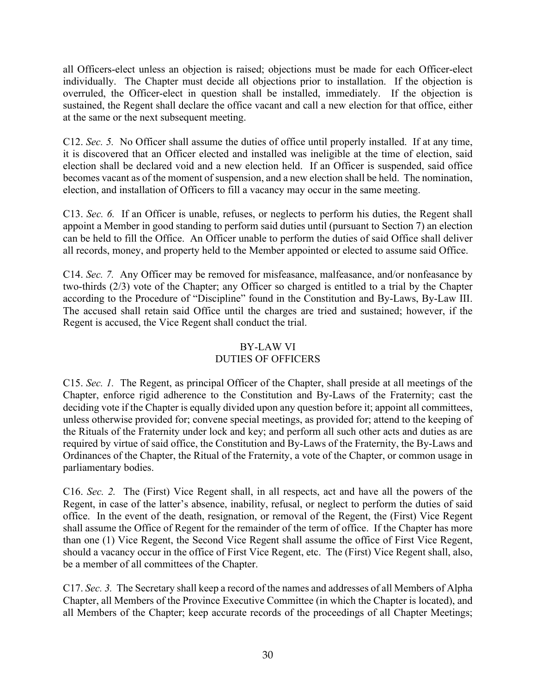all Officers-elect unless an objection is raised; objections must be made for each Officer-elect individually. The Chapter must decide all objections prior to installation. If the objection is overruled, the Officer-elect in question shall be installed, immediately. If the objection is sustained, the Regent shall declare the office vacant and call a new election for that office, either at the same or the next subsequent meeting.

C12. *Sec. 5.* No Officer shall assume the duties of office until properly installed. If at any time, it is discovered that an Officer elected and installed was ineligible at the time of election, said election shall be declared void and a new election held. If an Officer is suspended, said office becomes vacant as of the moment of suspension, and a new election shall be held. The nomination, election, and installation of Officers to fill a vacancy may occur in the same meeting.

C13. *Sec. 6.* If an Officer is unable, refuses, or neglects to perform his duties, the Regent shall appoint a Member in good standing to perform said duties until (pursuant to Section 7) an election can be held to fill the Office. An Officer unable to perform the duties of said Office shall deliver all records, money, and property held to the Member appointed or elected to assume said Office.

C14. *Sec. 7.* Any Officer may be removed for misfeasance, malfeasance, and/or nonfeasance by two-thirds (2/3) vote of the Chapter; any Officer so charged is entitled to a trial by the Chapter according to the Procedure of "Discipline" found in the Constitution and By-Laws, By-Law III. The accused shall retain said Office until the charges are tried and sustained; however, if the Regent is accused, the Vice Regent shall conduct the trial.

# BY-LAW VI DUTIES OF OFFICERS

C15. *Sec. 1.* The Regent, as principal Officer of the Chapter, shall preside at all meetings of the Chapter, enforce rigid adherence to the Constitution and By-Laws of the Fraternity; cast the deciding vote if the Chapter is equally divided upon any question before it; appoint all committees, unless otherwise provided for; convene special meetings, as provided for; attend to the keeping of the Rituals of the Fraternity under lock and key; and perform all such other acts and duties as are required by virtue of said office, the Constitution and By-Laws of the Fraternity, the By-Laws and Ordinances of the Chapter, the Ritual of the Fraternity, a vote of the Chapter, or common usage in parliamentary bodies.

C16. *Sec. 2.* The (First) Vice Regent shall, in all respects, act and have all the powers of the Regent, in case of the latter's absence, inability, refusal, or neglect to perform the duties of said office. In the event of the death, resignation, or removal of the Regent, the (First) Vice Regent shall assume the Office of Regent for the remainder of the term of office. If the Chapter has more than one (1) Vice Regent, the Second Vice Regent shall assume the office of First Vice Regent, should a vacancy occur in the office of First Vice Regent, etc. The (First) Vice Regent shall, also, be a member of all committees of the Chapter.

C17. *Sec. 3.* The Secretary shall keep a record of the names and addresses of all Members of Alpha Chapter, all Members of the Province Executive Committee (in which the Chapter is located), and all Members of the Chapter; keep accurate records of the proceedings of all Chapter Meetings;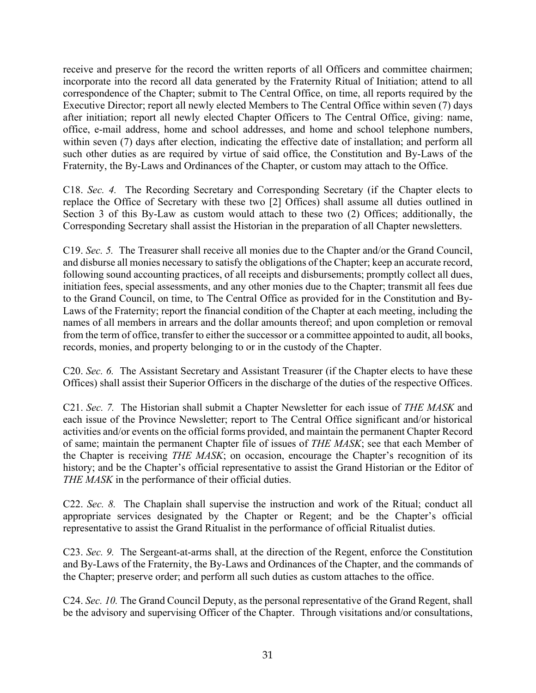receive and preserve for the record the written reports of all Officers and committee chairmen; incorporate into the record all data generated by the Fraternity Ritual of Initiation; attend to all correspondence of the Chapter; submit to The Central Office, on time, all reports required by the Executive Director; report all newly elected Members to The Central Office within seven (7) days after initiation; report all newly elected Chapter Officers to The Central Office, giving: name, office, e-mail address, home and school addresses, and home and school telephone numbers, within seven (7) days after election, indicating the effective date of installation; and perform all such other duties as are required by virtue of said office, the Constitution and By-Laws of the Fraternity, the By-Laws and Ordinances of the Chapter, or custom may attach to the Office.

C18. *Sec. 4.* The Recording Secretary and Corresponding Secretary (if the Chapter elects to replace the Office of Secretary with these two [2] Offices) shall assume all duties outlined in Section 3 of this By-Law as custom would attach to these two (2) Offices; additionally, the Corresponding Secretary shall assist the Historian in the preparation of all Chapter newsletters.

C19. *Sec. 5.* The Treasurer shall receive all monies due to the Chapter and/or the Grand Council, and disburse all monies necessary to satisfy the obligations of the Chapter; keep an accurate record, following sound accounting practices, of all receipts and disbursements; promptly collect all dues, initiation fees, special assessments, and any other monies due to the Chapter; transmit all fees due to the Grand Council, on time, to The Central Office as provided for in the Constitution and By-Laws of the Fraternity; report the financial condition of the Chapter at each meeting, including the names of all members in arrears and the dollar amounts thereof; and upon completion or removal from the term of office, transfer to either the successor or a committee appointed to audit, all books, records, monies, and property belonging to or in the custody of the Chapter.

C20. *Sec. 6.* The Assistant Secretary and Assistant Treasurer (if the Chapter elects to have these Offices) shall assist their Superior Officers in the discharge of the duties of the respective Offices.

C21. *Sec. 7.* The Historian shall submit a Chapter Newsletter for each issue of *THE MASK* and each issue of the Province Newsletter; report to The Central Office significant and/or historical activities and/or events on the official forms provided, and maintain the permanent Chapter Record of same; maintain the permanent Chapter file of issues of *THE MASK*; see that each Member of the Chapter is receiving *THE MASK*; on occasion, encourage the Chapter's recognition of its history; and be the Chapter's official representative to assist the Grand Historian or the Editor of *THE MASK* in the performance of their official duties.

C22. *Sec. 8.* The Chaplain shall supervise the instruction and work of the Ritual; conduct all appropriate services designated by the Chapter or Regent; and be the Chapter's official representative to assist the Grand Ritualist in the performance of official Ritualist duties.

C23. *Sec. 9.* The Sergeant-at-arms shall, at the direction of the Regent, enforce the Constitution and By-Laws of the Fraternity, the By-Laws and Ordinances of the Chapter, and the commands of the Chapter; preserve order; and perform all such duties as custom attaches to the office.

C24. *Sec. 10.* The Grand Council Deputy, as the personal representative of the Grand Regent, shall be the advisory and supervising Officer of the Chapter. Through visitations and/or consultations,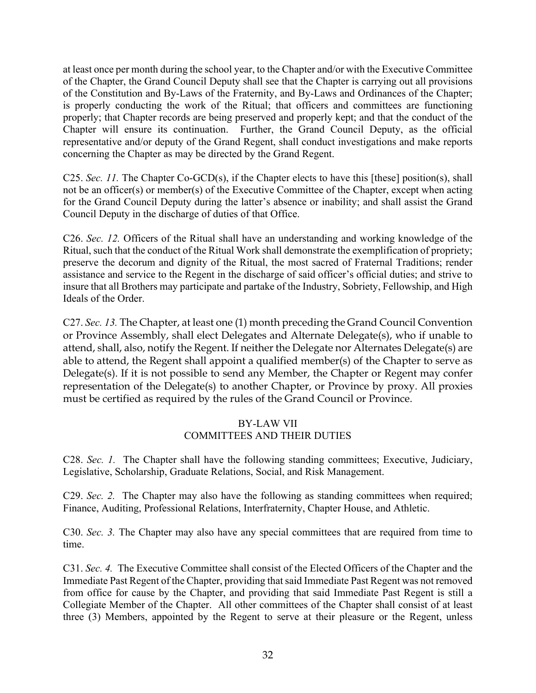at least once per month during the school year, to the Chapter and/or with the Executive Committee of the Chapter, the Grand Council Deputy shall see that the Chapter is carrying out all provisions of the Constitution and By-Laws of the Fraternity, and By-Laws and Ordinances of the Chapter; is properly conducting the work of the Ritual; that officers and committees are functioning properly; that Chapter records are being preserved and properly kept; and that the conduct of the Chapter will ensure its continuation. Further, the Grand Council Deputy, as the official representative and/or deputy of the Grand Regent, shall conduct investigations and make reports concerning the Chapter as may be directed by the Grand Regent.

C25. *Sec. 11.* The Chapter Co-GCD(s), if the Chapter elects to have this [these] position(s), shall not be an officer(s) or member(s) of the Executive Committee of the Chapter, except when acting for the Grand Council Deputy during the latter's absence or inability; and shall assist the Grand Council Deputy in the discharge of duties of that Office.

C26. *Sec. 12.* Officers of the Ritual shall have an understanding and working knowledge of the Ritual, such that the conduct of the Ritual Work shall demonstrate the exemplification of propriety; preserve the decorum and dignity of the Ritual, the most sacred of Fraternal Traditions; render assistance and service to the Regent in the discharge of said officer's official duties; and strive to insure that all Brothers may participate and partake of the Industry, Sobriety, Fellowship, and High Ideals of the Order.

C27. *Sec. 13.* The Chapter, at least one (1) month preceding the Grand Council Convention or Province Assembly, shall elect Delegates and Alternate Delegate(s), who if unable to attend, shall, also, notify the Regent. If neither the Delegate nor Alternates Delegate(s) are able to attend, the Regent shall appoint a qualified member(s) of the Chapter to serve as Delegate(s). If it is not possible to send any Member, the Chapter or Regent may confer representation of the Delegate(s) to another Chapter, or Province by proxy. All proxies must be certified as required by the rules of the Grand Council or Province.

#### BY-LAW VII COMMITTEES AND THEIR DUTIES

C28. *Sec. 1.* The Chapter shall have the following standing committees; Executive, Judiciary, Legislative, Scholarship, Graduate Relations, Social, and Risk Management.

C29. *Sec. 2.* The Chapter may also have the following as standing committees when required; Finance, Auditing, Professional Relations, Interfraternity, Chapter House, and Athletic.

C30. *Sec. 3.* The Chapter may also have any special committees that are required from time to time.

C31. *Sec. 4.* The Executive Committee shall consist of the Elected Officers of the Chapter and the Immediate Past Regent of the Chapter, providing that said Immediate Past Regent was not removed from office for cause by the Chapter, and providing that said Immediate Past Regent is still a Collegiate Member of the Chapter. All other committees of the Chapter shall consist of at least three (3) Members, appointed by the Regent to serve at their pleasure or the Regent, unless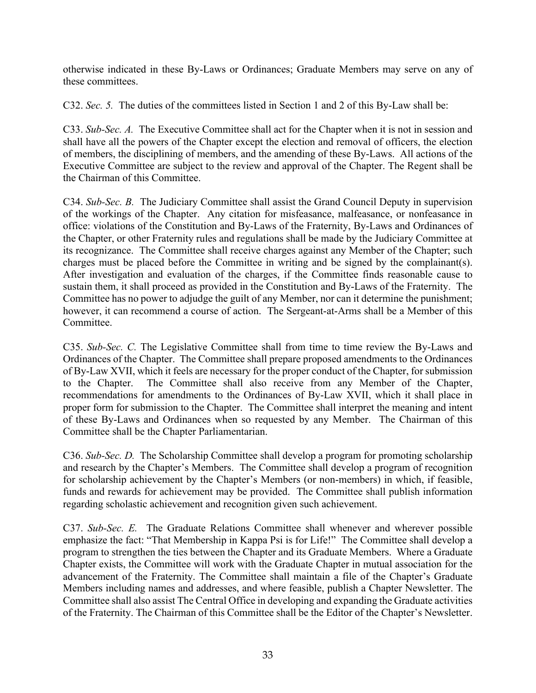otherwise indicated in these By-Laws or Ordinances; Graduate Members may serve on any of these committees.

C32. *Sec. 5.* The duties of the committees listed in Section 1 and 2 of this By-Law shall be:

C33. *Sub-Sec. A.* The Executive Committee shall act for the Chapter when it is not in session and shall have all the powers of the Chapter except the election and removal of officers, the election of members, the disciplining of members, and the amending of these By-Laws. All actions of the Executive Committee are subject to the review and approval of the Chapter. The Regent shall be the Chairman of this Committee.

C34. *Sub-Sec. B.* The Judiciary Committee shall assist the Grand Council Deputy in supervision of the workings of the Chapter. Any citation for misfeasance, malfeasance, or nonfeasance in office: violations of the Constitution and By-Laws of the Fraternity, By-Laws and Ordinances of the Chapter, or other Fraternity rules and regulations shall be made by the Judiciary Committee at its recognizance. The Committee shall receive charges against any Member of the Chapter; such charges must be placed before the Committee in writing and be signed by the complainant(s). After investigation and evaluation of the charges, if the Committee finds reasonable cause to sustain them, it shall proceed as provided in the Constitution and By-Laws of the Fraternity. The Committee has no power to adjudge the guilt of any Member, nor can it determine the punishment; however, it can recommend a course of action. The Sergeant-at-Arms shall be a Member of this Committee.

C35. *Sub-Sec. C.* The Legislative Committee shall from time to time review the By-Laws and Ordinances of the Chapter. The Committee shall prepare proposed amendments to the Ordinances of By-Law XVII, which it feels are necessary for the proper conduct of the Chapter, for submission to the Chapter. The Committee shall also receive from any Member of the Chapter, recommendations for amendments to the Ordinances of By-Law XVII, which it shall place in proper form for submission to the Chapter. The Committee shall interpret the meaning and intent of these By-Laws and Ordinances when so requested by any Member. The Chairman of this Committee shall be the Chapter Parliamentarian.

C36. *Sub-Sec. D.* The Scholarship Committee shall develop a program for promoting scholarship and research by the Chapter's Members. The Committee shall develop a program of recognition for scholarship achievement by the Chapter's Members (or non-members) in which, if feasible, funds and rewards for achievement may be provided. The Committee shall publish information regarding scholastic achievement and recognition given such achievement.

C37. *Sub-Sec. E.* The Graduate Relations Committee shall whenever and wherever possible emphasize the fact: "That Membership in Kappa Psi is for Life!" The Committee shall develop a program to strengthen the ties between the Chapter and its Graduate Members. Where a Graduate Chapter exists, the Committee will work with the Graduate Chapter in mutual association for the advancement of the Fraternity. The Committee shall maintain a file of the Chapter's Graduate Members including names and addresses, and where feasible, publish a Chapter Newsletter. The Committee shall also assist The Central Office in developing and expanding the Graduate activities of the Fraternity. The Chairman of this Committee shall be the Editor of the Chapter's Newsletter.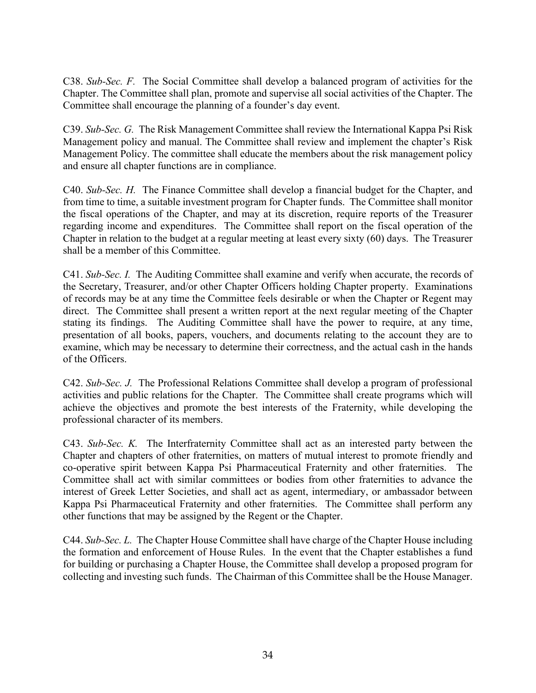C38. *Sub-Sec. F.* The Social Committee shall develop a balanced program of activities for the Chapter. The Committee shall plan, promote and supervise all social activities of the Chapter. The Committee shall encourage the planning of a founder's day event.

C39. *Sub-Sec. G.* The Risk Management Committee shall review the International Kappa Psi Risk Management policy and manual. The Committee shall review and implement the chapter's Risk Management Policy. The committee shall educate the members about the risk management policy and ensure all chapter functions are in compliance.

C40. *Sub-Sec. H.* The Finance Committee shall develop a financial budget for the Chapter, and from time to time, a suitable investment program for Chapter funds. The Committee shall monitor the fiscal operations of the Chapter, and may at its discretion, require reports of the Treasurer regarding income and expenditures. The Committee shall report on the fiscal operation of the Chapter in relation to the budget at a regular meeting at least every sixty (60) days. The Treasurer shall be a member of this Committee.

C41. *Sub-Sec. I.* The Auditing Committee shall examine and verify when accurate, the records of the Secretary, Treasurer, and/or other Chapter Officers holding Chapter property. Examinations of records may be at any time the Committee feels desirable or when the Chapter or Regent may direct. The Committee shall present a written report at the next regular meeting of the Chapter stating its findings. The Auditing Committee shall have the power to require, at any time, presentation of all books, papers, vouchers, and documents relating to the account they are to examine, which may be necessary to determine their correctness, and the actual cash in the hands of the Officers.

C42. *Sub-Sec. J.* The Professional Relations Committee shall develop a program of professional activities and public relations for the Chapter. The Committee shall create programs which will achieve the objectives and promote the best interests of the Fraternity, while developing the professional character of its members.

C43. *Sub-Sec. K.* The Interfraternity Committee shall act as an interested party between the Chapter and chapters of other fraternities, on matters of mutual interest to promote friendly and co-operative spirit between Kappa Psi Pharmaceutical Fraternity and other fraternities. The Committee shall act with similar committees or bodies from other fraternities to advance the interest of Greek Letter Societies, and shall act as agent, intermediary, or ambassador between Kappa Psi Pharmaceutical Fraternity and other fraternities. The Committee shall perform any other functions that may be assigned by the Regent or the Chapter.

C44. *Sub-Sec. L.* The Chapter House Committee shall have charge of the Chapter House including the formation and enforcement of House Rules. In the event that the Chapter establishes a fund for building or purchasing a Chapter House, the Committee shall develop a proposed program for collecting and investing such funds. The Chairman of this Committee shall be the House Manager.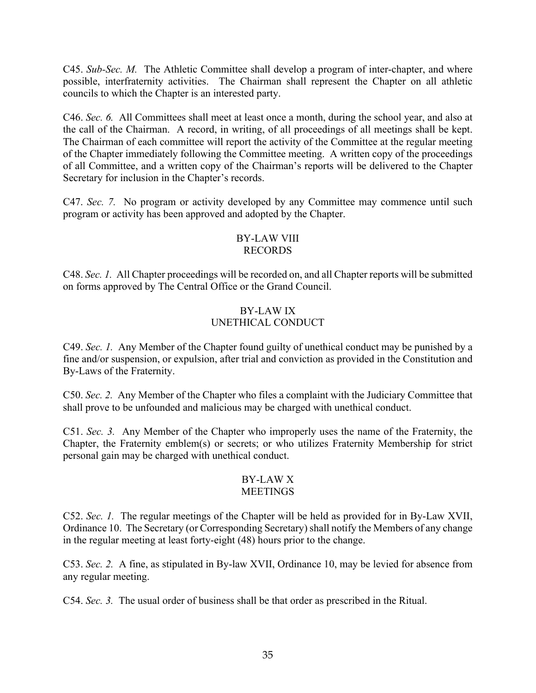C45. *Sub-Sec. M.* The Athletic Committee shall develop a program of inter-chapter, and where possible, interfraternity activities. The Chairman shall represent the Chapter on all athletic councils to which the Chapter is an interested party.

C46. *Sec. 6.* All Committees shall meet at least once a month, during the school year, and also at the call of the Chairman. A record, in writing, of all proceedings of all meetings shall be kept. The Chairman of each committee will report the activity of the Committee at the regular meeting of the Chapter immediately following the Committee meeting. A written copy of the proceedings of all Committee, and a written copy of the Chairman's reports will be delivered to the Chapter Secretary for inclusion in the Chapter's records.

C47. *Sec. 7.* No program or activity developed by any Committee may commence until such program or activity has been approved and adopted by the Chapter.

#### BY-LAW VIII RECORDS

C48. *Sec. 1.* All Chapter proceedings will be recorded on, and all Chapter reports will be submitted on forms approved by The Central Office or the Grand Council.

### BY-LAW IX UNETHICAL CONDUCT

C49. *Sec. 1.* Any Member of the Chapter found guilty of unethical conduct may be punished by a fine and/or suspension, or expulsion, after trial and conviction as provided in the Constitution and By-Laws of the Fraternity.

C50. *Sec. 2.* Any Member of the Chapter who files a complaint with the Judiciary Committee that shall prove to be unfounded and malicious may be charged with unethical conduct.

C51. *Sec. 3.* Any Member of the Chapter who improperly uses the name of the Fraternity, the Chapter, the Fraternity emblem(s) or secrets; or who utilizes Fraternity Membership for strict personal gain may be charged with unethical conduct.

#### BY-LAW X **MEETINGS**

C52. *Sec. 1.* The regular meetings of the Chapter will be held as provided for in By-Law XVII, Ordinance 10. The Secretary (or Corresponding Secretary) shall notify the Members of any change in the regular meeting at least forty-eight (48) hours prior to the change.

C53. *Sec. 2.* A fine, as stipulated in By-law XVII, Ordinance 10, may be levied for absence from any regular meeting.

C54. *Sec. 3.* The usual order of business shall be that order as prescribed in the Ritual.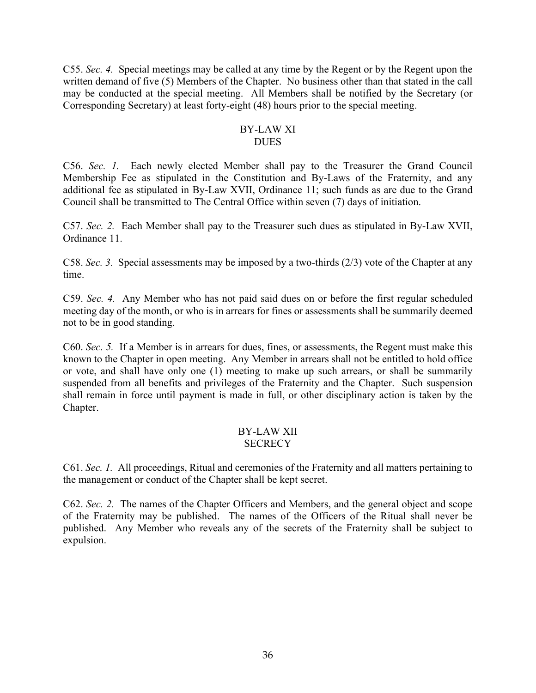C55. *Sec. 4.* Special meetings may be called at any time by the Regent or by the Regent upon the written demand of five (5) Members of the Chapter. No business other than that stated in the call may be conducted at the special meeting. All Members shall be notified by the Secretary (or Corresponding Secretary) at least forty-eight (48) hours prior to the special meeting.

#### BY-LAW XI **DUES**

C56. *Sec. 1.* Each newly elected Member shall pay to the Treasurer the Grand Council Membership Fee as stipulated in the Constitution and By-Laws of the Fraternity, and any additional fee as stipulated in By-Law XVII, Ordinance 11; such funds as are due to the Grand Council shall be transmitted to The Central Office within seven (7) days of initiation.

C57. *Sec. 2.* Each Member shall pay to the Treasurer such dues as stipulated in By-Law XVII, Ordinance 11.

C58. *Sec. 3.* Special assessments may be imposed by a two-thirds (2/3) vote of the Chapter at any time.

C59. *Sec. 4.* Any Member who has not paid said dues on or before the first regular scheduled meeting day of the month, or who is in arrears for fines or assessments shall be summarily deemed not to be in good standing.

C60. *Sec. 5.* If a Member is in arrears for dues, fines, or assessments, the Regent must make this known to the Chapter in open meeting. Any Member in arrears shall not be entitled to hold office or vote, and shall have only one (1) meeting to make up such arrears, or shall be summarily suspended from all benefits and privileges of the Fraternity and the Chapter. Such suspension shall remain in force until payment is made in full, or other disciplinary action is taken by the Chapter.

#### BY-LAW XII **SECRECY**

C61. *Sec. 1.* All proceedings, Ritual and ceremonies of the Fraternity and all matters pertaining to the management or conduct of the Chapter shall be kept secret.

C62. *Sec. 2.* The names of the Chapter Officers and Members, and the general object and scope of the Fraternity may be published. The names of the Officers of the Ritual shall never be published. Any Member who reveals any of the secrets of the Fraternity shall be subject to expulsion.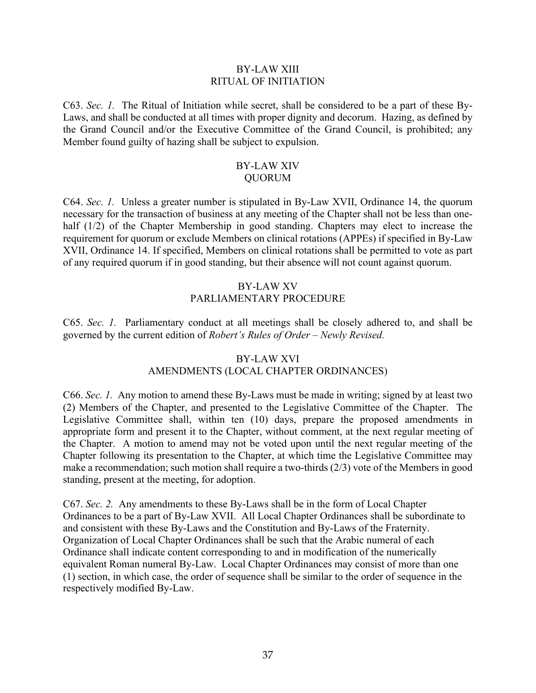#### BY-LAW XIII RITUAL OF INITIATION

C63. *Sec. 1.* The Ritual of Initiation while secret, shall be considered to be a part of these By-Laws, and shall be conducted at all times with proper dignity and decorum. Hazing, as defined by the Grand Council and/or the Executive Committee of the Grand Council, is prohibited; any Member found guilty of hazing shall be subject to expulsion.

#### BY-LAW XIV QUORUM

C64. *Sec. 1.* Unless a greater number is stipulated in By-Law XVII, Ordinance 14, the quorum necessary for the transaction of business at any meeting of the Chapter shall not be less than onehalf (1/2) of the Chapter Membership in good standing. Chapters may elect to increase the requirement for quorum or exclude Members on clinical rotations (APPEs) if specified in By-Law XVII, Ordinance 14. If specified, Members on clinical rotations shall be permitted to vote as part of any required quorum if in good standing, but their absence will not count against quorum.

### BY-LAW XV PARLIAMENTARY PROCEDURE

C65. *Sec. 1.* Parliamentary conduct at all meetings shall be closely adhered to, and shall be governed by the current edition of *Robert's Rules of Order – Newly Revised.*

### BY-LAW XVI

### AMENDMENTS (LOCAL CHAPTER ORDINANCES)

C66. *Sec. 1.* Any motion to amend these By-Laws must be made in writing; signed by at least two (2) Members of the Chapter, and presented to the Legislative Committee of the Chapter. The Legislative Committee shall, within ten (10) days, prepare the proposed amendments in appropriate form and present it to the Chapter, without comment, at the next regular meeting of the Chapter. A motion to amend may not be voted upon until the next regular meeting of the Chapter following its presentation to the Chapter, at which time the Legislative Committee may make a recommendation; such motion shall require a two-thirds (2/3) vote of the Members in good standing, present at the meeting, for adoption.

C67. *Sec. 2.* Any amendments to these By-Laws shall be in the form of Local Chapter Ordinances to be a part of By-Law XVII. All Local Chapter Ordinances shall be subordinate to and consistent with these By-Laws and the Constitution and By-Laws of the Fraternity. Organization of Local Chapter Ordinances shall be such that the Arabic numeral of each Ordinance shall indicate content corresponding to and in modification of the numerically equivalent Roman numeral By-Law. Local Chapter Ordinances may consist of more than one (1) section, in which case, the order of sequence shall be similar to the order of sequence in the respectively modified By-Law.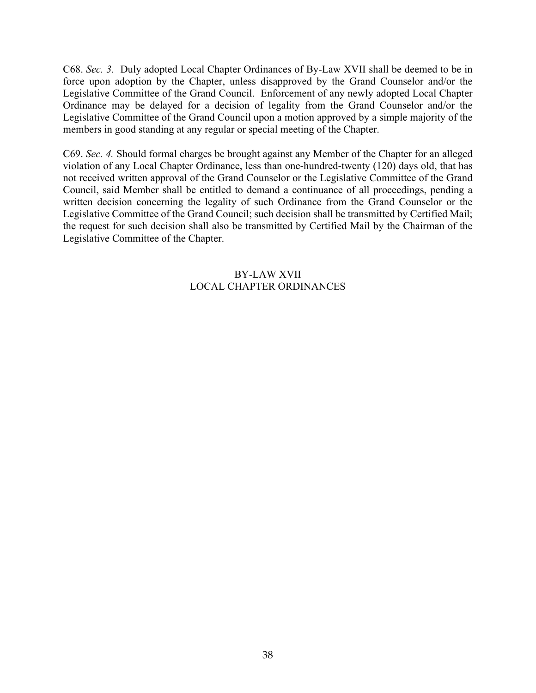C68. *Sec. 3.* Duly adopted Local Chapter Ordinances of By-Law XVII shall be deemed to be in force upon adoption by the Chapter, unless disapproved by the Grand Counselor and/or the Legislative Committee of the Grand Council. Enforcement of any newly adopted Local Chapter Ordinance may be delayed for a decision of legality from the Grand Counselor and/or the Legislative Committee of the Grand Council upon a motion approved by a simple majority of the members in good standing at any regular or special meeting of the Chapter.

C69. *Sec. 4.* Should formal charges be brought against any Member of the Chapter for an alleged violation of any Local Chapter Ordinance, less than one-hundred-twenty (120) days old, that has not received written approval of the Grand Counselor or the Legislative Committee of the Grand Council, said Member shall be entitled to demand a continuance of all proceedings, pending a written decision concerning the legality of such Ordinance from the Grand Counselor or the Legislative Committee of the Grand Council; such decision shall be transmitted by Certified Mail; the request for such decision shall also be transmitted by Certified Mail by the Chairman of the Legislative Committee of the Chapter.

## BY-LAW XVII LOCAL CHAPTER ORDINANCES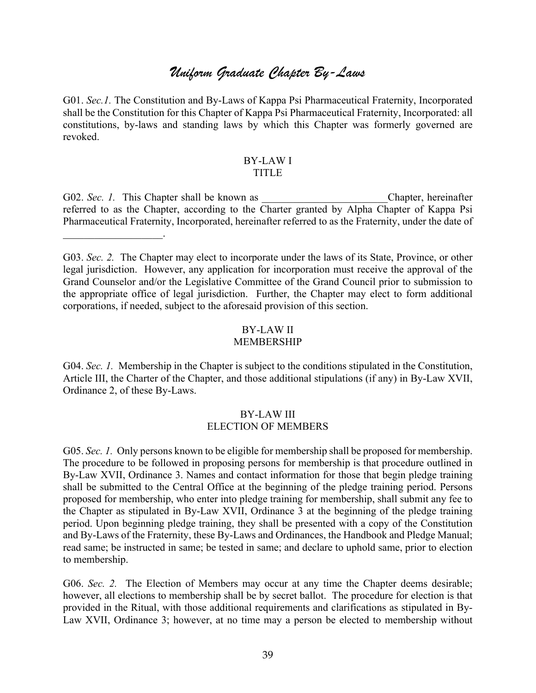# *Uniform Graduate Chapter By-Laws*

G01. *Sec.1.* The Constitution and By-Laws of Kappa Psi Pharmaceutical Fraternity, Incorporated shall be the Constitution for this Chapter of Kappa Psi Pharmaceutical Fraternity, Incorporated: all constitutions, by-laws and standing laws by which this Chapter was formerly governed are revoked.

#### BY-LAW I TITLE

G02. *Sec. 1*. This Chapter shall be known as **Example 2.** Chapter, hereinafter referred to as the Chapter, according to the Charter granted by Alpha Chapter of Kappa Psi Pharmaceutical Fraternity, Incorporated, hereinafter referred to as the Fraternity, under the date of

 $\mathcal{L}_\text{max}$  , where  $\mathcal{L}_\text{max}$ 

G03. *Sec. 2.* The Chapter may elect to incorporate under the laws of its State, Province, or other legal jurisdiction. However, any application for incorporation must receive the approval of the Grand Counselor and/or the Legislative Committee of the Grand Council prior to submission to the appropriate office of legal jurisdiction. Further, the Chapter may elect to form additional corporations, if needed, subject to the aforesaid provision of this section.

# BY-LAW II

#### MEMBERSHIP

G04. *Sec. 1.* Membership in the Chapter is subject to the conditions stipulated in the Constitution, Article III, the Charter of the Chapter, and those additional stipulations (if any) in By-Law XVII, Ordinance 2, of these By-Laws.

#### BY-LAW III ELECTION OF MEMBERS

G05. *Sec. 1.* Only persons known to be eligible for membership shall be proposed for membership. The procedure to be followed in proposing persons for membership is that procedure outlined in By-Law XVII, Ordinance 3. Names and contact information for those that begin pledge training shall be submitted to the Central Office at the beginning of the pledge training period. Persons proposed for membership, who enter into pledge training for membership, shall submit any fee to the Chapter as stipulated in By-Law XVII, Ordinance 3 at the beginning of the pledge training period. Upon beginning pledge training, they shall be presented with a copy of the Constitution and By-Laws of the Fraternity, these By-Laws and Ordinances, the Handbook and Pledge Manual; read same; be instructed in same; be tested in same; and declare to uphold same, prior to election to membership.

G06. *Sec. 2.* The Election of Members may occur at any time the Chapter deems desirable; however, all elections to membership shall be by secret ballot. The procedure for election is that provided in the Ritual, with those additional requirements and clarifications as stipulated in By-Law XVII, Ordinance 3; however, at no time may a person be elected to membership without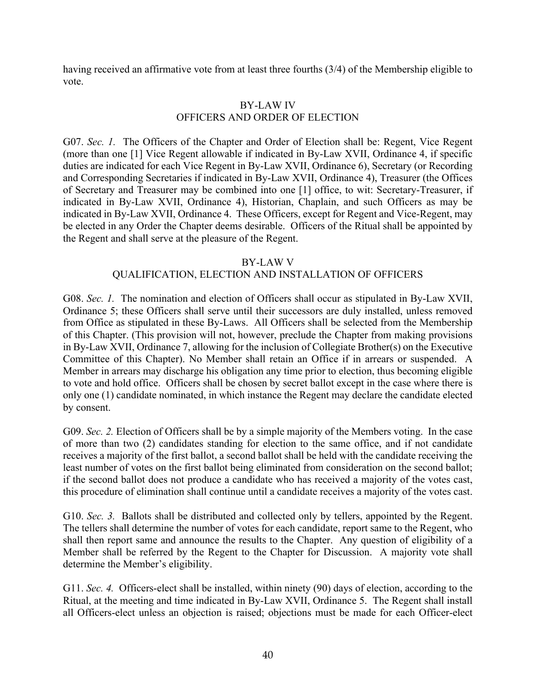having received an affirmative vote from at least three fourths (3/4) of the Membership eligible to vote.

#### BY-LAW IV OFFICERS AND ORDER OF ELECTION

G07. *Sec. 1.* The Officers of the Chapter and Order of Election shall be: Regent, Vice Regent (more than one [1] Vice Regent allowable if indicated in By-Law XVII, Ordinance 4, if specific duties are indicated for each Vice Regent in By-Law XVII, Ordinance 6), Secretary (or Recording and Corresponding Secretaries if indicated in By-Law XVII, Ordinance 4), Treasurer (the Offices of Secretary and Treasurer may be combined into one [1] office, to wit: Secretary-Treasurer, if indicated in By-Law XVII, Ordinance 4), Historian, Chaplain, and such Officers as may be indicated in By-Law XVII, Ordinance 4. These Officers, except for Regent and Vice-Regent, may be elected in any Order the Chapter deems desirable. Officers of the Ritual shall be appointed by the Regent and shall serve at the pleasure of the Regent.

#### BY-LAW V

#### QUALIFICATION, ELECTION AND INSTALLATION OF OFFICERS

G08. *Sec. 1*. The nomination and election of Officers shall occur as stipulated in By-Law XVII, Ordinance 5; these Officers shall serve until their successors are duly installed, unless removed from Office as stipulated in these By-Laws. All Officers shall be selected from the Membership of this Chapter. (This provision will not, however, preclude the Chapter from making provisions in By-Law XVII, Ordinance 7, allowing for the inclusion of Collegiate Brother(s) on the Executive Committee of this Chapter). No Member shall retain an Office if in arrears or suspended. A Member in arrears may discharge his obligation any time prior to election, thus becoming eligible to vote and hold office. Officers shall be chosen by secret ballot except in the case where there is only one (1) candidate nominated, in which instance the Regent may declare the candidate elected by consent.

G09. *Sec. 2.* Election of Officers shall be by a simple majority of the Members voting. In the case of more than two (2) candidates standing for election to the same office, and if not candidate receives a majority of the first ballot, a second ballot shall be held with the candidate receiving the least number of votes on the first ballot being eliminated from consideration on the second ballot; if the second ballot does not produce a candidate who has received a majority of the votes cast, this procedure of elimination shall continue until a candidate receives a majority of the votes cast.

G10. *Sec.* 3. Ballots shall be distributed and collected only by tellers, appointed by the Regent. The tellers shall determine the number of votes for each candidate, report same to the Regent, who shall then report same and announce the results to the Chapter. Any question of eligibility of a Member shall be referred by the Regent to the Chapter for Discussion. A majority vote shall determine the Member's eligibility.

G11. *Sec. 4.* Officers-elect shall be installed, within ninety (90) days of election, according to the Ritual, at the meeting and time indicated in By-Law XVII, Ordinance 5. The Regent shall install all Officers-elect unless an objection is raised; objections must be made for each Officer-elect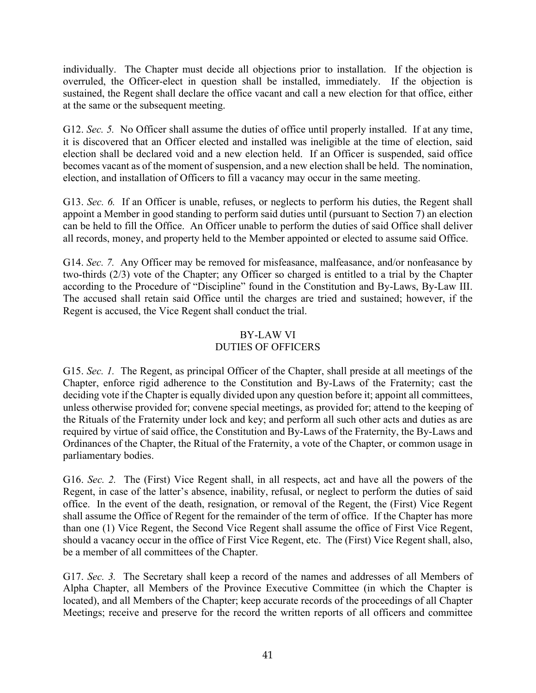individually. The Chapter must decide all objections prior to installation. If the objection is overruled, the Officer-elect in question shall be installed, immediately. If the objection is sustained, the Regent shall declare the office vacant and call a new election for that office, either at the same or the subsequent meeting.

G12. *Sec.* 5. No Officer shall assume the duties of office until properly installed. If at any time, it is discovered that an Officer elected and installed was ineligible at the time of election, said election shall be declared void and a new election held. If an Officer is suspended, said office becomes vacant as of the moment of suspension, and a new election shall be held. The nomination, election, and installation of Officers to fill a vacancy may occur in the same meeting.

G13. *Sec.* 6. If an Officer is unable, refuses, or neglects to perform his duties, the Regent shall appoint a Member in good standing to perform said duties until (pursuant to Section 7) an election can be held to fill the Office. An Officer unable to perform the duties of said Office shall deliver all records, money, and property held to the Member appointed or elected to assume said Office.

G14. *Sec. 7.* Any Officer may be removed for misfeasance, malfeasance, and/or nonfeasance by two-thirds (2/3) vote of the Chapter; any Officer so charged is entitled to a trial by the Chapter according to the Procedure of "Discipline" found in the Constitution and By-Laws, By-Law III. The accused shall retain said Office until the charges are tried and sustained; however, if the Regent is accused, the Vice Regent shall conduct the trial.

### BY-LAW VI DUTIES OF OFFICERS

G15. *Sec. 1.* The Regent, as principal Officer of the Chapter, shall preside at all meetings of the Chapter, enforce rigid adherence to the Constitution and By-Laws of the Fraternity; cast the deciding vote if the Chapter is equally divided upon any question before it; appoint all committees, unless otherwise provided for; convene special meetings, as provided for; attend to the keeping of the Rituals of the Fraternity under lock and key; and perform all such other acts and duties as are required by virtue of said office, the Constitution and By-Laws of the Fraternity, the By-Laws and Ordinances of the Chapter, the Ritual of the Fraternity, a vote of the Chapter, or common usage in parliamentary bodies.

G16. *Sec. 2.* The (First) Vice Regent shall, in all respects, act and have all the powers of the Regent, in case of the latter's absence, inability, refusal, or neglect to perform the duties of said office. In the event of the death, resignation, or removal of the Regent, the (First) Vice Regent shall assume the Office of Regent for the remainder of the term of office. If the Chapter has more than one (1) Vice Regent, the Second Vice Regent shall assume the office of First Vice Regent, should a vacancy occur in the office of First Vice Regent, etc. The (First) Vice Regent shall, also, be a member of all committees of the Chapter.

G17. *Sec. 3.* The Secretary shall keep a record of the names and addresses of all Members of Alpha Chapter, all Members of the Province Executive Committee (in which the Chapter is located), and all Members of the Chapter; keep accurate records of the proceedings of all Chapter Meetings; receive and preserve for the record the written reports of all officers and committee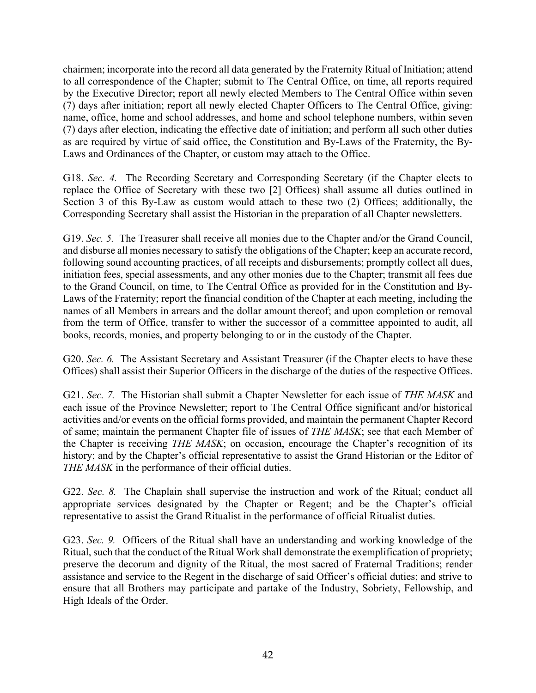chairmen; incorporate into the record all data generated by the Fraternity Ritual of Initiation; attend to all correspondence of the Chapter; submit to The Central Office, on time, all reports required by the Executive Director; report all newly elected Members to The Central Office within seven (7) days after initiation; report all newly elected Chapter Officers to The Central Office, giving: name, office, home and school addresses, and home and school telephone numbers, within seven (7) days after election, indicating the effective date of initiation; and perform all such other duties as are required by virtue of said office, the Constitution and By-Laws of the Fraternity, the By-Laws and Ordinances of the Chapter, or custom may attach to the Office.

G18. *Sec. 4.* The Recording Secretary and Corresponding Secretary (if the Chapter elects to replace the Office of Secretary with these two [2] Offices) shall assume all duties outlined in Section 3 of this By-Law as custom would attach to these two (2) Offices; additionally, the Corresponding Secretary shall assist the Historian in the preparation of all Chapter newsletters.

G19. *Sec. 5.* The Treasurer shall receive all monies due to the Chapter and/or the Grand Council, and disburse all monies necessary to satisfy the obligations of the Chapter; keep an accurate record, following sound accounting practices, of all receipts and disbursements; promptly collect all dues, initiation fees, special assessments, and any other monies due to the Chapter; transmit all fees due to the Grand Council, on time, to The Central Office as provided for in the Constitution and By-Laws of the Fraternity; report the financial condition of the Chapter at each meeting, including the names of all Members in arrears and the dollar amount thereof; and upon completion or removal from the term of Office, transfer to wither the successor of a committee appointed to audit, all books, records, monies, and property belonging to or in the custody of the Chapter.

G20. *Sec.* 6. The Assistant Secretary and Assistant Treasurer (if the Chapter elects to have these Offices) shall assist their Superior Officers in the discharge of the duties of the respective Offices.

G21. *Sec. 7.* The Historian shall submit a Chapter Newsletter for each issue of *THE MASK* and each issue of the Province Newsletter; report to The Central Office significant and/or historical activities and/or events on the official forms provided, and maintain the permanent Chapter Record of same; maintain the permanent Chapter file of issues of *THE MASK*; see that each Member of the Chapter is receiving *THE MASK*; on occasion, encourage the Chapter's recognition of its history; and by the Chapter's official representative to assist the Grand Historian or the Editor of *THE MASK* in the performance of their official duties.

G22. *Sec. 8.* The Chaplain shall supervise the instruction and work of the Ritual; conduct all appropriate services designated by the Chapter or Regent; and be the Chapter's official representative to assist the Grand Ritualist in the performance of official Ritualist duties.

G23. *Sec. 9.* Officers of the Ritual shall have an understanding and working knowledge of the Ritual, such that the conduct of the Ritual Work shall demonstrate the exemplification of propriety; preserve the decorum and dignity of the Ritual, the most sacred of Fraternal Traditions; render assistance and service to the Regent in the discharge of said Officer's official duties; and strive to ensure that all Brothers may participate and partake of the Industry, Sobriety, Fellowship, and High Ideals of the Order.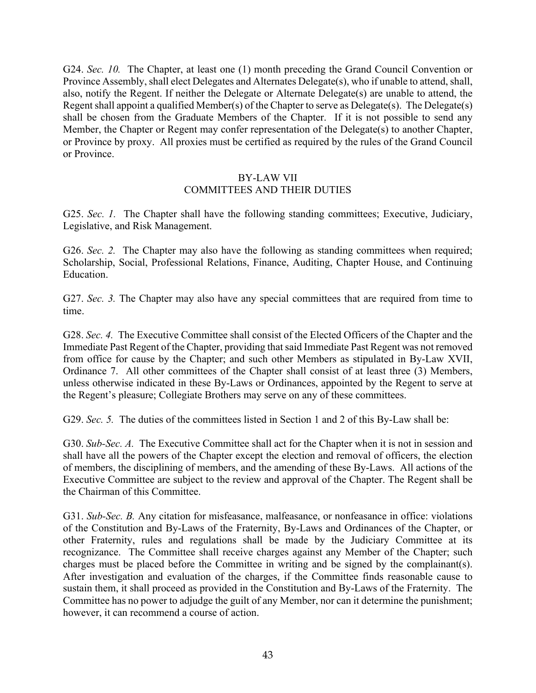G24. *Sec. 10.* The Chapter, at least one (1) month preceding the Grand Council Convention or Province Assembly, shall elect Delegates and Alternates Delegate(s), who if unable to attend, shall, also, notify the Regent. If neither the Delegate or Alternate Delegate(s) are unable to attend, the Regent shall appoint a qualified Member(s) of the Chapter to serve as Delegate(s). The Delegate(s) shall be chosen from the Graduate Members of the Chapter. If it is not possible to send any Member, the Chapter or Regent may confer representation of the Delegate(s) to another Chapter, or Province by proxy. All proxies must be certified as required by the rules of the Grand Council or Province.

#### BY-LAW VII

#### COMMITTEES AND THEIR DUTIES

G25. *Sec. 1.* The Chapter shall have the following standing committees; Executive, Judiciary, Legislative, and Risk Management.

G26. *Sec. 2.* The Chapter may also have the following as standing committees when required; Scholarship, Social, Professional Relations, Finance, Auditing, Chapter House, and Continuing Education.

G27. *Sec.* 3. The Chapter may also have any special committees that are required from time to time.

G28. *Sec. 4.* The Executive Committee shall consist of the Elected Officers of the Chapter and the Immediate Past Regent of the Chapter, providing that said Immediate Past Regent was not removed from office for cause by the Chapter; and such other Members as stipulated in By-Law XVII, Ordinance 7. All other committees of the Chapter shall consist of at least three (3) Members, unless otherwise indicated in these By-Laws or Ordinances, appointed by the Regent to serve at the Regent's pleasure; Collegiate Brothers may serve on any of these committees.

G29. *Sec.* 5. The duties of the committees listed in Section 1 and 2 of this By-Law shall be:

G30. *Sub-Sec. A.* The Executive Committee shall act for the Chapter when it is not in session and shall have all the powers of the Chapter except the election and removal of officers, the election of members, the disciplining of members, and the amending of these By-Laws. All actions of the Executive Committee are subject to the review and approval of the Chapter. The Regent shall be the Chairman of this Committee.

G31. *Sub-Sec. B.* Any citation for misfeasance, malfeasance, or nonfeasance in office: violations of the Constitution and By-Laws of the Fraternity, By-Laws and Ordinances of the Chapter, or other Fraternity, rules and regulations shall be made by the Judiciary Committee at its recognizance. The Committee shall receive charges against any Member of the Chapter; such charges must be placed before the Committee in writing and be signed by the complainant(s). After investigation and evaluation of the charges, if the Committee finds reasonable cause to sustain them, it shall proceed as provided in the Constitution and By-Laws of the Fraternity. The Committee has no power to adjudge the guilt of any Member, nor can it determine the punishment; however, it can recommend a course of action.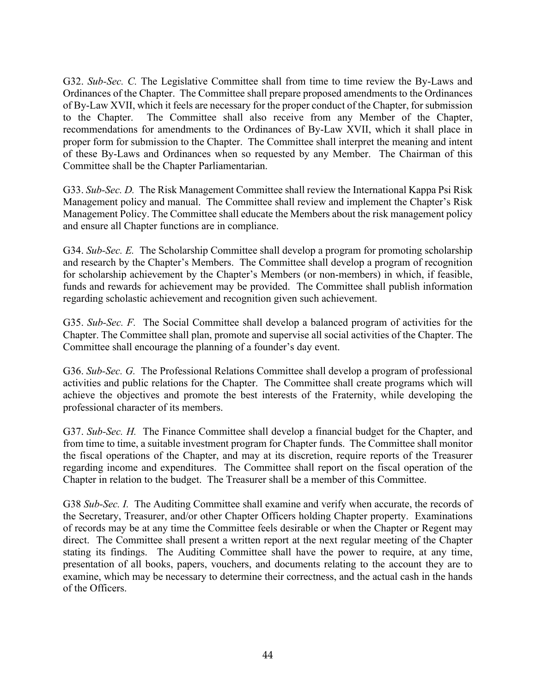G32. *Sub-Sec. C.* The Legislative Committee shall from time to time review the By-Laws and Ordinances of the Chapter. The Committee shall prepare proposed amendments to the Ordinances of By-Law XVII, which it feels are necessary for the proper conduct of the Chapter, for submission to the Chapter. The Committee shall also receive from any Member of the Chapter, recommendations for amendments to the Ordinances of By-Law XVII, which it shall place in proper form for submission to the Chapter. The Committee shall interpret the meaning and intent of these By-Laws and Ordinances when so requested by any Member. The Chairman of this Committee shall be the Chapter Parliamentarian.

G33. *Sub-Sec. D.* The Risk Management Committee shall review the International Kappa Psi Risk Management policy and manual. The Committee shall review and implement the Chapter's Risk Management Policy. The Committee shall educate the Members about the risk management policy and ensure all Chapter functions are in compliance.

G34. *Sub-Sec. E.* The Scholarship Committee shall develop a program for promoting scholarship and research by the Chapter's Members. The Committee shall develop a program of recognition for scholarship achievement by the Chapter's Members (or non-members) in which, if feasible, funds and rewards for achievement may be provided. The Committee shall publish information regarding scholastic achievement and recognition given such achievement.

G35. *Sub-Sec. F.* The Social Committee shall develop a balanced program of activities for the Chapter. The Committee shall plan, promote and supervise all social activities of the Chapter. The Committee shall encourage the planning of a founder's day event.

G36. *Sub-Sec. G.* The Professional Relations Committee shall develop a program of professional activities and public relations for the Chapter. The Committee shall create programs which will achieve the objectives and promote the best interests of the Fraternity, while developing the professional character of its members.

G37. *Sub-Sec. H.* The Finance Committee shall develop a financial budget for the Chapter, and from time to time, a suitable investment program for Chapter funds. The Committee shall monitor the fiscal operations of the Chapter, and may at its discretion, require reports of the Treasurer regarding income and expenditures. The Committee shall report on the fiscal operation of the Chapter in relation to the budget. The Treasurer shall be a member of this Committee.

G38 *Sub-Sec. I.* The Auditing Committee shall examine and verify when accurate, the records of the Secretary, Treasurer, and/or other Chapter Officers holding Chapter property. Examinations of records may be at any time the Committee feels desirable or when the Chapter or Regent may direct. The Committee shall present a written report at the next regular meeting of the Chapter stating its findings. The Auditing Committee shall have the power to require, at any time, presentation of all books, papers, vouchers, and documents relating to the account they are to examine, which may be necessary to determine their correctness, and the actual cash in the hands of the Officers.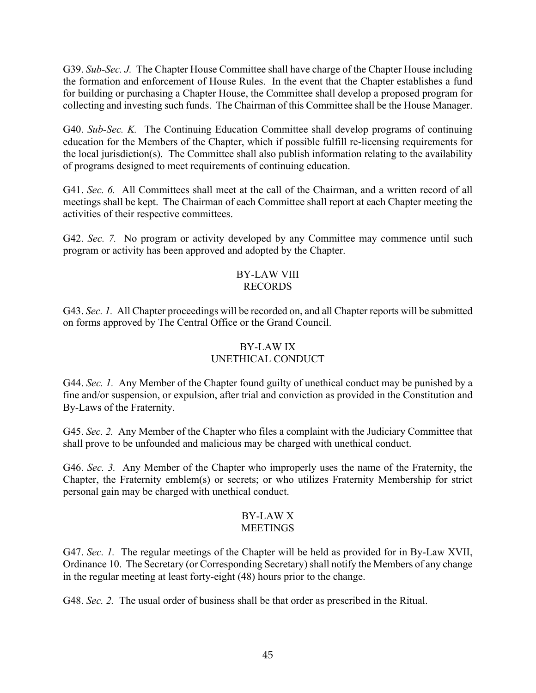G39. *Sub-Sec. J.* The Chapter House Committee shall have charge of the Chapter House including the formation and enforcement of House Rules. In the event that the Chapter establishes a fund for building or purchasing a Chapter House, the Committee shall develop a proposed program for collecting and investing such funds. The Chairman of this Committee shall be the House Manager.

G40. *Sub-Sec. K.* The Continuing Education Committee shall develop programs of continuing education for the Members of the Chapter, which if possible fulfill re-licensing requirements for the local jurisdiction(s). The Committee shall also publish information relating to the availability of programs designed to meet requirements of continuing education.

G41. *Sec. 6.* All Committees shall meet at the call of the Chairman, and a written record of all meetings shall be kept. The Chairman of each Committee shall report at each Chapter meeting the activities of their respective committees.

G42. *Sec.* 7. No program or activity developed by any Committee may commence until such program or activity has been approved and adopted by the Chapter.

#### BY-LAW VIII RECORDS

G43. *Sec. 1.* All Chapter proceedings will be recorded on, and all Chapter reports will be submitted on forms approved by The Central Office or the Grand Council.

## BY-LAW IX UNETHICAL CONDUCT

G44. *Sec. 1.* Any Member of the Chapter found guilty of unethical conduct may be punished by a fine and/or suspension, or expulsion, after trial and conviction as provided in the Constitution and By-Laws of the Fraternity.

G45. *Sec. 2.* Any Member of the Chapter who files a complaint with the Judiciary Committee that shall prove to be unfounded and malicious may be charged with unethical conduct.

G46. *Sec. 3.* Any Member of the Chapter who improperly uses the name of the Fraternity, the Chapter, the Fraternity emblem(s) or secrets; or who utilizes Fraternity Membership for strict personal gain may be charged with unethical conduct.

#### BY-LAW X MEETINGS

G47. *Sec. 1.* The regular meetings of the Chapter will be held as provided for in By-Law XVII, Ordinance 10. The Secretary (or Corresponding Secretary) shall notify the Members of any change in the regular meeting at least forty-eight (48) hours prior to the change.

G48. *Sec. 2.* The usual order of business shall be that order as prescribed in the Ritual.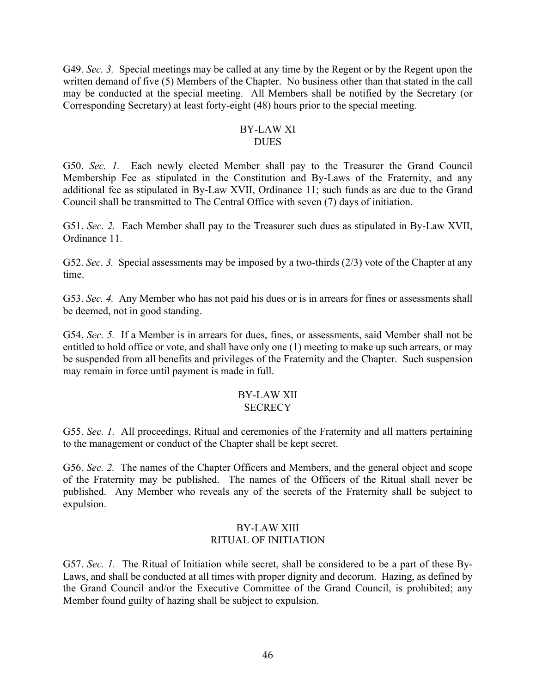G49. *Sec. 3.* Special meetings may be called at any time by the Regent or by the Regent upon the written demand of five (5) Members of the Chapter. No business other than that stated in the call may be conducted at the special meeting. All Members shall be notified by the Secretary (or Corresponding Secretary) at least forty-eight (48) hours prior to the special meeting.

#### BY-LAW XI **DUES**

G50. *Sec. 1.* Each newly elected Member shall pay to the Treasurer the Grand Council Membership Fee as stipulated in the Constitution and By-Laws of the Fraternity, and any additional fee as stipulated in By-Law XVII, Ordinance 11; such funds as are due to the Grand Council shall be transmitted to The Central Office with seven (7) days of initiation.

G51. *Sec. 2.* Each Member shall pay to the Treasurer such dues as stipulated in By-Law XVII, Ordinance 11.

G52. *Sec.* 3. Special assessments may be imposed by a two-thirds (2/3) vote of the Chapter at any time.

G53. *Sec. 4.* Any Member who has not paid his dues or is in arrears for fines or assessments shall be deemed, not in good standing.

G54. *Sec. 5.* If a Member is in arrears for dues, fines, or assessments, said Member shall not be entitled to hold office or vote, and shall have only one (1) meeting to make up such arrears, or may be suspended from all benefits and privileges of the Fraternity and the Chapter. Such suspension may remain in force until payment is made in full.

# BY-LAW XII

### **SECRECY**

G55. *Sec. 1.* All proceedings, Ritual and ceremonies of the Fraternity and all matters pertaining to the management or conduct of the Chapter shall be kept secret.

G56. *Sec. 2.* The names of the Chapter Officers and Members, and the general object and scope of the Fraternity may be published. The names of the Officers of the Ritual shall never be published. Any Member who reveals any of the secrets of the Fraternity shall be subject to expulsion.

#### BY-LAW XIII RITUAL OF INITIATION

G57. *Sec. 1.* The Ritual of Initiation while secret, shall be considered to be a part of these By-Laws, and shall be conducted at all times with proper dignity and decorum. Hazing, as defined by the Grand Council and/or the Executive Committee of the Grand Council, is prohibited; any Member found guilty of hazing shall be subject to expulsion.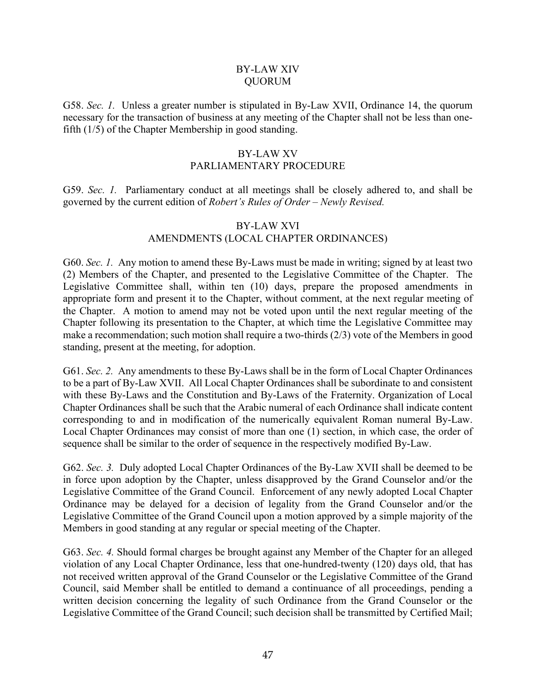#### BY-LAW XIV QUORUM

G58. *Sec. 1.* Unless a greater number is stipulated in By-Law XVII, Ordinance 14, the quorum necessary for the transaction of business at any meeting of the Chapter shall not be less than onefifth (1/5) of the Chapter Membership in good standing.

#### BY-LAW XV PARLIAMENTARY PROCEDURE

G59. *Sec. 1.* Parliamentary conduct at all meetings shall be closely adhered to, and shall be governed by the current edition of *Robert's Rules of Order – Newly Revised.*

## BY-LAW XVI AMENDMENTS (LOCAL CHAPTER ORDINANCES)

G60. *Sec. 1.* Any motion to amend these By-Laws must be made in writing; signed by at least two (2) Members of the Chapter, and presented to the Legislative Committee of the Chapter. The Legislative Committee shall, within ten (10) days, prepare the proposed amendments in appropriate form and present it to the Chapter, without comment, at the next regular meeting of the Chapter. A motion to amend may not be voted upon until the next regular meeting of the Chapter following its presentation to the Chapter, at which time the Legislative Committee may make a recommendation; such motion shall require a two-thirds (2/3) vote of the Members in good standing, present at the meeting, for adoption.

G61. *Sec. 2.* Any amendments to these By-Laws shall be in the form of Local Chapter Ordinances to be a part of By-Law XVII. All Local Chapter Ordinances shall be subordinate to and consistent with these By-Laws and the Constitution and By-Laws of the Fraternity. Organization of Local Chapter Ordinances shall be such that the Arabic numeral of each Ordinance shall indicate content corresponding to and in modification of the numerically equivalent Roman numeral By-Law. Local Chapter Ordinances may consist of more than one (1) section, in which case, the order of sequence shall be similar to the order of sequence in the respectively modified By-Law.

G62. *Sec. 3.* Duly adopted Local Chapter Ordinances of the By-Law XVII shall be deemed to be in force upon adoption by the Chapter, unless disapproved by the Grand Counselor and/or the Legislative Committee of the Grand Council. Enforcement of any newly adopted Local Chapter Ordinance may be delayed for a decision of legality from the Grand Counselor and/or the Legislative Committee of the Grand Council upon a motion approved by a simple majority of the Members in good standing at any regular or special meeting of the Chapter.

G63. *Sec. 4.* Should formal charges be brought against any Member of the Chapter for an alleged violation of any Local Chapter Ordinance, less that one-hundred-twenty (120) days old, that has not received written approval of the Grand Counselor or the Legislative Committee of the Grand Council, said Member shall be entitled to demand a continuance of all proceedings, pending a written decision concerning the legality of such Ordinance from the Grand Counselor or the Legislative Committee of the Grand Council; such decision shall be transmitted by Certified Mail;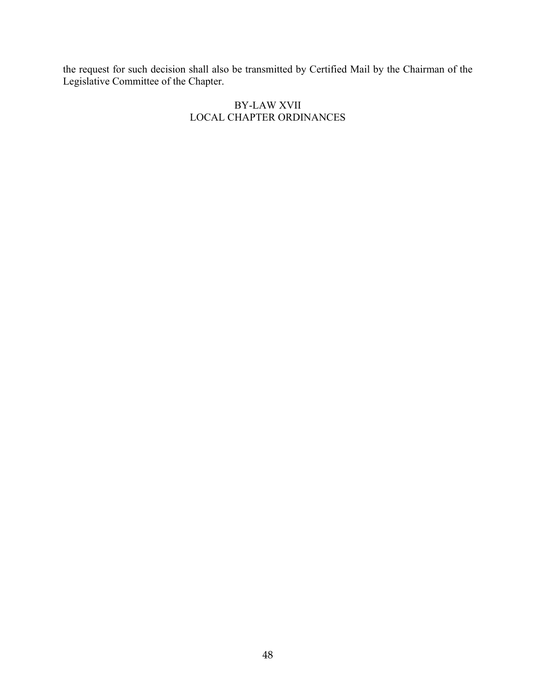the request for such decision shall also be transmitted by Certified Mail by the Chairman of the Legislative Committee of the Chapter.

## BY-LAW XVII LOCAL CHAPTER ORDINANCES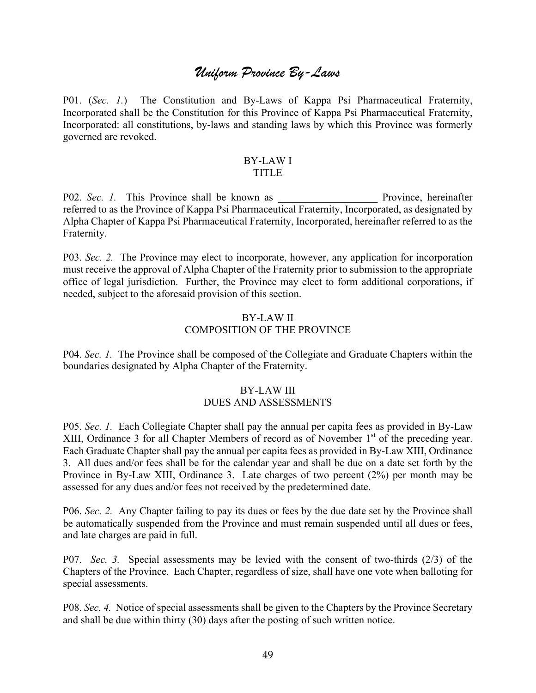# *Uniform Province By-Laws*

P01. (*Sec. 1.*) The Constitution and By-Laws of Kappa Psi Pharmaceutical Fraternity, Incorporated shall be the Constitution for this Province of Kappa Psi Pharmaceutical Fraternity, Incorporated: all constitutions, by-laws and standing laws by which this Province was formerly governed are revoked.

#### BY-LAW I TITLE

P02. *Sec. 1.* This Province shall be known as \_\_\_\_\_\_\_\_\_\_\_\_\_\_\_\_\_\_\_ Province, hereinafter referred to as the Province of Kappa Psi Pharmaceutical Fraternity, Incorporated, as designated by Alpha Chapter of Kappa Psi Pharmaceutical Fraternity, Incorporated, hereinafter referred to as the Fraternity.

P03. *Sec. 2.* The Province may elect to incorporate, however, any application for incorporation must receive the approval of Alpha Chapter of the Fraternity prior to submission to the appropriate office of legal jurisdiction. Further, the Province may elect to form additional corporations, if needed, subject to the aforesaid provision of this section.

#### BY-LAW II COMPOSITION OF THE PROVINCE

P04. *Sec. 1.* The Province shall be composed of the Collegiate and Graduate Chapters within the boundaries designated by Alpha Chapter of the Fraternity.

#### BY-LAW III DUES AND ASSESSMENTS

P05. *Sec. 1.* Each Collegiate Chapter shall pay the annual per capita fees as provided in By-Law XIII, Ordinance 3 for all Chapter Members of record as of November  $1<sup>st</sup>$  of the preceding year. Each Graduate Chapter shall pay the annual per capita fees as provided in By-Law XIII, Ordinance 3. All dues and/or fees shall be for the calendar year and shall be due on a date set forth by the Province in By-Law XIII, Ordinance 3. Late charges of two percent (2%) per month may be assessed for any dues and/or fees not received by the predetermined date.

P06. *Sec. 2.* Any Chapter failing to pay its dues or fees by the due date set by the Province shall be automatically suspended from the Province and must remain suspended until all dues or fees, and late charges are paid in full.

P07. *Sec. 3.* Special assessments may be levied with the consent of two-thirds (2/3) of the Chapters of the Province. Each Chapter, regardless of size, shall have one vote when balloting for special assessments.

P08. *Sec. 4.* Notice of special assessments shall be given to the Chapters by the Province Secretary and shall be due within thirty (30) days after the posting of such written notice.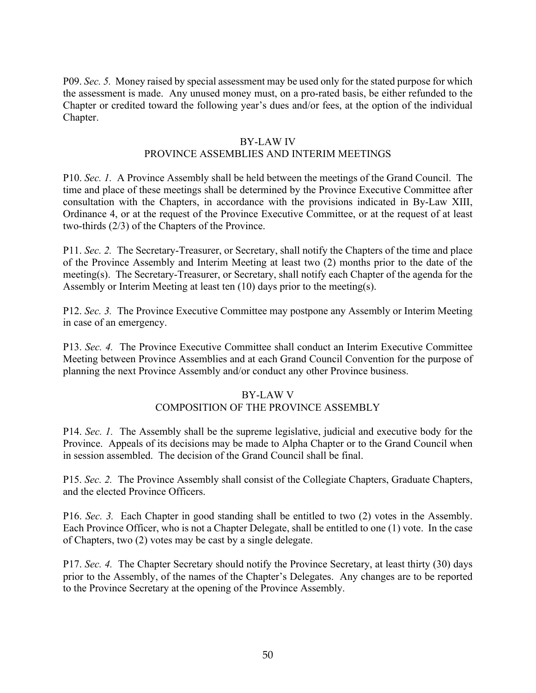P09. *Sec. 5.* Money raised by special assessment may be used only for the stated purpose for which the assessment is made. Any unused money must, on a pro-rated basis, be either refunded to the Chapter or credited toward the following year's dues and/or fees, at the option of the individual Chapter.

#### BY-LAW IV

#### PROVINCE ASSEMBLIES AND INTERIM MEETINGS

P10. *Sec. 1.* A Province Assembly shall be held between the meetings of the Grand Council. The time and place of these meetings shall be determined by the Province Executive Committee after consultation with the Chapters, in accordance with the provisions indicated in By-Law XIII, Ordinance 4, or at the request of the Province Executive Committee, or at the request of at least two-thirds (2/3) of the Chapters of the Province.

P11. *Sec. 2.* The Secretary-Treasurer, or Secretary, shall notify the Chapters of the time and place of the Province Assembly and Interim Meeting at least two (2) months prior to the date of the meeting(s). The Secretary-Treasurer, or Secretary, shall notify each Chapter of the agenda for the Assembly or Interim Meeting at least ten (10) days prior to the meeting(s).

P12. *Sec. 3.* The Province Executive Committee may postpone any Assembly or Interim Meeting in case of an emergency.

P13. *Sec. 4.* The Province Executive Committee shall conduct an Interim Executive Committee Meeting between Province Assemblies and at each Grand Council Convention for the purpose of planning the next Province Assembly and/or conduct any other Province business.

### BY-LAW V

### COMPOSITION OF THE PROVINCE ASSEMBLY

P14. *Sec. 1.* The Assembly shall be the supreme legislative, judicial and executive body for the Province. Appeals of its decisions may be made to Alpha Chapter or to the Grand Council when in session assembled. The decision of the Grand Council shall be final.

P15. *Sec. 2.* The Province Assembly shall consist of the Collegiate Chapters, Graduate Chapters, and the elected Province Officers.

P16. *Sec. 3.* Each Chapter in good standing shall be entitled to two (2) votes in the Assembly. Each Province Officer, who is not a Chapter Delegate, shall be entitled to one (1) vote. In the case of Chapters, two (2) votes may be cast by a single delegate.

P17. *Sec. 4.* The Chapter Secretary should notify the Province Secretary, at least thirty (30) days prior to the Assembly, of the names of the Chapter's Delegates. Any changes are to be reported to the Province Secretary at the opening of the Province Assembly.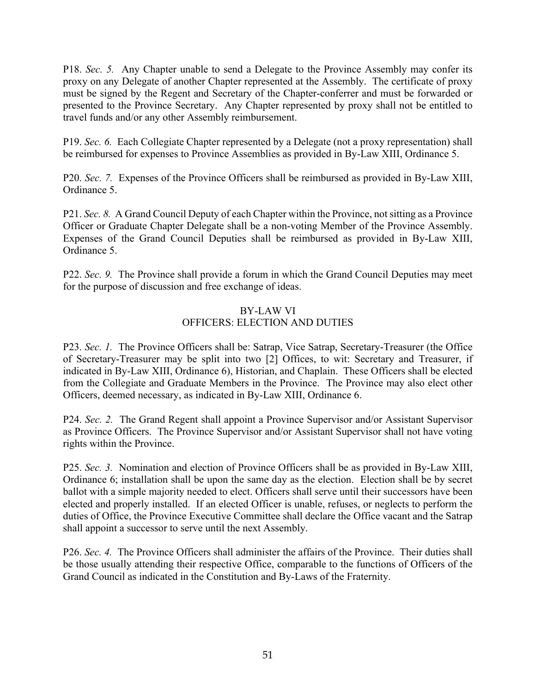P18. *Sec. 5.* Any Chapter unable to send a Delegate to the Province Assembly may confer its proxy on any Delegate of another Chapter represented at the Assembly. The certificate of proxy must be signed by the Regent and Secretary of the Chapter-conferrer and must be forwarded or presented to the Province Secretary. Any Chapter represented by proxy shall not be entitled to travel funds and/or any other Assembly reimbursement.

P19. *Sec. 6.* Each Collegiate Chapter represented by a Delegate (not a proxy representation) shall be reimbursed for expenses to Province Assemblies as provided in By-Law XIII, Ordinance 5.

P20. *Sec. 7.* Expenses of the Province Officers shall be reimbursed as provided in By-Law XIII, Ordinance 5.

P21. *Sec. 8.* A Grand Council Deputy of each Chapter within the Province, not sitting as a Province Officer or Graduate Chapter Delegate shall be a non-voting Member of the Province Assembly. Expenses of the Grand Council Deputies shall be reimbursed as provided in By-Law XIII, Ordinance 5.

P22. *Sec. 9.* The Province shall provide a forum in which the Grand Council Deputies may meet for the purpose of discussion and free exchange of ideas.

# BY-LAW VI

## OFFICERS: ELECTION AND DUTIES

P23. *Sec. 1.* The Province Officers shall be: Satrap, Vice Satrap, Secretary-Treasurer (the Office of Secretary-Treasurer may be split into two [2] Offices, to wit: Secretary and Treasurer, if indicated in By-Law XIII, Ordinance 6), Historian, and Chaplain. These Officers shall be elected from the Collegiate and Graduate Members in the Province. The Province may also elect other Officers, deemed necessary, as indicated in By-Law XIII, Ordinance 6.

P24. *Sec. 2.* The Grand Regent shall appoint a Province Supervisor and/or Assistant Supervisor as Province Officers. The Province Supervisor and/or Assistant Supervisor shall not have voting rights within the Province.

P25. *Sec. 3.* Nomination and election of Province Officers shall be as provided in By-Law XIII, Ordinance 6; installation shall be upon the same day as the election. Election shall be by secret ballot with a simple majority needed to elect. Officers shall serve until their successors have been elected and properly installed. If an elected Officer is unable, refuses, or neglects to perform the duties of Office, the Province Executive Committee shall declare the Office vacant and the Satrap shall appoint a successor to serve until the next Assembly.

P26. *Sec. 4.* The Province Officers shall administer the affairs of the Province. Their duties shall be those usually attending their respective Office, comparable to the functions of Officers of the Grand Council as indicated in the Constitution and By-Laws of the Fraternity.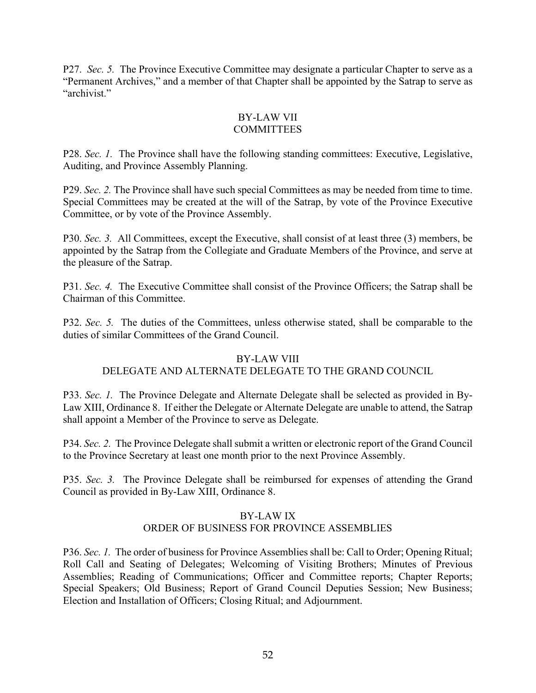P27. *Sec. 5.* The Province Executive Committee may designate a particular Chapter to serve as a "Permanent Archives," and a member of that Chapter shall be appointed by the Satrap to serve as "archivist."

#### BY-LAW VII **COMMITTEES**

P28. *Sec. 1.* The Province shall have the following standing committees: Executive, Legislative, Auditing, and Province Assembly Planning.

P29. *Sec. 2.* The Province shall have such special Committees as may be needed from time to time. Special Committees may be created at the will of the Satrap, by vote of the Province Executive Committee, or by vote of the Province Assembly.

P30. *Sec. 3.* All Committees, except the Executive, shall consist of at least three (3) members, be appointed by the Satrap from the Collegiate and Graduate Members of the Province, and serve at the pleasure of the Satrap.

P31. *Sec. 4.* The Executive Committee shall consist of the Province Officers; the Satrap shall be Chairman of this Committee.

P32. *Sec. 5.* The duties of the Committees, unless otherwise stated, shall be comparable to the duties of similar Committees of the Grand Council.

### BY-LAW VIII

# DELEGATE AND ALTERNATE DELEGATE TO THE GRAND COUNCIL

P33. *Sec. 1.* The Province Delegate and Alternate Delegate shall be selected as provided in By-Law XIII, Ordinance 8. If either the Delegate or Alternate Delegate are unable to attend, the Satrap shall appoint a Member of the Province to serve as Delegate.

P34. *Sec. 2.* The Province Delegate shall submit a written or electronic report of the Grand Council to the Province Secretary at least one month prior to the next Province Assembly.

P35. *Sec. 3.* The Province Delegate shall be reimbursed for expenses of attending the Grand Council as provided in By-Law XIII, Ordinance 8.

#### BY-LAW IX ORDER OF BUSINESS FOR PROVINCE ASSEMBLIES

P36. *Sec. 1.* The order of business for Province Assemblies shall be: Call to Order; Opening Ritual; Roll Call and Seating of Delegates; Welcoming of Visiting Brothers; Minutes of Previous Assemblies; Reading of Communications; Officer and Committee reports; Chapter Reports; Special Speakers; Old Business; Report of Grand Council Deputies Session; New Business; Election and Installation of Officers; Closing Ritual; and Adjournment.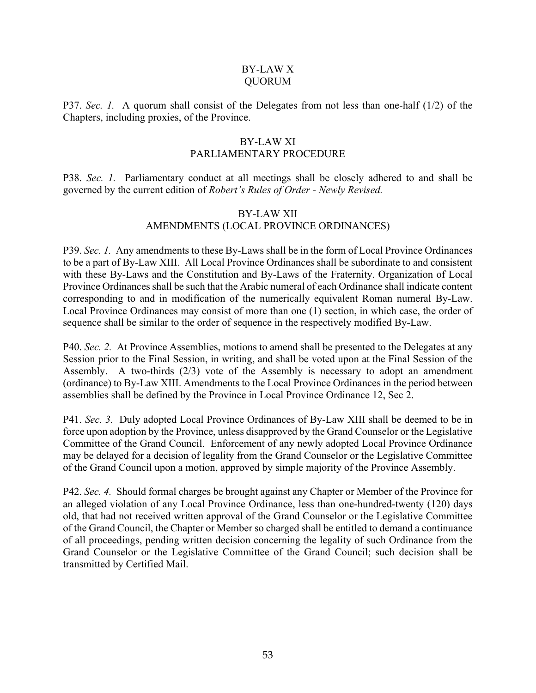#### BY-LAW X QUORUM

P37. *Sec. 1.* A quorum shall consist of the Delegates from not less than one-half (1/2) of the Chapters, including proxies, of the Province.

#### BY-LAW XI PARLIAMENTARY PROCEDURE

P38. *Sec. 1.* Parliamentary conduct at all meetings shall be closely adhered to and shall be governed by the current edition of *Robert's Rules of Order - Newly Revised.*

#### BY-LAW XII AMENDMENTS (LOCAL PROVINCE ORDINANCES)

P39. *Sec. 1.* Any amendments to these By-Laws shall be in the form of Local Province Ordinances to be a part of By-Law XIII. All Local Province Ordinances shall be subordinate to and consistent with these By-Laws and the Constitution and By-Laws of the Fraternity. Organization of Local Province Ordinances shall be such that the Arabic numeral of each Ordinance shall indicate content corresponding to and in modification of the numerically equivalent Roman numeral By-Law. Local Province Ordinances may consist of more than one (1) section, in which case, the order of sequence shall be similar to the order of sequence in the respectively modified By-Law.

P40. *Sec. 2.* At Province Assemblies, motions to amend shall be presented to the Delegates at any Session prior to the Final Session, in writing, and shall be voted upon at the Final Session of the Assembly. A two-thirds (2/3) vote of the Assembly is necessary to adopt an amendment (ordinance) to By-Law XIII. Amendments to the Local Province Ordinances in the period between assemblies shall be defined by the Province in Local Province Ordinance 12, Sec 2.

P41. *Sec. 3.* Duly adopted Local Province Ordinances of By-Law XIII shall be deemed to be in force upon adoption by the Province, unless disapproved by the Grand Counselor or the Legislative Committee of the Grand Council. Enforcement of any newly adopted Local Province Ordinance may be delayed for a decision of legality from the Grand Counselor or the Legislative Committee of the Grand Council upon a motion, approved by simple majority of the Province Assembly.

P42. *Sec. 4.* Should formal charges be brought against any Chapter or Member of the Province for an alleged violation of any Local Province Ordinance, less than one-hundred-twenty (120) days old, that had not received written approval of the Grand Counselor or the Legislative Committee of the Grand Council, the Chapter or Member so charged shall be entitled to demand a continuance of all proceedings, pending written decision concerning the legality of such Ordinance from the Grand Counselor or the Legislative Committee of the Grand Council; such decision shall be transmitted by Certified Mail.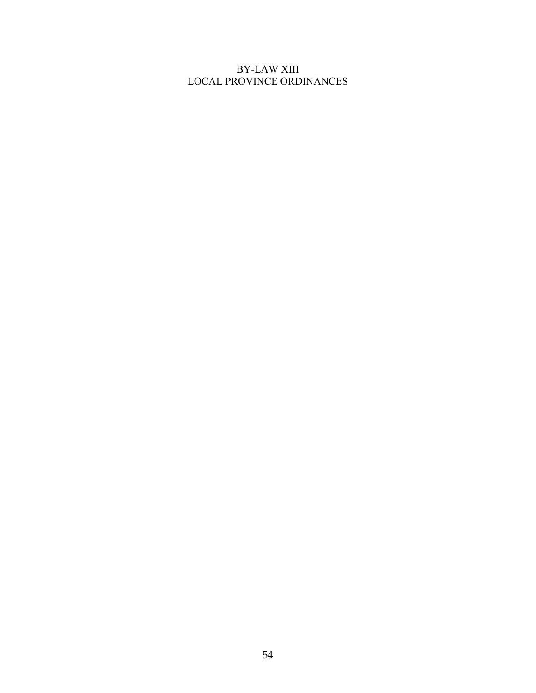## BY-LAW XIII LOCAL PROVINCE ORDINANCES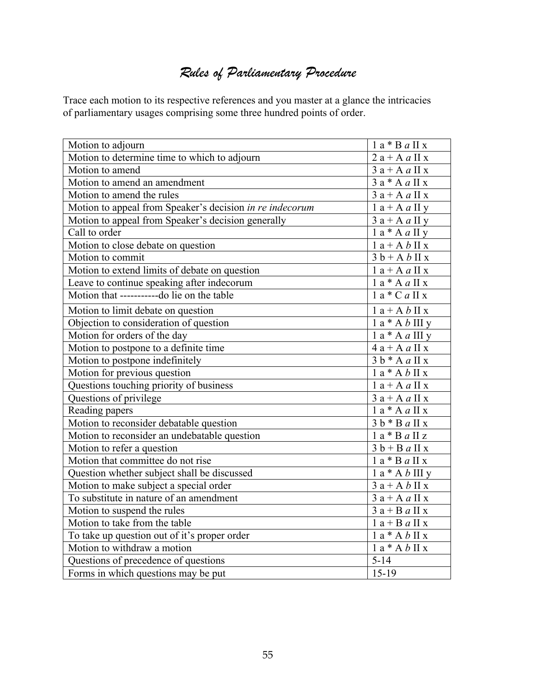# *Rules of Parliamentary Procedure*

Trace each motion to its respective references and you master at a glance the intricacies of parliamentary usages comprising some three hundred points of order.

| Motion to adjourn                                        | $1a * B a II x$    |
|----------------------------------------------------------|--------------------|
| Motion to determine time to which to adjourn             | $2a + A a II x$    |
| Motion to amend                                          | $3a + A a II x$    |
| Motion to amend an amendment                             | $3a * A a II x$    |
| Motion to amend the rules                                | $3a + A a II x$    |
| Motion to appeal from Speaker's decision in re indecorum | $1a + A a II y$    |
| Motion to appeal from Speaker's decision generally       | $3a + A a II y$    |
| Call to order                                            | $1a * A a II y$    |
| Motion to close debate on question                       | $1a + A b II x$    |
| Motion to commit                                         | $3 b + A b II x$   |
| Motion to extend limits of debate on question            | $1a + A a II x$    |
| Leave to continue speaking after indecorum               | $1a * A a II x$    |
| Motion that -----------do lie on the table               | $1a * C a II x$    |
| Motion to limit debate on question                       | $1a + A b II x$    |
| Objection to consideration of question                   | $1a * A b III y$   |
| Motion for orders of the day                             | $1a * A a III y$   |
| Motion to postpone to a definite time                    | $4a + A a II x$    |
| Motion to postpone indefinitely                          | $3 b * A a II x$   |
| Motion for previous question                             | $1a * A b II x$    |
| Questions touching priority of business                  | $1a + A a II x$    |
| Questions of privilege                                   | $3a + A a II x$    |
| Reading papers                                           | $1a * A a II x$    |
| Motion to reconsider debatable question                  | $3 b * B a II x$   |
| Motion to reconsider an undebatable question             | $1a * B a II z$    |
| Motion to refer a question                               | $3 b + B a II x$   |
| Motion that committee do not rise                        | $1$ a * B $a$ II x |
| Question whether subject shall be discussed              | $1a * A b III y$   |
| Motion to make subject a special order                   | $3a + A b$ II x    |
| To substitute in nature of an amendment                  | $3a + A a II x$    |
| Motion to suspend the rules                              | $3a + Ba$ II x     |
| Motion to take from the table                            | $1a + Ba IIx$      |
| To take up question out of it's proper order             | $1a * A b II x$    |
| Motion to withdraw a motion                              | $1a * A b II x$    |
| Questions of precedence of questions                     | $5 - 14$           |
| Forms in which questions may be put                      | $15-19$            |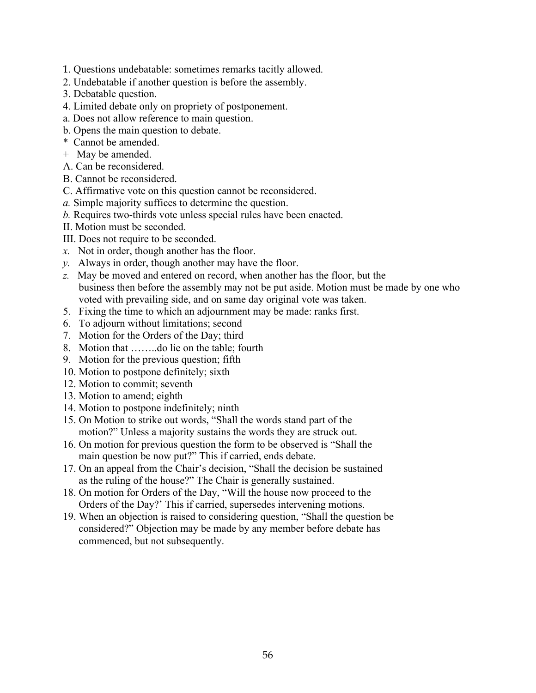- 1. Questions undebatable: sometimes remarks tacitly allowed.
- 2. Undebatable if another question is before the assembly.
- 3. Debatable question.
- 4. Limited debate only on propriety of postponement.
- a. Does not allow reference to main question.
- b. Opens the main question to debate.
- \* Cannot be amended.
- + May be amended.
- A. Can be reconsidered.
- B. Cannot be reconsidered.
- C. Affirmative vote on this question cannot be reconsidered.
- *a.* Simple majority suffices to determine the question.
- *b.* Requires two-thirds vote unless special rules have been enacted.
- II. Motion must be seconded.
- III. Does not require to be seconded.
- *x.* Not in order, though another has the floor.
- *y.* Always in order, though another may have the floor.
- *z.* May be moved and entered on record, when another has the floor, but the business then before the assembly may not be put aside. Motion must be made by one who voted with prevailing side, and on same day original vote was taken.
- 5. Fixing the time to which an adjournment may be made: ranks first.
- 6. To adjourn without limitations; second
- 7. Motion for the Orders of the Day; third
- 8. Motion that ……..do lie on the table; fourth
- 9. Motion for the previous question; fifth
- 10. Motion to postpone definitely; sixth
- 12. Motion to commit; seventh
- 13. Motion to amend; eighth
- 14. Motion to postpone indefinitely; ninth
- 15. On Motion to strike out words, "Shall the words stand part of the motion?" Unless a majority sustains the words they are struck out.
- 16. On motion for previous question the form to be observed is "Shall the main question be now put?" This if carried, ends debate.
- 17. On an appeal from the Chair's decision, "Shall the decision be sustained as the ruling of the house?" The Chair is generally sustained.
- 18. On motion for Orders of the Day, "Will the house now proceed to the Orders of the Day?' This if carried, supersedes intervening motions.
- 19. When an objection is raised to considering question, "Shall the question be considered?" Objection may be made by any member before debate has commenced, but not subsequently.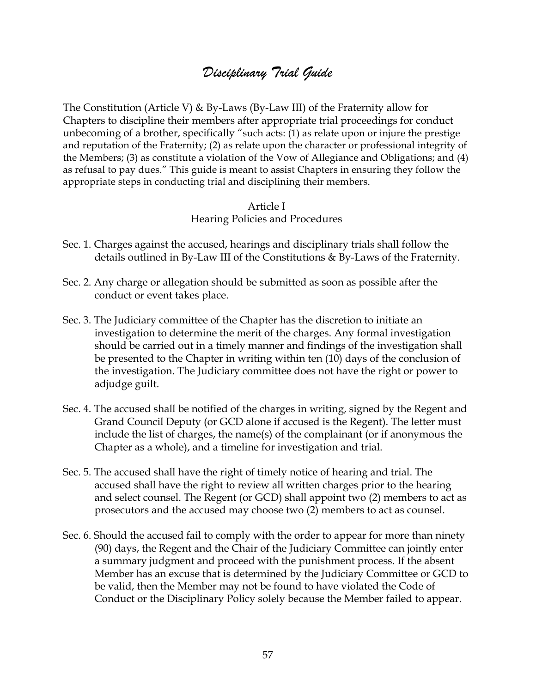# *Disciplinary Trial Guide*

The Constitution (Article V) & By-Laws (By-Law III) of the Fraternity allow for Chapters to discipline their members after appropriate trial proceedings for conduct unbecoming of a brother, specifically "such acts: (1) as relate upon or injure the prestige and reputation of the Fraternity; (2) as relate upon the character or professional integrity of the Members; (3) as constitute a violation of the Vow of Allegiance and Obligations; and (4) as refusal to pay dues." This guide is meant to assist Chapters in ensuring they follow the appropriate steps in conducting trial and disciplining their members.

#### Article I Hearing Policies and Procedures

- Sec. 1. Charges against the accused, hearings and disciplinary trials shall follow the details outlined in By-Law III of the Constitutions & By-Laws of the Fraternity.
- Sec. 2. Any charge or allegation should be submitted as soon as possible after the conduct or event takes place.
- Sec. 3. The Judiciary committee of the Chapter has the discretion to initiate an investigation to determine the merit of the charges. Any formal investigation should be carried out in a timely manner and findings of the investigation shall be presented to the Chapter in writing within ten (10) days of the conclusion of the investigation. The Judiciary committee does not have the right or power to adjudge guilt.
- Sec. 4. The accused shall be notified of the charges in writing, signed by the Regent and Grand Council Deputy (or GCD alone if accused is the Regent). The letter must include the list of charges, the name(s) of the complainant (or if anonymous the Chapter as a whole), and a timeline for investigation and trial.
- Sec. 5. The accused shall have the right of timely notice of hearing and trial. The accused shall have the right to review all written charges prior to the hearing and select counsel. The Regent (or GCD) shall appoint two (2) members to act as prosecutors and the accused may choose two (2) members to act as counsel.
- Sec. 6. Should the accused fail to comply with the order to appear for more than ninety (90) days, the Regent and the Chair of the Judiciary Committee can jointly enter a summary judgment and proceed with the punishment process. If the absent Member has an excuse that is determined by the Judiciary Committee or GCD to be valid, then the Member may not be found to have violated the Code of Conduct or the Disciplinary Policy solely because the Member failed to appear.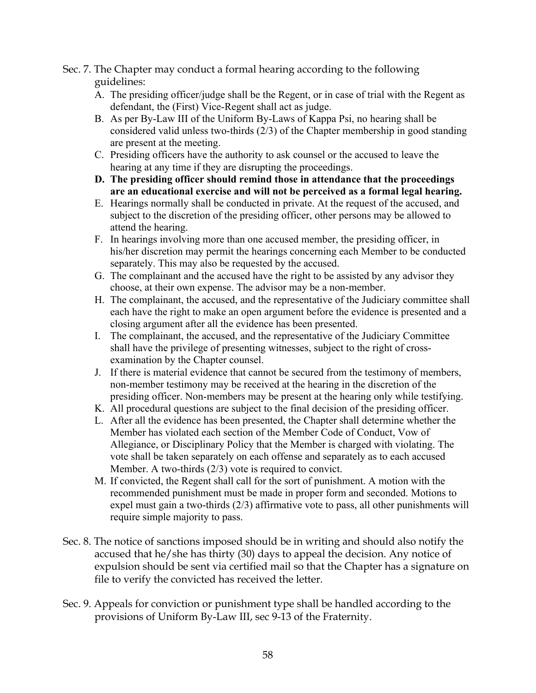Sec. 7. The Chapter may conduct a formal hearing according to the following guidelines:

- A. The presiding officer/judge shall be the Regent, or in case of trial with the Regent as defendant, the (First) Vice-Regent shall act as judge.
- B. As per By-Law III of the Uniform By-Laws of Kappa Psi, no hearing shall be considered valid unless two-thirds (2/3) of the Chapter membership in good standing are present at the meeting.
- C. Presiding officers have the authority to ask counsel or the accused to leave the hearing at any time if they are disrupting the proceedings.
- **D. The presiding officer should remind those in attendance that the proceedings are an educational exercise and will not be perceived as a formal legal hearing.**
- E. Hearings normally shall be conducted in private. At the request of the accused, and subject to the discretion of the presiding officer, other persons may be allowed to attend the hearing.
- F. In hearings involving more than one accused member, the presiding officer, in his/her discretion may permit the hearings concerning each Member to be conducted separately. This may also be requested by the accused.
- G. The complainant and the accused have the right to be assisted by any advisor they choose, at their own expense. The advisor may be a non-member.
- H. The complainant, the accused, and the representative of the Judiciary committee shall each have the right to make an open argument before the evidence is presented and a closing argument after all the evidence has been presented.
- I. The complainant, the accused, and the representative of the Judiciary Committee shall have the privilege of presenting witnesses, subject to the right of crossexamination by the Chapter counsel.
- J. If there is material evidence that cannot be secured from the testimony of members, non-member testimony may be received at the hearing in the discretion of the presiding officer. Non-members may be present at the hearing only while testifying.
- K. All procedural questions are subject to the final decision of the presiding officer.
- L. After all the evidence has been presented, the Chapter shall determine whether the Member has violated each section of the Member Code of Conduct, Vow of Allegiance, or Disciplinary Policy that the Member is charged with violating. The vote shall be taken separately on each offense and separately as to each accused Member. A two-thirds (2/3) vote is required to convict.
- M. If convicted, the Regent shall call for the sort of punishment. A motion with the recommended punishment must be made in proper form and seconded. Motions to expel must gain a two-thirds (2/3) affirmative vote to pass, all other punishments will require simple majority to pass.
- Sec. 8. The notice of sanctions imposed should be in writing and should also notify the accused that he/she has thirty (30) days to appeal the decision. Any notice of expulsion should be sent via certified mail so that the Chapter has a signature on file to verify the convicted has received the letter.
- Sec. 9. Appeals for conviction or punishment type shall be handled according to the provisions of Uniform By-Law III, sec 9-13 of the Fraternity.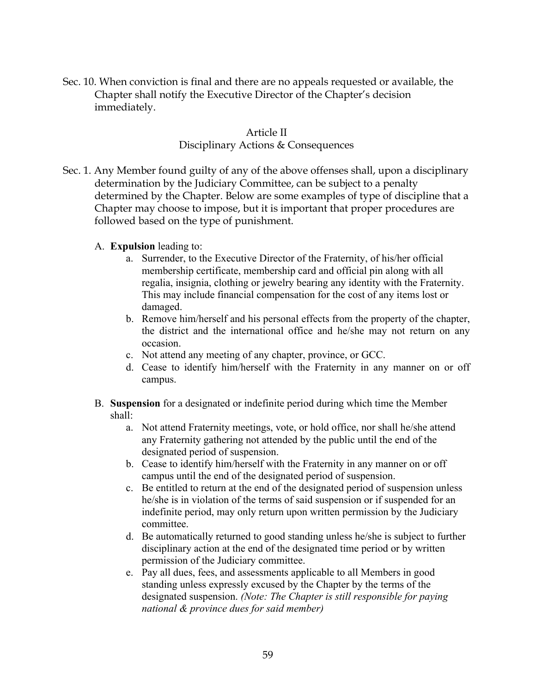Sec. 10. When conviction is final and there are no appeals requested or available, the Chapter shall notify the Executive Director of the Chapter's decision immediately.

## Article II

#### Disciplinary Actions & Consequences

- Sec. 1. Any Member found guilty of any of the above offenses shall, upon a disciplinary determination by the Judiciary Committee, can be subject to a penalty determined by the Chapter. Below are some examples of type of discipline that a Chapter may choose to impose, but it is important that proper procedures are followed based on the type of punishment.
	- A. **Expulsion** leading to:
		- a. Surrender, to the Executive Director of the Fraternity, of his/her official membership certificate, membership card and official pin along with all regalia, insignia, clothing or jewelry bearing any identity with the Fraternity. This may include financial compensation for the cost of any items lost or damaged.
		- b. Remove him/herself and his personal effects from the property of the chapter, the district and the international office and he/she may not return on any occasion.
		- c. Not attend any meeting of any chapter, province, or GCC.
		- d. Cease to identify him/herself with the Fraternity in any manner on or off campus.
	- B. **Suspension** for a designated or indefinite period during which time the Member shall:
		- a. Not attend Fraternity meetings, vote, or hold office, nor shall he/she attend any Fraternity gathering not attended by the public until the end of the designated period of suspension.
		- b. Cease to identify him/herself with the Fraternity in any manner on or off campus until the end of the designated period of suspension.
		- c. Be entitled to return at the end of the designated period of suspension unless he/she is in violation of the terms of said suspension or if suspended for an indefinite period, may only return upon written permission by the Judiciary committee.
		- d. Be automatically returned to good standing unless he/she is subject to further disciplinary action at the end of the designated time period or by written permission of the Judiciary committee.
		- e. Pay all dues, fees, and assessments applicable to all Members in good standing unless expressly excused by the Chapter by the terms of the designated suspension. *(Note: The Chapter is still responsible for paying national & province dues for said member)*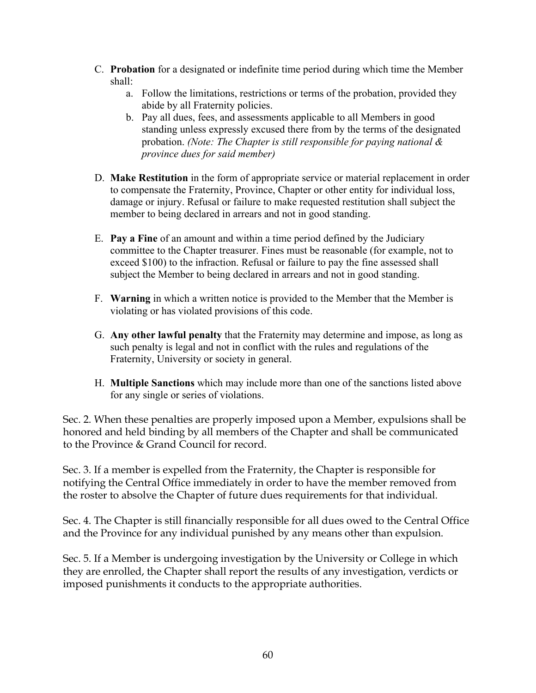- C. **Probation** for a designated or indefinite time period during which time the Member shall:
	- a. Follow the limitations, restrictions or terms of the probation, provided they abide by all Fraternity policies.
	- b. Pay all dues, fees, and assessments applicable to all Members in good standing unless expressly excused there from by the terms of the designated probation. *(Note: The Chapter is still responsible for paying national & province dues for said member)*
- D. **Make Restitution** in the form of appropriate service or material replacement in order to compensate the Fraternity, Province, Chapter or other entity for individual loss, damage or injury. Refusal or failure to make requested restitution shall subject the member to being declared in arrears and not in good standing.
- E. **Pay a Fine** of an amount and within a time period defined by the Judiciary committee to the Chapter treasurer. Fines must be reasonable (for example, not to exceed \$100) to the infraction. Refusal or failure to pay the fine assessed shall subject the Member to being declared in arrears and not in good standing.
- F. **Warning** in which a written notice is provided to the Member that the Member is violating or has violated provisions of this code.
- G. **Any other lawful penalty** that the Fraternity may determine and impose, as long as such penalty is legal and not in conflict with the rules and regulations of the Fraternity, University or society in general.
- H. **Multiple Sanctions** which may include more than one of the sanctions listed above for any single or series of violations.

Sec. 2. When these penalties are properly imposed upon a Member, expulsions shall be honored and held binding by all members of the Chapter and shall be communicated to the Province & Grand Council for record.

Sec. 3. If a member is expelled from the Fraternity, the Chapter is responsible for notifying the Central Office immediately in order to have the member removed from the roster to absolve the Chapter of future dues requirements for that individual.

Sec. 4. The Chapter is still financially responsible for all dues owed to the Central Office and the Province for any individual punished by any means other than expulsion.

Sec. 5. If a Member is undergoing investigation by the University or College in which they are enrolled, the Chapter shall report the results of any investigation, verdicts or imposed punishments it conducts to the appropriate authorities.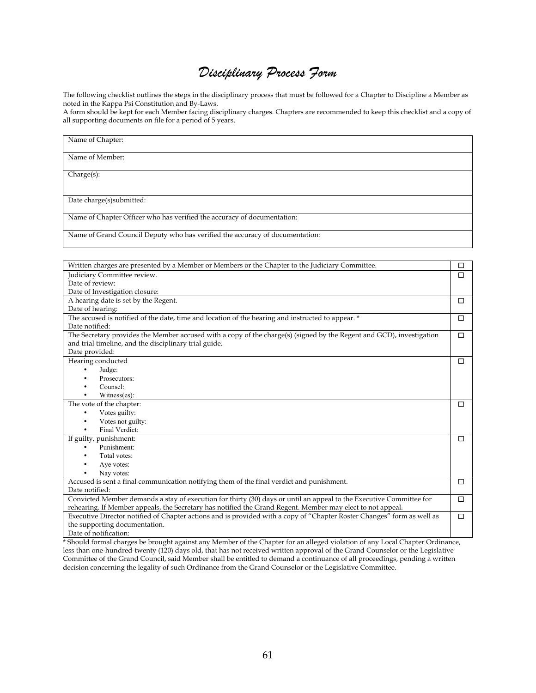# *Disciplinary Process Form*

The following checklist outlines the steps in the disciplinary process that must be followed for a Chapter to Discipline a Member as noted in the Kappa Psi Constitution and By-Laws.

A form should be kept for each Member facing disciplinary charges. Chapters are recommended to keep this checklist and a copy of all supporting documents on file for a period of 5 years.

| Name of Chapter:                                                             |
|------------------------------------------------------------------------------|
| Name of Member:                                                              |
| Change(s):                                                                   |
| Date charge(s) submitted:                                                    |
| Name of Chapter Officer who has verified the accuracy of documentation:      |
| Name of Grand Council Deputy who has verified the accuracy of documentation: |

| Written charges are presented by a Member or Members or the Chapter to the Judiciary Committee.                        | $\Box$ |
|------------------------------------------------------------------------------------------------------------------------|--------|
| Judiciary Committee review.                                                                                            | $\Box$ |
| Date of review:                                                                                                        |        |
| Date of Investigation closure:                                                                                         |        |
| A hearing date is set by the Regent.                                                                                   | □      |
| Date of hearing:                                                                                                       |        |
| The accused is notified of the date, time and location of the hearing and instructed to appear. *                      | □      |
| Date notified:                                                                                                         |        |
| The Secretary provides the Member accused with a copy of the charge(s) (signed by the Regent and GCD), investigation   | $\Box$ |
| and trial timeline, and the disciplinary trial guide.                                                                  |        |
| Date provided:                                                                                                         |        |
| Hearing conducted                                                                                                      | □      |
| Judge:                                                                                                                 |        |
| Prosecutors:                                                                                                           |        |
| Counsel:                                                                                                               |        |
| Witness(es):                                                                                                           |        |
| The vote of the chapter:                                                                                               | □      |
| Votes guilty:                                                                                                          |        |
| Votes not guilty:                                                                                                      |        |
| Final Verdict:<br>٠                                                                                                    |        |
| If guilty, punishment:                                                                                                 | $\Box$ |
| Punishment:                                                                                                            |        |
| Total votes:                                                                                                           |        |
| Aye votes:                                                                                                             |        |
| Nav votes:                                                                                                             |        |
| Accused is sent a final communication notifying them of the final verdict and punishment.                              | $\Box$ |
| Date notified:                                                                                                         |        |
| Convicted Member demands a stay of execution for thirty (30) days or until an appeal to the Executive Committee for    | □      |
| rehearing. If Member appeals, the Secretary has notified the Grand Regent. Member may elect to not appeal.             |        |
| Executive Director notified of Chapter actions and is provided with a copy of "Chapter Roster Changes" form as well as | □      |
| the supporting documentation.                                                                                          |        |
| Date of notification:                                                                                                  |        |

\* Should formal charges be brought against any Member of the Chapter for an alleged violation of any Local Chapter Ordinance, less than one-hundred-twenty (120) days old, that has not received written approval of the Grand Counselor or the Legislative Committee of the Grand Council, said Member shall be entitled to demand a continuance of all proceedings, pending a written decision concerning the legality of such Ordinance from the Grand Counselor or the Legislative Committee.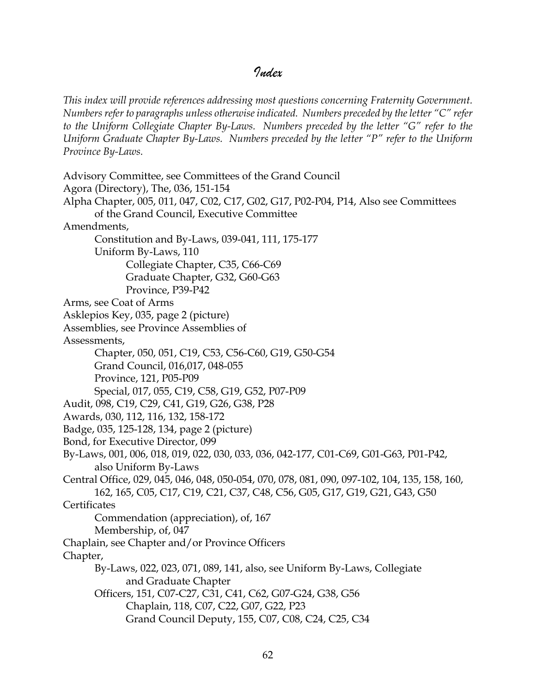# *Index*

*This index will provide references addressing most questions concerning Fraternity Government. Numbers refer to paragraphs unless otherwise indicated. Numbers preceded by the letter "C" refer to the Uniform Collegiate Chapter By-Laws. Numbers preceded by the letter "G" refer to the Uniform Graduate Chapter By-Laws. Numbers preceded by the letter "P" refer to the Uniform Province By-Laws.*

Advisory Committee, see Committees of the Grand Council Agora (Directory), The, 036, 151-154 Alpha Chapter, 005, 011, 047, C02, C17, G02, G17, P02-P04, P14, Also see Committees of the Grand Council, Executive Committee Amendments, Constitution and By-Laws, 039-041, 111, 175-177 Uniform By-Laws, 110 Collegiate Chapter, C35, C66-C69 Graduate Chapter, G32, G60-G63 Province, P39-P42 Arms, see Coat of Arms Asklepios Key, 035, page 2 (picture) Assemblies, see Province Assemblies of Assessments, Chapter, 050, 051, C19, C53, C56-C60, G19, G50-G54 Grand Council, 016,017, 048-055 Province, 121, P05-P09 Special, 017, 055, C19, C58, G19, G52, P07-P09 Audit, 098, C19, C29, C41, G19, G26, G38, P28 Awards, 030, 112, 116, 132, 158-172 Badge, 035, 125-128, 134, page 2 (picture) Bond, for Executive Director, 099 By-Laws, 001, 006, 018, 019, 022, 030, 033, 036, 042-177, C01-C69, G01-G63, P01-P42, also Uniform By-Laws Central Office, 029, 045, 046, 048, 050-054, 070, 078, 081, 090, 097-102, 104, 135, 158, 160, 162, 165, C05, C17, C19, C21, C37, C48, C56, G05, G17, G19, G21, G43, G50 **Certificates** Commendation (appreciation), of, 167 Membership, of, 047 Chaplain, see Chapter and/or Province Officers Chapter, By-Laws, 022, 023, 071, 089, 141, also, see Uniform By-Laws, Collegiate and Graduate Chapter Officers, 151, C07-C27, C31, C41, C62, G07-G24, G38, G56 Chaplain, 118, C07, C22, G07, G22, P23 Grand Council Deputy, 155, C07, C08, C24, C25, C34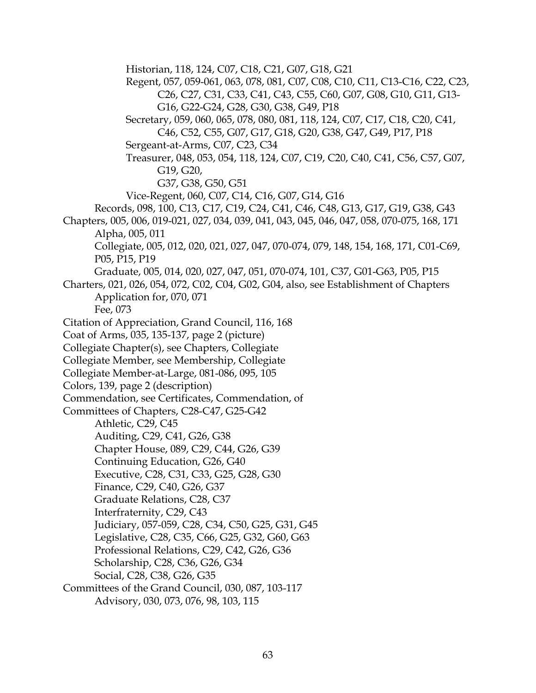Historian, 118, 124, C07, C18, C21, G07, G18, G21 Regent, 057, 059-061, 063, 078, 081, C07, C08, C10, C11, C13-C16, C22, C23, C26, C27, C31, C33, C41, C43, C55, C60, G07, G08, G10, G11, G13- G16, G22-G24, G28, G30, G38, G49, P18 Secretary, 059, 060, 065, 078, 080, 081, 118, 124, C07, C17, C18, C20, C41, C46, C52, C55, G07, G17, G18, G20, G38, G47, G49, P17, P18 Sergeant-at-Arms, C07, C23, C34 Treasurer, 048, 053, 054, 118, 124, C07, C19, C20, C40, C41, C56, C57, G07, G19, G20, G37, G38, G50, G51 Vice-Regent, 060, C07, C14, C16, G07, G14, G16 Records, 098, 100, C13, C17, C19, C24, C41, C46, C48, G13, G17, G19, G38, G43 Chapters, 005, 006, 019-021, 027, 034, 039, 041, 043, 045, 046, 047, 058, 070-075, 168, 171 Alpha, 005, 011 Collegiate, 005, 012, 020, 021, 027, 047, 070-074, 079, 148, 154, 168, 171, C01-C69, P05, P15, P19 Graduate, 005, 014, 020, 027, 047, 051, 070-074, 101, C37, G01-G63, P05, P15 Charters, 021, 026, 054, 072, C02, C04, G02, G04, also, see Establishment of Chapters Application for, 070, 071 Fee, 073 Citation of Appreciation, Grand Council, 116, 168 Coat of Arms, 035, 135-137, page 2 (picture) Collegiate Chapter(s), see Chapters, Collegiate Collegiate Member, see Membership, Collegiate Collegiate Member-at-Large, 081-086, 095, 105 Colors, 139, page 2 (description) Commendation, see Certificates, Commendation, of Committees of Chapters, C28-C47, G25-G42 Athletic, C29, C45 Auditing, C29, C41, G26, G38 Chapter House, 089, C29, C44, G26, G39 Continuing Education, G26, G40 Executive, C28, C31, C33, G25, G28, G30 Finance, C29, C40, G26, G37 Graduate Relations, C28, C37 Interfraternity, C29, C43 Judiciary, 057-059, C28, C34, C50, G25, G31, G45 Legislative, C28, C35, C66, G25, G32, G60, G63 Professional Relations, C29, C42, G26, G36 Scholarship, C28, C36, G26, G34 Social, C28, C38, G26, G35 Committees of the Grand Council, 030, 087, 103-117 Advisory, 030, 073, 076, 98, 103, 115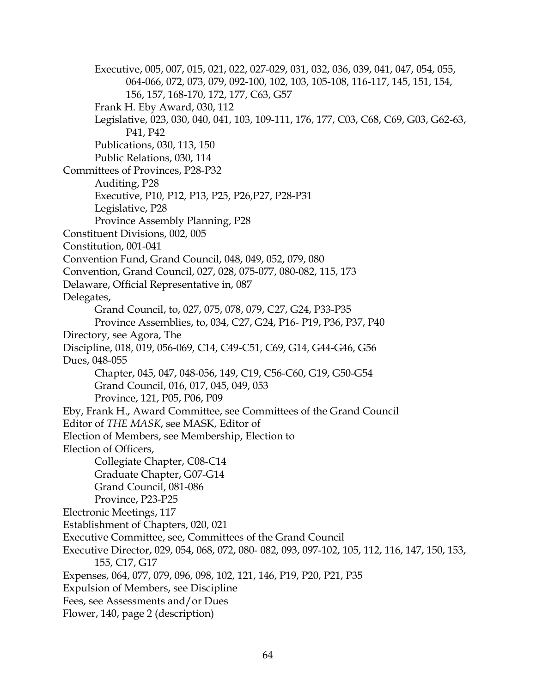Executive, 005, 007, 015, 021, 022, 027-029, 031, 032, 036, 039, 041, 047, 054, 055, 064-066, 072, 073, 079, 092-100, 102, 103, 105-108, 116-117, 145, 151, 154, 156, 157, 168-170, 172, 177, C63, G57 Frank H. Eby Award, 030, 112 Legislative, 023, 030, 040, 041, 103, 109-111, 176, 177, C03, C68, C69, G03, G62-63, P41, P42 Publications, 030, 113, 150 Public Relations, 030, 114 Committees of Provinces, P28-P32 Auditing, P28 Executive, P10, P12, P13, P25, P26,P27, P28-P31 Legislative, P28 Province Assembly Planning, P28 Constituent Divisions, 002, 005 Constitution, 001-041 Convention Fund, Grand Council, 048, 049, 052, 079, 080 Convention, Grand Council, 027, 028, 075-077, 080-082, 115, 173 Delaware, Official Representative in, 087 Delegates, Grand Council, to, 027, 075, 078, 079, C27, G24, P33-P35 Province Assemblies, to, 034, C27, G24, P16- P19, P36, P37, P40 Directory, see Agora, The Discipline, 018, 019, 056-069, C14, C49-C51, C69, G14, G44-G46, G56 Dues, 048-055 Chapter, 045, 047, 048-056, 149, C19, C56-C60, G19, G50-G54 Grand Council, 016, 017, 045, 049, 053 Province, 121, P05, P06, P09 Eby, Frank H., Award Committee, see Committees of the Grand Council Editor of *THE MASK*, see MASK, Editor of Election of Members, see Membership, Election to Election of Officers, Collegiate Chapter, C08-C14 Graduate Chapter, G07-G14 Grand Council, 081-086 Province, P23-P25 Electronic Meetings, 117 Establishment of Chapters, 020, 021 Executive Committee, see, Committees of the Grand Council Executive Director, 029, 054, 068, 072, 080- 082, 093, 097-102, 105, 112, 116, 147, 150, 153, 155, C17, G17 Expenses, 064, 077, 079, 096, 098, 102, 121, 146, P19, P20, P21, P35 Expulsion of Members, see Discipline Fees, see Assessments and/or Dues Flower, 140, page 2 (description)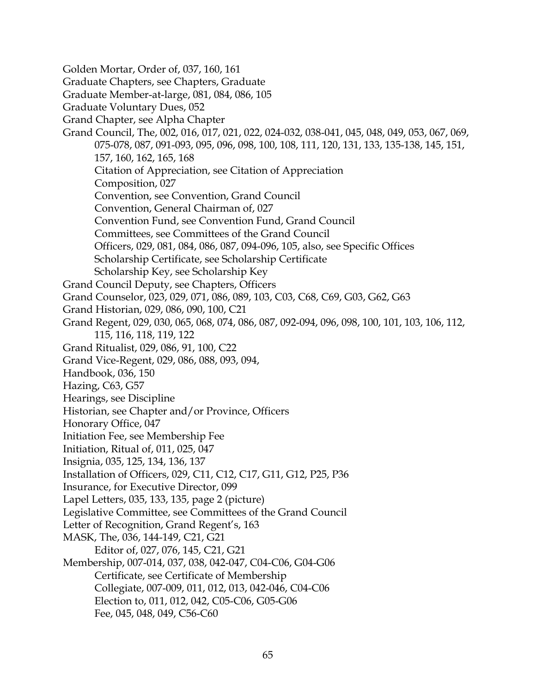Golden Mortar, Order of, 037, 160, 161 Graduate Chapters, see Chapters, Graduate Graduate Member-at-large, 081, 084, 086, 105 Graduate Voluntary Dues, 052 Grand Chapter, see Alpha Chapter Grand Council, The, 002, 016, 017, 021, 022, 024-032, 038-041, 045, 048, 049, 053, 067, 069, 075-078, 087, 091-093, 095, 096, 098, 100, 108, 111, 120, 131, 133, 135-138, 145, 151, 157, 160, 162, 165, 168 Citation of Appreciation, see Citation of Appreciation Composition, 027 Convention, see Convention, Grand Council Convention, General Chairman of, 027 Convention Fund, see Convention Fund, Grand Council Committees, see Committees of the Grand Council Officers, 029, 081, 084, 086, 087, 094-096, 105, also, see Specific Offices Scholarship Certificate, see Scholarship Certificate Scholarship Key, see Scholarship Key Grand Council Deputy, see Chapters, Officers Grand Counselor, 023, 029, 071, 086, 089, 103, C03, C68, C69, G03, G62, G63 Grand Historian, 029, 086, 090, 100, C21 Grand Regent, 029, 030, 065, 068, 074, 086, 087, 092-094, 096, 098, 100, 101, 103, 106, 112, 115, 116, 118, 119, 122 Grand Ritualist, 029, 086, 91, 100, C22 Grand Vice-Regent, 029, 086, 088, 093, 094, Handbook, 036, 150 Hazing, C63, G57 Hearings, see Discipline Historian, see Chapter and/or Province, Officers Honorary Office, 047 Initiation Fee, see Membership Fee Initiation, Ritual of, 011, 025, 047 Insignia, 035, 125, 134, 136, 137 Installation of Officers, 029, C11, C12, C17, G11, G12, P25, P36 Insurance, for Executive Director, 099 Lapel Letters, 035, 133, 135, page 2 (picture) Legislative Committee, see Committees of the Grand Council Letter of Recognition, Grand Regent's, 163 MASK, The, 036, 144-149, C21, G21 Editor of, 027, 076, 145, C21, G21 Membership, 007-014, 037, 038, 042-047, C04-C06, G04-G06 Certificate, see Certificate of Membership Collegiate, 007-009, 011, 012, 013, 042-046, C04-C06 Election to, 011, 012, 042, C05-C06, G05-G06 Fee, 045, 048, 049, C56-C60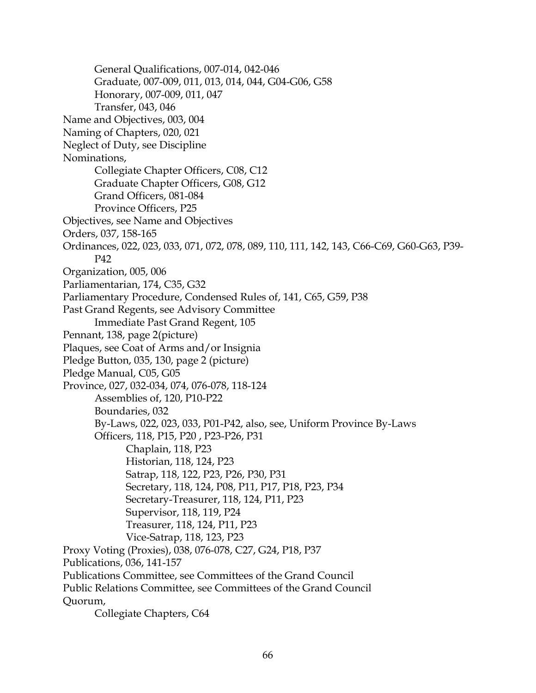General Qualifications, 007-014, 042-046 Graduate, 007-009, 011, 013, 014, 044, G04-G06, G58 Honorary, 007-009, 011, 047 Transfer, 043, 046 Name and Objectives, 003, 004 Naming of Chapters, 020, 021 Neglect of Duty, see Discipline Nominations, Collegiate Chapter Officers, C08, C12 Graduate Chapter Officers, G08, G12 Grand Officers, 081-084 Province Officers, P25 Objectives, see Name and Objectives Orders, 037, 158-165 Ordinances, 022, 023, 033, 071, 072, 078, 089, 110, 111, 142, 143, C66-C69, G60-G63, P39- P42 Organization, 005, 006 Parliamentarian, 174, C35, G32 Parliamentary Procedure, Condensed Rules of, 141, C65, G59, P38 Past Grand Regents, see Advisory Committee Immediate Past Grand Regent, 105 Pennant, 138, page 2(picture) Plaques, see Coat of Arms and/or Insignia Pledge Button, 035, 130, page 2 (picture) Pledge Manual, C05, G05 Province, 027, 032-034, 074, 076-078, 118-124 Assemblies of, 120, P10-P22 Boundaries, 032 By-Laws, 022, 023, 033, P01-P42, also, see, Uniform Province By-Laws Officers, 118, P15, P20 , P23-P26, P31 Chaplain, 118, P23 Historian, 118, 124, P23 Satrap, 118, 122, P23, P26, P30, P31 Secretary, 118, 124, P08, P11, P17, P18, P23, P34 Secretary-Treasurer, 118, 124, P11, P23 Supervisor, 118, 119, P24 Treasurer, 118, 124, P11, P23 Vice-Satrap, 118, 123, P23 Proxy Voting (Proxies), 038, 076-078, C27, G24, P18, P37 Publications, 036, 141-157 Publications Committee, see Committees of the Grand Council Public Relations Committee, see Committees of the Grand Council Quorum, Collegiate Chapters, C64